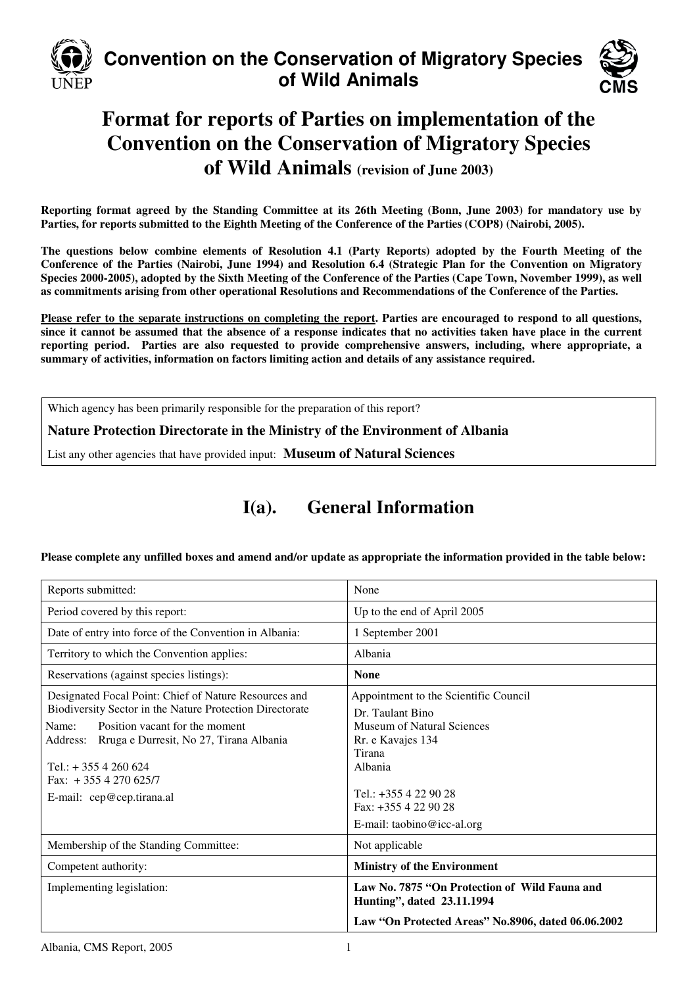

# **Convention on the Conservation of Migratory Species of Wild Animals**



# **Format for reports of Parties on implementation of the Convention on the Conservation of Migratory Species of Wild Animals (revision of June 2003)**

**Reporting format agreed by the Standing Committee at its 26th Meeting (Bonn, June 2003) for mandatory use by Parties, for reports submitted to the Eighth Meeting of the Conference of the Parties (COP8) (Nairobi, 2005).** 

**The questions below combine elements of Resolution 4.1 (Party Reports) adopted by the Fourth Meeting of the Conference of the Parties (Nairobi, June 1994) and Resolution 6.4 (Strategic Plan for the Convention on Migratory Species 2000-2005), adopted by the Sixth Meeting of the Conference of the Parties (Cape Town, November 1999), as well as commitments arising from other operational Resolutions and Recommendations of the Conference of the Parties.** 

**Please refer to the separate instructions on completing the report. Parties are encouraged to respond to all questions, since it cannot be assumed that the absence of a response indicates that no activities taken have place in the current reporting period. Parties are also requested to provide comprehensive answers, including, where appropriate, a summary of activities, information on factors limiting action and details of any assistance required.**

Which agency has been primarily responsible for the preparation of this report?

**Nature Protection Directorate in the Ministry of the Environment of Albania** 

List any other agencies that have provided input: **Museum of Natural Sciences**

## **I(a). General Information**

#### **Please complete any unfilled boxes and amend and/or update as appropriate the information provided in the table below:**

| Reports submitted:                                                                                                                                                                                                                                                                           | None                                                                                                                                                                                                                |
|----------------------------------------------------------------------------------------------------------------------------------------------------------------------------------------------------------------------------------------------------------------------------------------------|---------------------------------------------------------------------------------------------------------------------------------------------------------------------------------------------------------------------|
| Period covered by this report:                                                                                                                                                                                                                                                               | Up to the end of April 2005                                                                                                                                                                                         |
| Date of entry into force of the Convention in Albania:                                                                                                                                                                                                                                       | 1 September 2001                                                                                                                                                                                                    |
| Territory to which the Convention applies:                                                                                                                                                                                                                                                   | Albania                                                                                                                                                                                                             |
| Reservations (against species listings):                                                                                                                                                                                                                                                     | <b>None</b>                                                                                                                                                                                                         |
| Designated Focal Point: Chief of Nature Resources and<br>Biodiversity Sector in the Nature Protection Directorate<br>Position vacant for the moment<br>Name:<br>Address: Rruga e Durresit, No 27, Tirana Albania<br>Tel.: $+3554260624$<br>Fax: $+3554270625/7$<br>E-mail: cep@cep.tirana.al | Appointment to the Scientific Council<br>Dr. Taulant Bino<br><b>Museum of Natural Sciences</b><br>Rr. e Kavajes 134<br>Tirana<br>Albania<br>Tel.: $+3554229028$<br>Fax: $+3554229028$<br>E-mail: taobino@icc-al.org |
| Membership of the Standing Committee:                                                                                                                                                                                                                                                        | Not applicable                                                                                                                                                                                                      |
| Competent authority:                                                                                                                                                                                                                                                                         | <b>Ministry of the Environment</b>                                                                                                                                                                                  |
| Implementing legislation:                                                                                                                                                                                                                                                                    | Law No. 7875 "On Protection of Wild Fauna and<br>Hunting", dated 23.11.1994<br>Law "On Protected Areas" No.8906, dated 06.06.2002                                                                                   |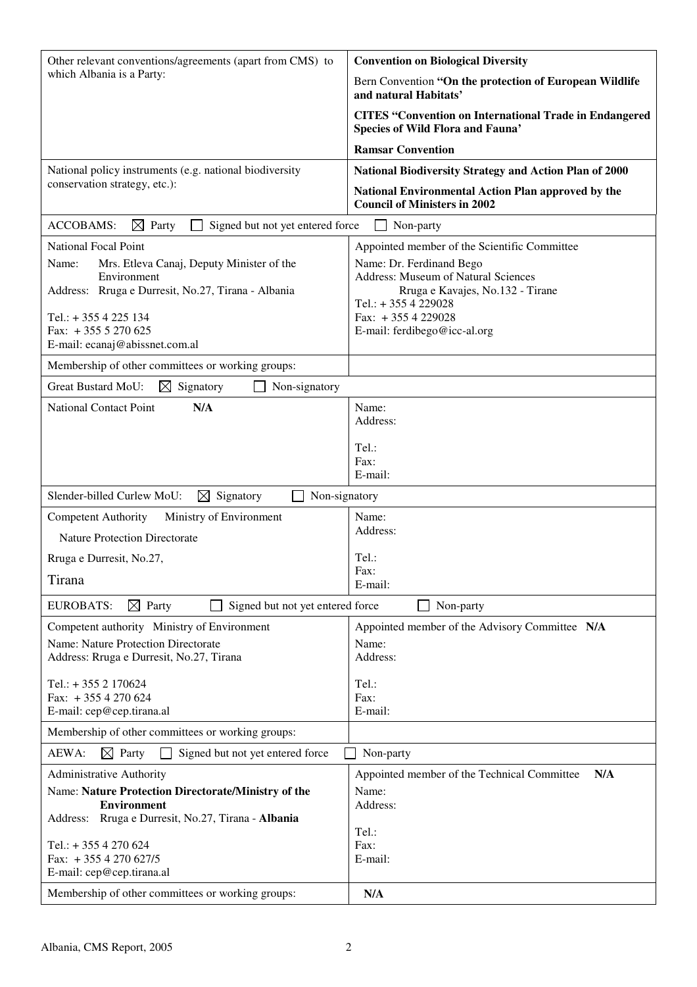| which Albania is a Party:<br>Bern Convention "On the protection of European Wildlife<br>and natural Habitats'<br><b>CITES "Convention on International Trade in Endangered</b><br><b>Species of Wild Flora and Fauna'</b><br><b>Ramsar Convention</b><br>National policy instruments (e.g. national biodiversity<br><b>National Biodiversity Strategy and Action Plan of 2000</b><br>conservation strategy, etc.):<br>National Environmental Action Plan approved by the<br><b>Council of Ministers in 2002</b><br><b>ACCOBAMS:</b><br>$\boxtimes$ Party<br>Signed but not yet entered force<br>Non-party<br><b>National Focal Point</b><br>Appointed member of the Scientific Committee<br>Mrs. Etleva Canaj, Deputy Minister of the<br>Name:<br>Name: Dr. Ferdinand Bego<br>Address: Museum of Natural Sciences<br>Environment<br>Address: Rruga e Durresit, No.27, Tirana - Albania<br>Rruga e Kavajes, No.132 - Tirane<br>Tel.: +355 4 229028<br>Fax: $+3554229028$<br>Tel.: +355 4 225 134<br>Fax: $+3555270625$<br>E-mail: ferdibego@icc-al.org<br>E-mail: ecanaj@abissnet.com.al<br>Membership of other committees or working groups:<br>Great Bustard MoU:<br>Non-signatory<br>$\bowtie$<br>Signatory<br><b>National Contact Point</b><br>N/A<br>Name:<br>Address:<br>Tel.:<br>Fax:<br>E-mail:<br>Slender-billed Curlew MoU:<br>$\boxtimes$ Signatory<br>Non-signatory<br>Ministry of Environment<br>Name:<br><b>Competent Authority</b><br>Address:<br><b>Nature Protection Directorate</b><br>Tel.:<br>Rruga e Durresit, No.27,<br>Fax:<br>Tirana<br>E-mail:<br>$\boxtimes$ Party<br><b>EUROBATS:</b><br>Signed but not yet entered force<br>Non-party<br>Competent authority Ministry of Environment<br>Appointed member of the Advisory Committee N/A<br>Name: Nature Protection Directorate<br>Name:<br>Address:<br>Address: Rruga e Durresit, No.27, Tirana<br>Tel.: $+3552170624$<br>Tel.:<br>Fax: +355 4 270 624<br>Fax:<br>E-mail:<br>E-mail: cep@cep.tirana.al<br>Membership of other committees or working groups:<br>AEWA:<br>$\boxtimes$ Party<br>Signed but not yet entered force<br>Non-party<br>N/A<br>Administrative Authority<br>Appointed member of the Technical Committee<br>Name: Nature Protection Directorate/Ministry of the<br>Name:<br><b>Environment</b><br>Address:<br>Address: Rruga e Durresit, No.27, Tirana - Albania | Other relevant conventions/agreements (apart from CMS) to | <b>Convention on Biological Diversity</b> |
|----------------------------------------------------------------------------------------------------------------------------------------------------------------------------------------------------------------------------------------------------------------------------------------------------------------------------------------------------------------------------------------------------------------------------------------------------------------------------------------------------------------------------------------------------------------------------------------------------------------------------------------------------------------------------------------------------------------------------------------------------------------------------------------------------------------------------------------------------------------------------------------------------------------------------------------------------------------------------------------------------------------------------------------------------------------------------------------------------------------------------------------------------------------------------------------------------------------------------------------------------------------------------------------------------------------------------------------------------------------------------------------------------------------------------------------------------------------------------------------------------------------------------------------------------------------------------------------------------------------------------------------------------------------------------------------------------------------------------------------------------------------------------------------------------------------------------------------------------------------------------------------------------------------------------------------------------------------------------------------------------------------------------------------------------------------------------------------------------------------------------------------------------------------------------------------------------------------------------------------------------------------------------------------------------------------------------------------------------------------|-----------------------------------------------------------|-------------------------------------------|
|                                                                                                                                                                                                                                                                                                                                                                                                                                                                                                                                                                                                                                                                                                                                                                                                                                                                                                                                                                                                                                                                                                                                                                                                                                                                                                                                                                                                                                                                                                                                                                                                                                                                                                                                                                                                                                                                                                                                                                                                                                                                                                                                                                                                                                                                                                                                                                |                                                           |                                           |
|                                                                                                                                                                                                                                                                                                                                                                                                                                                                                                                                                                                                                                                                                                                                                                                                                                                                                                                                                                                                                                                                                                                                                                                                                                                                                                                                                                                                                                                                                                                                                                                                                                                                                                                                                                                                                                                                                                                                                                                                                                                                                                                                                                                                                                                                                                                                                                |                                                           |                                           |
|                                                                                                                                                                                                                                                                                                                                                                                                                                                                                                                                                                                                                                                                                                                                                                                                                                                                                                                                                                                                                                                                                                                                                                                                                                                                                                                                                                                                                                                                                                                                                                                                                                                                                                                                                                                                                                                                                                                                                                                                                                                                                                                                                                                                                                                                                                                                                                |                                                           |                                           |
|                                                                                                                                                                                                                                                                                                                                                                                                                                                                                                                                                                                                                                                                                                                                                                                                                                                                                                                                                                                                                                                                                                                                                                                                                                                                                                                                                                                                                                                                                                                                                                                                                                                                                                                                                                                                                                                                                                                                                                                                                                                                                                                                                                                                                                                                                                                                                                |                                                           |                                           |
|                                                                                                                                                                                                                                                                                                                                                                                                                                                                                                                                                                                                                                                                                                                                                                                                                                                                                                                                                                                                                                                                                                                                                                                                                                                                                                                                                                                                                                                                                                                                                                                                                                                                                                                                                                                                                                                                                                                                                                                                                                                                                                                                                                                                                                                                                                                                                                |                                                           |                                           |
|                                                                                                                                                                                                                                                                                                                                                                                                                                                                                                                                                                                                                                                                                                                                                                                                                                                                                                                                                                                                                                                                                                                                                                                                                                                                                                                                                                                                                                                                                                                                                                                                                                                                                                                                                                                                                                                                                                                                                                                                                                                                                                                                                                                                                                                                                                                                                                |                                                           |                                           |
|                                                                                                                                                                                                                                                                                                                                                                                                                                                                                                                                                                                                                                                                                                                                                                                                                                                                                                                                                                                                                                                                                                                                                                                                                                                                                                                                                                                                                                                                                                                                                                                                                                                                                                                                                                                                                                                                                                                                                                                                                                                                                                                                                                                                                                                                                                                                                                |                                                           |                                           |
|                                                                                                                                                                                                                                                                                                                                                                                                                                                                                                                                                                                                                                                                                                                                                                                                                                                                                                                                                                                                                                                                                                                                                                                                                                                                                                                                                                                                                                                                                                                                                                                                                                                                                                                                                                                                                                                                                                                                                                                                                                                                                                                                                                                                                                                                                                                                                                |                                                           |                                           |
|                                                                                                                                                                                                                                                                                                                                                                                                                                                                                                                                                                                                                                                                                                                                                                                                                                                                                                                                                                                                                                                                                                                                                                                                                                                                                                                                                                                                                                                                                                                                                                                                                                                                                                                                                                                                                                                                                                                                                                                                                                                                                                                                                                                                                                                                                                                                                                |                                                           |                                           |
|                                                                                                                                                                                                                                                                                                                                                                                                                                                                                                                                                                                                                                                                                                                                                                                                                                                                                                                                                                                                                                                                                                                                                                                                                                                                                                                                                                                                                                                                                                                                                                                                                                                                                                                                                                                                                                                                                                                                                                                                                                                                                                                                                                                                                                                                                                                                                                |                                                           |                                           |
|                                                                                                                                                                                                                                                                                                                                                                                                                                                                                                                                                                                                                                                                                                                                                                                                                                                                                                                                                                                                                                                                                                                                                                                                                                                                                                                                                                                                                                                                                                                                                                                                                                                                                                                                                                                                                                                                                                                                                                                                                                                                                                                                                                                                                                                                                                                                                                |                                                           |                                           |
|                                                                                                                                                                                                                                                                                                                                                                                                                                                                                                                                                                                                                                                                                                                                                                                                                                                                                                                                                                                                                                                                                                                                                                                                                                                                                                                                                                                                                                                                                                                                                                                                                                                                                                                                                                                                                                                                                                                                                                                                                                                                                                                                                                                                                                                                                                                                                                |                                                           |                                           |
|                                                                                                                                                                                                                                                                                                                                                                                                                                                                                                                                                                                                                                                                                                                                                                                                                                                                                                                                                                                                                                                                                                                                                                                                                                                                                                                                                                                                                                                                                                                                                                                                                                                                                                                                                                                                                                                                                                                                                                                                                                                                                                                                                                                                                                                                                                                                                                |                                                           |                                           |
|                                                                                                                                                                                                                                                                                                                                                                                                                                                                                                                                                                                                                                                                                                                                                                                                                                                                                                                                                                                                                                                                                                                                                                                                                                                                                                                                                                                                                                                                                                                                                                                                                                                                                                                                                                                                                                                                                                                                                                                                                                                                                                                                                                                                                                                                                                                                                                |                                                           |                                           |
|                                                                                                                                                                                                                                                                                                                                                                                                                                                                                                                                                                                                                                                                                                                                                                                                                                                                                                                                                                                                                                                                                                                                                                                                                                                                                                                                                                                                                                                                                                                                                                                                                                                                                                                                                                                                                                                                                                                                                                                                                                                                                                                                                                                                                                                                                                                                                                |                                                           |                                           |
|                                                                                                                                                                                                                                                                                                                                                                                                                                                                                                                                                                                                                                                                                                                                                                                                                                                                                                                                                                                                                                                                                                                                                                                                                                                                                                                                                                                                                                                                                                                                                                                                                                                                                                                                                                                                                                                                                                                                                                                                                                                                                                                                                                                                                                                                                                                                                                |                                                           |                                           |
|                                                                                                                                                                                                                                                                                                                                                                                                                                                                                                                                                                                                                                                                                                                                                                                                                                                                                                                                                                                                                                                                                                                                                                                                                                                                                                                                                                                                                                                                                                                                                                                                                                                                                                                                                                                                                                                                                                                                                                                                                                                                                                                                                                                                                                                                                                                                                                |                                                           |                                           |
|                                                                                                                                                                                                                                                                                                                                                                                                                                                                                                                                                                                                                                                                                                                                                                                                                                                                                                                                                                                                                                                                                                                                                                                                                                                                                                                                                                                                                                                                                                                                                                                                                                                                                                                                                                                                                                                                                                                                                                                                                                                                                                                                                                                                                                                                                                                                                                |                                                           |                                           |
|                                                                                                                                                                                                                                                                                                                                                                                                                                                                                                                                                                                                                                                                                                                                                                                                                                                                                                                                                                                                                                                                                                                                                                                                                                                                                                                                                                                                                                                                                                                                                                                                                                                                                                                                                                                                                                                                                                                                                                                                                                                                                                                                                                                                                                                                                                                                                                |                                                           |                                           |
|                                                                                                                                                                                                                                                                                                                                                                                                                                                                                                                                                                                                                                                                                                                                                                                                                                                                                                                                                                                                                                                                                                                                                                                                                                                                                                                                                                                                                                                                                                                                                                                                                                                                                                                                                                                                                                                                                                                                                                                                                                                                                                                                                                                                                                                                                                                                                                |                                                           |                                           |
|                                                                                                                                                                                                                                                                                                                                                                                                                                                                                                                                                                                                                                                                                                                                                                                                                                                                                                                                                                                                                                                                                                                                                                                                                                                                                                                                                                                                                                                                                                                                                                                                                                                                                                                                                                                                                                                                                                                                                                                                                                                                                                                                                                                                                                                                                                                                                                |                                                           |                                           |
|                                                                                                                                                                                                                                                                                                                                                                                                                                                                                                                                                                                                                                                                                                                                                                                                                                                                                                                                                                                                                                                                                                                                                                                                                                                                                                                                                                                                                                                                                                                                                                                                                                                                                                                                                                                                                                                                                                                                                                                                                                                                                                                                                                                                                                                                                                                                                                |                                                           |                                           |
|                                                                                                                                                                                                                                                                                                                                                                                                                                                                                                                                                                                                                                                                                                                                                                                                                                                                                                                                                                                                                                                                                                                                                                                                                                                                                                                                                                                                                                                                                                                                                                                                                                                                                                                                                                                                                                                                                                                                                                                                                                                                                                                                                                                                                                                                                                                                                                |                                                           |                                           |
|                                                                                                                                                                                                                                                                                                                                                                                                                                                                                                                                                                                                                                                                                                                                                                                                                                                                                                                                                                                                                                                                                                                                                                                                                                                                                                                                                                                                                                                                                                                                                                                                                                                                                                                                                                                                                                                                                                                                                                                                                                                                                                                                                                                                                                                                                                                                                                |                                                           |                                           |
|                                                                                                                                                                                                                                                                                                                                                                                                                                                                                                                                                                                                                                                                                                                                                                                                                                                                                                                                                                                                                                                                                                                                                                                                                                                                                                                                                                                                                                                                                                                                                                                                                                                                                                                                                                                                                                                                                                                                                                                                                                                                                                                                                                                                                                                                                                                                                                |                                                           |                                           |
|                                                                                                                                                                                                                                                                                                                                                                                                                                                                                                                                                                                                                                                                                                                                                                                                                                                                                                                                                                                                                                                                                                                                                                                                                                                                                                                                                                                                                                                                                                                                                                                                                                                                                                                                                                                                                                                                                                                                                                                                                                                                                                                                                                                                                                                                                                                                                                |                                                           |                                           |
|                                                                                                                                                                                                                                                                                                                                                                                                                                                                                                                                                                                                                                                                                                                                                                                                                                                                                                                                                                                                                                                                                                                                                                                                                                                                                                                                                                                                                                                                                                                                                                                                                                                                                                                                                                                                                                                                                                                                                                                                                                                                                                                                                                                                                                                                                                                                                                |                                                           |                                           |
|                                                                                                                                                                                                                                                                                                                                                                                                                                                                                                                                                                                                                                                                                                                                                                                                                                                                                                                                                                                                                                                                                                                                                                                                                                                                                                                                                                                                                                                                                                                                                                                                                                                                                                                                                                                                                                                                                                                                                                                                                                                                                                                                                                                                                                                                                                                                                                |                                                           |                                           |
|                                                                                                                                                                                                                                                                                                                                                                                                                                                                                                                                                                                                                                                                                                                                                                                                                                                                                                                                                                                                                                                                                                                                                                                                                                                                                                                                                                                                                                                                                                                                                                                                                                                                                                                                                                                                                                                                                                                                                                                                                                                                                                                                                                                                                                                                                                                                                                |                                                           |                                           |
|                                                                                                                                                                                                                                                                                                                                                                                                                                                                                                                                                                                                                                                                                                                                                                                                                                                                                                                                                                                                                                                                                                                                                                                                                                                                                                                                                                                                                                                                                                                                                                                                                                                                                                                                                                                                                                                                                                                                                                                                                                                                                                                                                                                                                                                                                                                                                                |                                                           |                                           |
|                                                                                                                                                                                                                                                                                                                                                                                                                                                                                                                                                                                                                                                                                                                                                                                                                                                                                                                                                                                                                                                                                                                                                                                                                                                                                                                                                                                                                                                                                                                                                                                                                                                                                                                                                                                                                                                                                                                                                                                                                                                                                                                                                                                                                                                                                                                                                                |                                                           |                                           |
|                                                                                                                                                                                                                                                                                                                                                                                                                                                                                                                                                                                                                                                                                                                                                                                                                                                                                                                                                                                                                                                                                                                                                                                                                                                                                                                                                                                                                                                                                                                                                                                                                                                                                                                                                                                                                                                                                                                                                                                                                                                                                                                                                                                                                                                                                                                                                                |                                                           |                                           |
|                                                                                                                                                                                                                                                                                                                                                                                                                                                                                                                                                                                                                                                                                                                                                                                                                                                                                                                                                                                                                                                                                                                                                                                                                                                                                                                                                                                                                                                                                                                                                                                                                                                                                                                                                                                                                                                                                                                                                                                                                                                                                                                                                                                                                                                                                                                                                                |                                                           |                                           |
|                                                                                                                                                                                                                                                                                                                                                                                                                                                                                                                                                                                                                                                                                                                                                                                                                                                                                                                                                                                                                                                                                                                                                                                                                                                                                                                                                                                                                                                                                                                                                                                                                                                                                                                                                                                                                                                                                                                                                                                                                                                                                                                                                                                                                                                                                                                                                                |                                                           |                                           |
| Tel.:                                                                                                                                                                                                                                                                                                                                                                                                                                                                                                                                                                                                                                                                                                                                                                                                                                                                                                                                                                                                                                                                                                                                                                                                                                                                                                                                                                                                                                                                                                                                                                                                                                                                                                                                                                                                                                                                                                                                                                                                                                                                                                                                                                                                                                                                                                                                                          |                                                           |                                           |
| Tel.: +355 4 270 624<br>Fax:                                                                                                                                                                                                                                                                                                                                                                                                                                                                                                                                                                                                                                                                                                                                                                                                                                                                                                                                                                                                                                                                                                                                                                                                                                                                                                                                                                                                                                                                                                                                                                                                                                                                                                                                                                                                                                                                                                                                                                                                                                                                                                                                                                                                                                                                                                                                   |                                                           |                                           |
| Fax: +355 4 270 627/5<br>E-mail:                                                                                                                                                                                                                                                                                                                                                                                                                                                                                                                                                                                                                                                                                                                                                                                                                                                                                                                                                                                                                                                                                                                                                                                                                                                                                                                                                                                                                                                                                                                                                                                                                                                                                                                                                                                                                                                                                                                                                                                                                                                                                                                                                                                                                                                                                                                               |                                                           |                                           |
| E-mail: cep@cep.tirana.al<br>Membership of other committees or working groups:<br>N/A                                                                                                                                                                                                                                                                                                                                                                                                                                                                                                                                                                                                                                                                                                                                                                                                                                                                                                                                                                                                                                                                                                                                                                                                                                                                                                                                                                                                                                                                                                                                                                                                                                                                                                                                                                                                                                                                                                                                                                                                                                                                                                                                                                                                                                                                          |                                                           |                                           |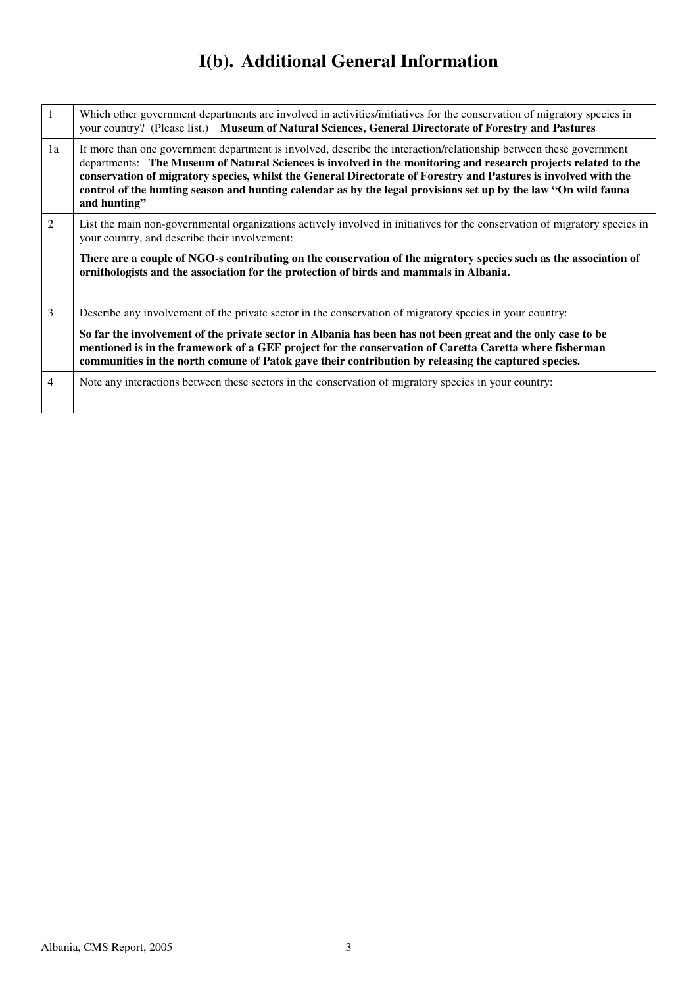# **I(b). Additional General Information**

| $\mathbf{1}$ | Which other government departments are involved in activities/initiatives for the conservation of migratory species in<br>your country? (Please list.) Museum of Natural Sciences, General Directorate of Forestry and Pastures                                                                                                                                                                                                                                                           |
|--------------|-------------------------------------------------------------------------------------------------------------------------------------------------------------------------------------------------------------------------------------------------------------------------------------------------------------------------------------------------------------------------------------------------------------------------------------------------------------------------------------------|
| 1a           | If more than one government department is involved, describe the interaction/relationship between these government<br>departments: The Museum of Natural Sciences is involved in the monitoring and research projects related to the<br>conservation of migratory species, whilst the General Directorate of Forestry and Pastures is involved with the<br>control of the hunting season and hunting calendar as by the legal provisions set up by the law "On wild fauna<br>and hunting" |
| 2            | List the main non-governmental organizations actively involved in initiatives for the conservation of migratory species in<br>your country, and describe their involvement:                                                                                                                                                                                                                                                                                                               |
|              | There are a couple of NGO-s contributing on the conservation of the migratory species such as the association of<br>ornithologists and the association for the protection of birds and mammals in Albania.                                                                                                                                                                                                                                                                                |
| 3            | Describe any involvement of the private sector in the conservation of migratory species in your country:                                                                                                                                                                                                                                                                                                                                                                                  |
|              | So far the involvement of the private sector in Albania has been has not been great and the only case to be<br>mentioned is in the framework of a GEF project for the conservation of Caretta Caretta where fisherman<br>communities in the north comune of Patok gave their contribution by releasing the captured species.                                                                                                                                                              |
| 4            | Note any interactions between these sectors in the conservation of migratory species in your country:                                                                                                                                                                                                                                                                                                                                                                                     |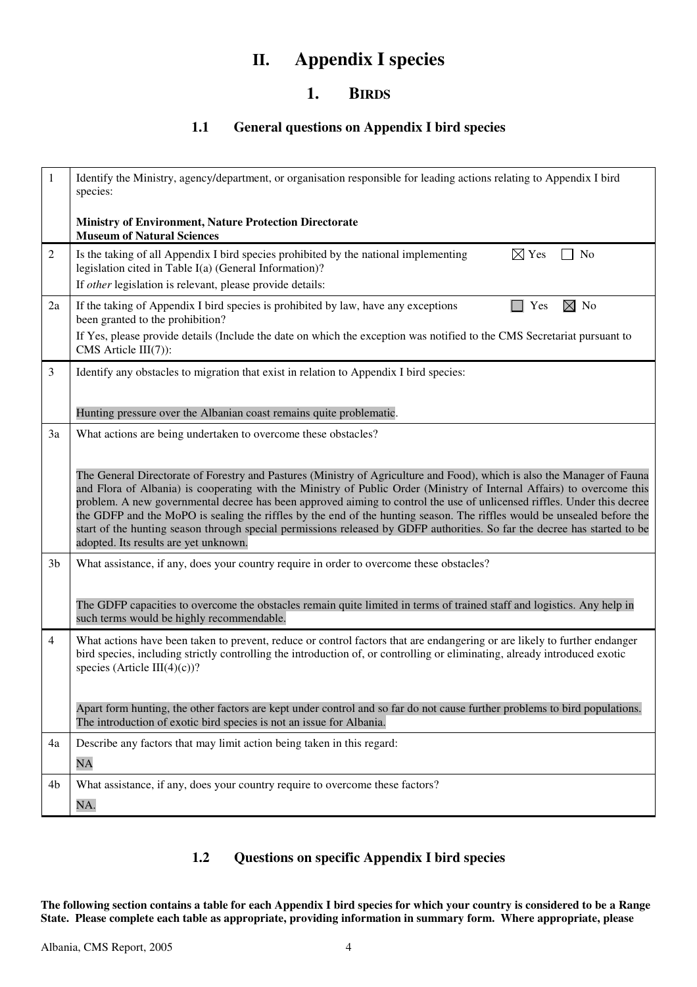## **II. Appendix I species**

## **1. BIRDS**

## **1.1 General questions on Appendix I bird species**

| $\mathbf{1}$   | Identify the Ministry, agency/department, or organisation responsible for leading actions relating to Appendix I bird<br>species:                                                                                                                                                                                                                                                                                                                                                                                                                                                                                                                                             |
|----------------|-------------------------------------------------------------------------------------------------------------------------------------------------------------------------------------------------------------------------------------------------------------------------------------------------------------------------------------------------------------------------------------------------------------------------------------------------------------------------------------------------------------------------------------------------------------------------------------------------------------------------------------------------------------------------------|
|                | <b>Ministry of Environment, Nature Protection Directorate</b><br><b>Museum of Natural Sciences</b>                                                                                                                                                                                                                                                                                                                                                                                                                                                                                                                                                                            |
| $\overline{c}$ | $\boxtimes$ Yes<br>Is the taking of all Appendix I bird species prohibited by the national implementing<br>N <sub>0</sub><br>legislation cited in Table I(a) (General Information)?                                                                                                                                                                                                                                                                                                                                                                                                                                                                                           |
|                | If other legislation is relevant, please provide details:                                                                                                                                                                                                                                                                                                                                                                                                                                                                                                                                                                                                                     |
| 2a             | $\boxtimes$ No<br>If the taking of Appendix I bird species is prohibited by law, have any exceptions<br>$\Box$ Yes<br>been granted to the prohibition?                                                                                                                                                                                                                                                                                                                                                                                                                                                                                                                        |
|                | If Yes, please provide details (Include the date on which the exception was notified to the CMS Secretariat pursuant to<br>CMS Article $III(7)$ :                                                                                                                                                                                                                                                                                                                                                                                                                                                                                                                             |
| 3              | Identify any obstacles to migration that exist in relation to Appendix I bird species:                                                                                                                                                                                                                                                                                                                                                                                                                                                                                                                                                                                        |
|                | Hunting pressure over the Albanian coast remains quite problematic.                                                                                                                                                                                                                                                                                                                                                                                                                                                                                                                                                                                                           |
| 3a             | What actions are being undertaken to overcome these obstacles?                                                                                                                                                                                                                                                                                                                                                                                                                                                                                                                                                                                                                |
|                | The General Directorate of Forestry and Pastures (Ministry of Agriculture and Food), which is also the Manager of Fauna<br>and Flora of Albania) is cooperating with the Ministry of Public Order (Ministry of Internal Affairs) to overcome this<br>problem. A new governmental decree has been approved aiming to control the use of unlicensed riffles. Under this decree<br>the GDFP and the MoPO is sealing the riffles by the end of the hunting season. The riffles would be unsealed before the<br>start of the hunting season through special permissions released by GDFP authorities. So far the decree has started to be<br>adopted. Its results are yet unknown. |
| 3 <sub>b</sub> | What assistance, if any, does your country require in order to overcome these obstacles?                                                                                                                                                                                                                                                                                                                                                                                                                                                                                                                                                                                      |
|                | The GDFP capacities to overcome the obstacles remain quite limited in terms of trained staff and logistics. Any help in<br>such terms would be highly recommendable.                                                                                                                                                                                                                                                                                                                                                                                                                                                                                                          |
| 4              | What actions have been taken to prevent, reduce or control factors that are endangering or are likely to further endanger<br>bird species, including strictly controlling the introduction of, or controlling or eliminating, already introduced exotic<br>species (Article III(4)(c))?                                                                                                                                                                                                                                                                                                                                                                                       |
|                | Apart form hunting, the other factors are kept under control and so far do not cause further problems to bird populations.<br>The introduction of exotic bird species is not an issue for Albania.                                                                                                                                                                                                                                                                                                                                                                                                                                                                            |
| 4a             | Describe any factors that may limit action being taken in this regard:<br>NA                                                                                                                                                                                                                                                                                                                                                                                                                                                                                                                                                                                                  |
| 4b             | What assistance, if any, does your country require to overcome these factors?                                                                                                                                                                                                                                                                                                                                                                                                                                                                                                                                                                                                 |
|                | NA.                                                                                                                                                                                                                                                                                                                                                                                                                                                                                                                                                                                                                                                                           |
|                |                                                                                                                                                                                                                                                                                                                                                                                                                                                                                                                                                                                                                                                                               |

## **1.2 Questions on specific Appendix I bird species**

**The following section contains a table for each Appendix I bird species for which your country is considered to be a Range State. Please complete each table as appropriate, providing information in summary form. Where appropriate, please**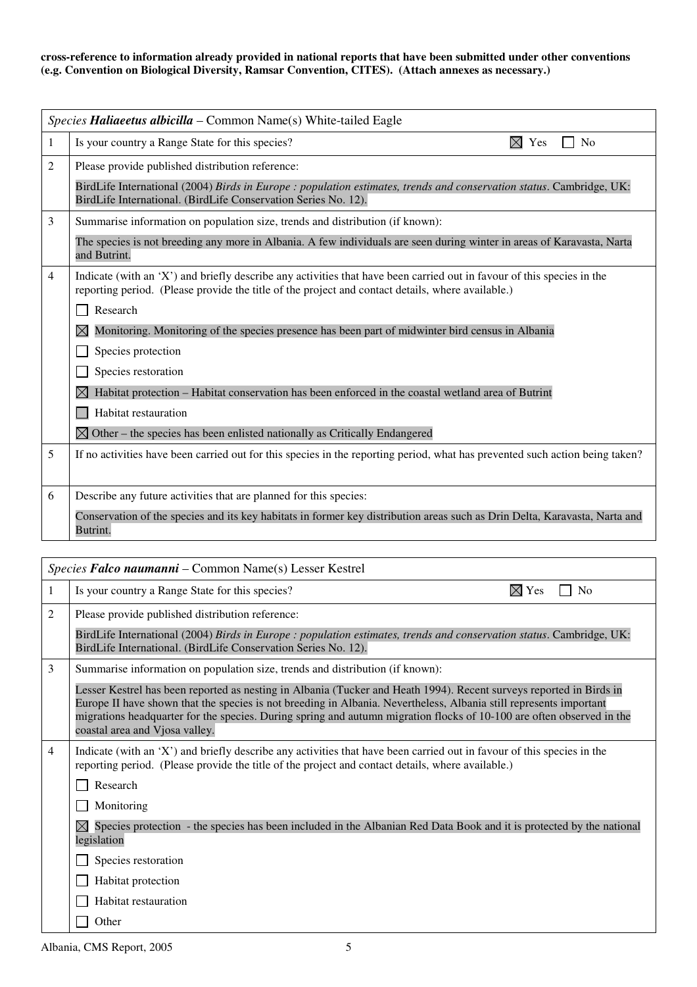#### **cross-reference to information already provided in national reports that have been submitted under other conventions (e.g. Convention on Biological Diversity, Ramsar Convention, CITES). (Attach annexes as necessary.)**

|   | Species Haliaeetus albicilla – Common Name(s) White-tailed Eagle                                                                                                                                                            |
|---|-----------------------------------------------------------------------------------------------------------------------------------------------------------------------------------------------------------------------------|
| 1 | Is your country a Range State for this species?<br>$\boxtimes$ Yes<br>No                                                                                                                                                    |
| 2 | Please provide published distribution reference:                                                                                                                                                                            |
|   | BirdLife International (2004) Birds in Europe : population estimates, trends and conservation status. Cambridge, UK:<br>BirdLife International. (BirdLife Conservation Series No. 12).                                      |
| 3 | Summarise information on population size, trends and distribution (if known):                                                                                                                                               |
|   | The species is not breeding any more in Albania. A few individuals are seen during winter in areas of Karavasta, Narta<br>and Butrint.                                                                                      |
| 4 | Indicate (with an 'X') and briefly describe any activities that have been carried out in favour of this species in the<br>reporting period. (Please provide the title of the project and contact details, where available.) |
|   | Research                                                                                                                                                                                                                    |
|   | Monitoring. Monitoring of the species presence has been part of midwinter bird census in Albania<br>IХI                                                                                                                     |
|   | Species protection                                                                                                                                                                                                          |
|   | Species restoration                                                                                                                                                                                                         |
|   | Habitat protection – Habitat conservation has been enforced in the coastal wetland area of Butrint                                                                                                                          |
|   | Habitat restauration                                                                                                                                                                                                        |
|   | $\boxtimes$ Other – the species has been enlisted nationally as Critically Endangered                                                                                                                                       |
| 5 | If no activities have been carried out for this species in the reporting period, what has prevented such action being taken?                                                                                                |
| 6 | Describe any future activities that are planned for this species:                                                                                                                                                           |
|   | Conservation of the species and its key habitats in former key distribution areas such as Drin Delta, Karavasta, Narta and<br>Butrint.                                                                                      |
|   |                                                                                                                                                                                                                             |
|   | Species Falco naumanni - Common Name(s) Lesser Kestrel                                                                                                                                                                      |
|   | $\overline{a}$<br>$ -$                                                                                                                                                                                                      |

| 1 | Is your country a Range State for this species?<br>N <sub>0</sub><br>Yes                                                                                                                                                                                                                                                                                                                             |
|---|------------------------------------------------------------------------------------------------------------------------------------------------------------------------------------------------------------------------------------------------------------------------------------------------------------------------------------------------------------------------------------------------------|
| 2 | Please provide published distribution reference:                                                                                                                                                                                                                                                                                                                                                     |
|   | BirdLife International (2004) Birds in Europe : population estimates, trends and conservation status. Cambridge, UK:<br>BirdLife International. (BirdLife Conservation Series No. 12).                                                                                                                                                                                                               |
| 3 | Summarise information on population size, trends and distribution (if known):                                                                                                                                                                                                                                                                                                                        |
|   | Lesser Kestrel has been reported as nesting in Albania (Tucker and Heath 1994). Recent surveys reported in Birds in<br>Europe II have shown that the species is not breeding in Albania. Nevertheless, Albania still represents important<br>migrations headquarter for the species. During spring and autumn migration flocks of 10-100 are often observed in the<br>coastal area and Vjosa valley. |
| 4 | Indicate (with an 'X') and briefly describe any activities that have been carried out in favour of this species in the<br>reporting period. (Please provide the title of the project and contact details, where available.)                                                                                                                                                                          |
|   | Research                                                                                                                                                                                                                                                                                                                                                                                             |
|   | Monitoring                                                                                                                                                                                                                                                                                                                                                                                           |
|   | $\boxtimes$ Species protection - the species has been included in the Albanian Red Data Book and it is protected by the national<br>legislation                                                                                                                                                                                                                                                      |
|   | Species restoration                                                                                                                                                                                                                                                                                                                                                                                  |
|   | Habitat protection                                                                                                                                                                                                                                                                                                                                                                                   |
|   | Habitat restauration                                                                                                                                                                                                                                                                                                                                                                                 |
|   | Other                                                                                                                                                                                                                                                                                                                                                                                                |

Albania, CMS Report, 2005 5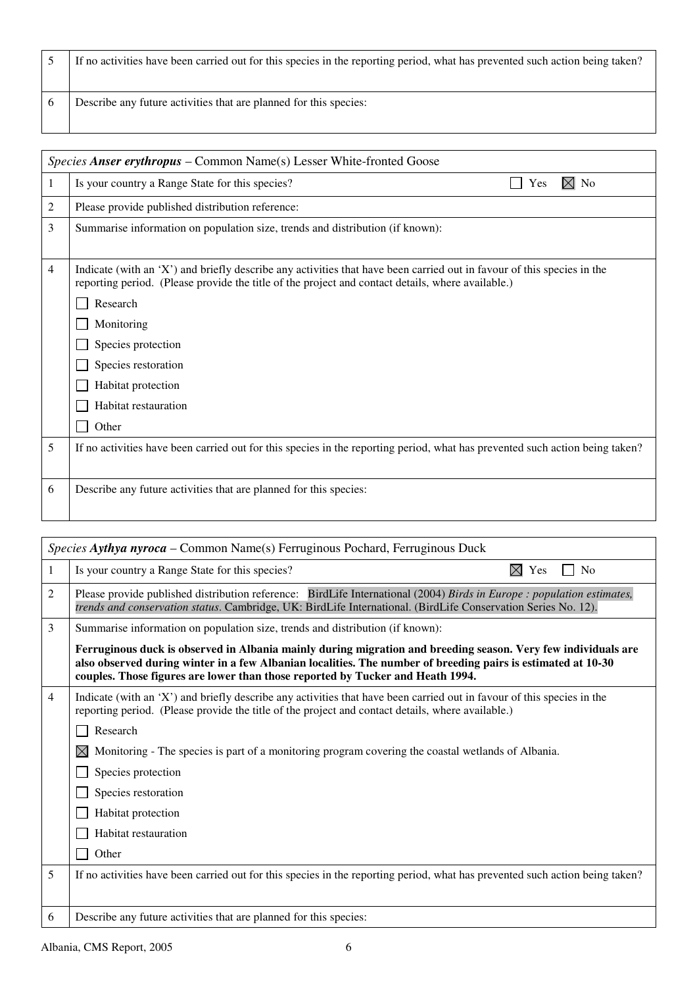5 If no activities have been carried out for this species in the reporting period, what has prevented such action being taken? 6 Describe any future activities that are planned for this species:

|   | <i>Species Anser erythropus – Common Name(s)</i> Lesser White-fronted Goose                                                                                                                                                 |
|---|-----------------------------------------------------------------------------------------------------------------------------------------------------------------------------------------------------------------------------|
| 1 | $\boxtimes$ No<br>Is your country a Range State for this species?<br>Yes                                                                                                                                                    |
| 2 | Please provide published distribution reference:                                                                                                                                                                            |
| 3 | Summarise information on population size, trends and distribution (if known):                                                                                                                                               |
|   |                                                                                                                                                                                                                             |
| 4 | Indicate (with an 'X') and briefly describe any activities that have been carried out in favour of this species in the<br>reporting period. (Please provide the title of the project and contact details, where available.) |
|   | Research                                                                                                                                                                                                                    |
|   | Monitoring                                                                                                                                                                                                                  |
|   | Species protection                                                                                                                                                                                                          |
|   | Species restoration                                                                                                                                                                                                         |
|   | Habitat protection                                                                                                                                                                                                          |
|   | Habitat restauration                                                                                                                                                                                                        |
|   | Other                                                                                                                                                                                                                       |
| 5 | If no activities have been carried out for this species in the reporting period, what has prevented such action being taken?                                                                                                |
|   |                                                                                                                                                                                                                             |
| 6 | Describe any future activities that are planned for this species:                                                                                                                                                           |
|   |                                                                                                                                                                                                                             |

|                | Species Aythya nyroca – Common Name(s) Ferruginous Pochard, Ferruginous Duck                                                                                                                                                                                                                                    |
|----------------|-----------------------------------------------------------------------------------------------------------------------------------------------------------------------------------------------------------------------------------------------------------------------------------------------------------------|
| 1              | $\boxtimes$<br>Is your country a Range State for this species?<br>Yes<br>N <sub>o</sub>                                                                                                                                                                                                                         |
| 2              | Please provide published distribution reference: BirdLife International (2004) Birds in Europe : population estimates,<br>trends and conservation status. Cambridge, UK: BirdLife International. (BirdLife Conservation Series No. 12).                                                                         |
| 3              | Summarise information on population size, trends and distribution (if known):                                                                                                                                                                                                                                   |
|                | Ferruginous duck is observed in Albania mainly during migration and breeding season. Very few individuals are<br>also observed during winter in a few Albanian localities. The number of breeding pairs is estimated at 10-30<br>couples. Those figures are lower than those reported by Tucker and Heath 1994. |
| $\overline{4}$ | Indicate (with an 'X') and briefly describe any activities that have been carried out in favour of this species in the<br>reporting period. (Please provide the title of the project and contact details, where available.)                                                                                     |
|                | Research                                                                                                                                                                                                                                                                                                        |
|                | $\bowtie$<br>Monitoring - The species is part of a monitoring program covering the coastal wetlands of Albania.                                                                                                                                                                                                 |
|                | Species protection                                                                                                                                                                                                                                                                                              |
|                | Species restoration                                                                                                                                                                                                                                                                                             |
|                | Habitat protection                                                                                                                                                                                                                                                                                              |
|                | Habitat restauration                                                                                                                                                                                                                                                                                            |
|                | Other                                                                                                                                                                                                                                                                                                           |
| 5              | If no activities have been carried out for this species in the reporting period, what has prevented such action being taken?                                                                                                                                                                                    |
| 6              | Describe any future activities that are planned for this species:                                                                                                                                                                                                                                               |
|                |                                                                                                                                                                                                                                                                                                                 |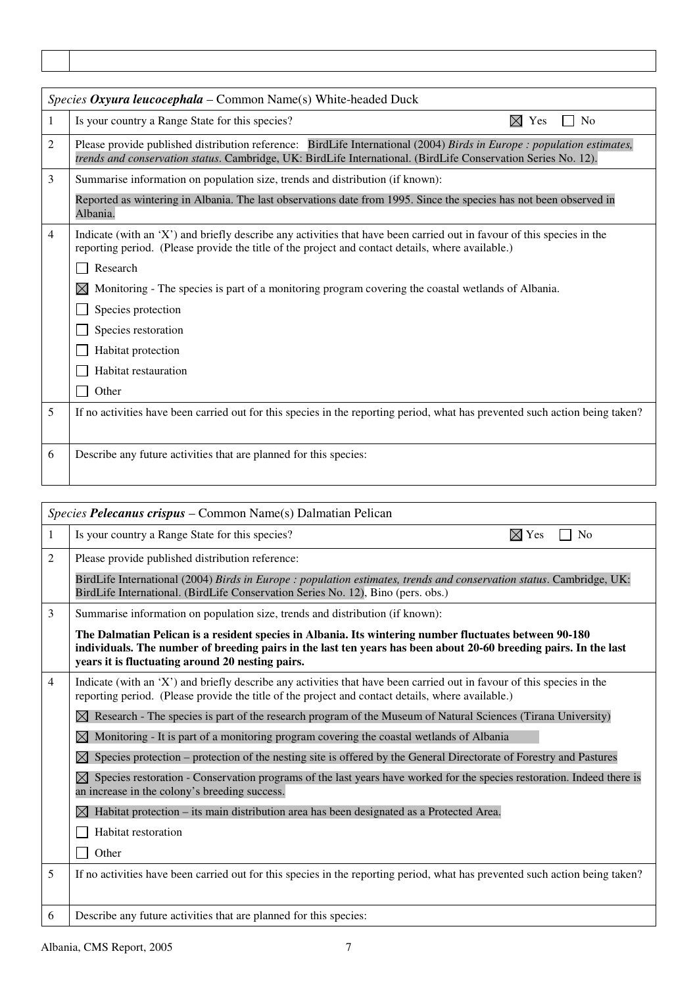|   | Species Oxyura leucocephala - Common Name(s) White-headed Duck                                                                                                                                                                          |
|---|-----------------------------------------------------------------------------------------------------------------------------------------------------------------------------------------------------------------------------------------|
| 1 | Is your country a Range State for this species?<br>$\boxtimes$ Yes<br>No                                                                                                                                                                |
| 2 | Please provide published distribution reference: BirdLife International (2004) Birds in Europe : population estimates,<br>trends and conservation status. Cambridge, UK: BirdLife International. (BirdLife Conservation Series No. 12). |
| 3 | Summarise information on population size, trends and distribution (if known):                                                                                                                                                           |
|   | Reported as wintering in Albania. The last observations date from 1995. Since the species has not been observed in<br>Albania.                                                                                                          |
| 4 | Indicate (with an 'X') and briefly describe any activities that have been carried out in favour of this species in the<br>reporting period. (Please provide the title of the project and contact details, where available.)             |
|   | Research                                                                                                                                                                                                                                |
|   | M<br>Monitoring - The species is part of a monitoring program covering the coastal wetlands of Albania.                                                                                                                                 |
|   | Species protection                                                                                                                                                                                                                      |
|   | Species restoration                                                                                                                                                                                                                     |
|   | Habitat protection                                                                                                                                                                                                                      |
|   | Habitat restauration                                                                                                                                                                                                                    |
|   | Other                                                                                                                                                                                                                                   |
| 5 | If no activities have been carried out for this species in the reporting period, what has prevented such action being taken?                                                                                                            |
|   |                                                                                                                                                                                                                                         |
| 6 | Describe any future activities that are planned for this species:                                                                                                                                                                       |
|   |                                                                                                                                                                                                                                         |

|                | Species Pelecanus crispus - Common Name(s) Dalmatian Pelican                                                                                                                                                                                                                   |
|----------------|--------------------------------------------------------------------------------------------------------------------------------------------------------------------------------------------------------------------------------------------------------------------------------|
| 1              | $\boxtimes$ Yes<br>Is your country a Range State for this species?<br>N <sub>0</sub>                                                                                                                                                                                           |
| 2              | Please provide published distribution reference:                                                                                                                                                                                                                               |
|                | BirdLife International (2004) Birds in Europe : population estimates, trends and conservation status. Cambridge, UK:<br>BirdLife International. (BirdLife Conservation Series No. 12), Bino (pers. obs.)                                                                       |
| 3              | Summarise information on population size, trends and distribution (if known):                                                                                                                                                                                                  |
|                | The Dalmatian Pelican is a resident species in Albania. Its wintering number fluctuates between 90-180<br>individuals. The number of breeding pairs in the last ten years has been about 20-60 breeding pairs. In the last<br>years it is fluctuating around 20 nesting pairs. |
| $\overline{4}$ | Indicate (with an 'X') and briefly describe any activities that have been carried out in favour of this species in the<br>reporting period. (Please provide the title of the project and contact details, where available.)                                                    |
|                | Research - The species is part of the research program of the Museum of Natural Sciences (Tirana University)                                                                                                                                                                   |
|                | Monitoring - It is part of a monitoring program covering the coastal wetlands of Albania<br>$\bowtie$                                                                                                                                                                          |
|                | Species protection – protection of the nesting site is offered by the General Directorate of Forestry and Pastures<br>$\bowtie$                                                                                                                                                |
|                | Species restoration - Conservation programs of the last years have worked for the species restoration. Indeed there is<br>$\boxtimes$<br>an increase in the colony's breeding success.                                                                                         |
|                | Habitat protection - its main distribution area has been designated as a Protected Area.<br>$\boxtimes$                                                                                                                                                                        |
|                | Habitat restoration                                                                                                                                                                                                                                                            |
|                | Other                                                                                                                                                                                                                                                                          |
| 5              | If no activities have been carried out for this species in the reporting period, what has prevented such action being taken?                                                                                                                                                   |
| 6              | Describe any future activities that are planned for this species:                                                                                                                                                                                                              |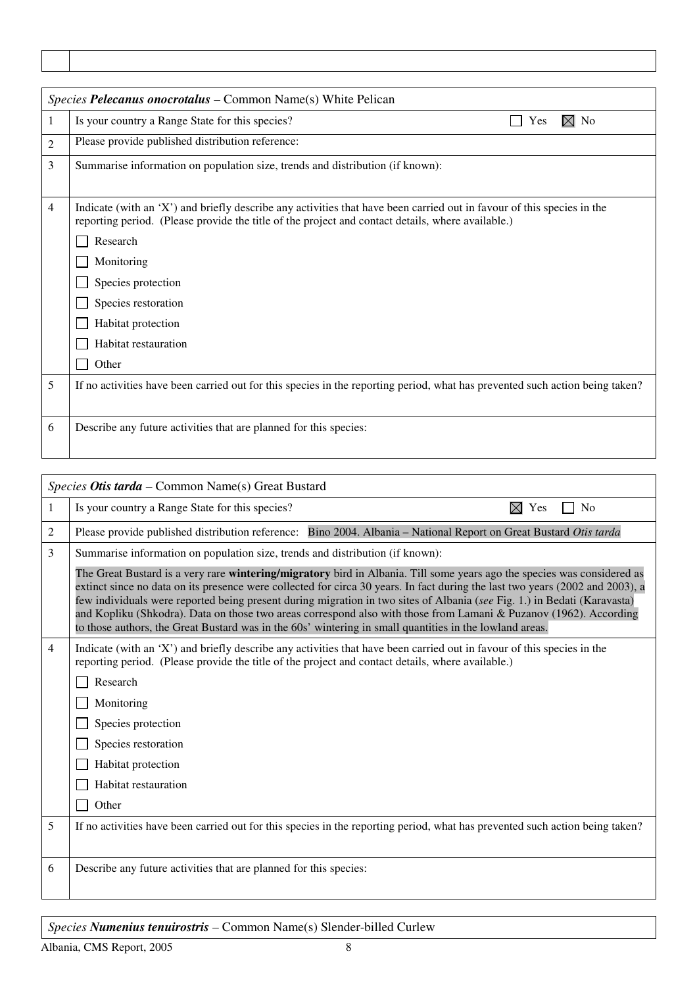|   | Species Pelecanus onocrotalus – Common Name(s) White Pelican                                                                                                                                                                |
|---|-----------------------------------------------------------------------------------------------------------------------------------------------------------------------------------------------------------------------------|
| 1 | $\boxtimes$ No<br>Is your country a Range State for this species?<br>Yes                                                                                                                                                    |
| 2 | Please provide published distribution reference:                                                                                                                                                                            |
| 3 | Summarise information on population size, trends and distribution (if known):                                                                                                                                               |
| 4 | Indicate (with an 'X') and briefly describe any activities that have been carried out in favour of this species in the<br>reporting period. (Please provide the title of the project and contact details, where available.) |
|   | Research                                                                                                                                                                                                                    |
|   | Monitoring                                                                                                                                                                                                                  |
|   | Species protection                                                                                                                                                                                                          |
|   | Species restoration                                                                                                                                                                                                         |
|   | Habitat protection                                                                                                                                                                                                          |
|   | Habitat restauration                                                                                                                                                                                                        |
|   | Other                                                                                                                                                                                                                       |
| 5 | If no activities have been carried out for this species in the reporting period, what has prevented such action being taken?                                                                                                |
| 6 | Describe any future activities that are planned for this species:                                                                                                                                                           |

|                | Species Otis tarda - Common Name(s) Great Bustard                                                                                                                                                                                                                                                                                                                                                                                                                                                                                                                                                                    |  |
|----------------|----------------------------------------------------------------------------------------------------------------------------------------------------------------------------------------------------------------------------------------------------------------------------------------------------------------------------------------------------------------------------------------------------------------------------------------------------------------------------------------------------------------------------------------------------------------------------------------------------------------------|--|
| 1              | $\boxtimes$ Yes<br>N <sub>o</sub><br>Is your country a Range State for this species?                                                                                                                                                                                                                                                                                                                                                                                                                                                                                                                                 |  |
| 2              | Please provide published distribution reference: Bino 2004. Albania - National Report on Great Bustard Otis tarda                                                                                                                                                                                                                                                                                                                                                                                                                                                                                                    |  |
| 3              | Summarise information on population size, trends and distribution (if known):                                                                                                                                                                                                                                                                                                                                                                                                                                                                                                                                        |  |
|                | The Great Bustard is a very rare wintering/migratory bird in Albania. Till some years ago the species was considered as<br>extinct since no data on its presence were collected for circa 30 years. In fact during the last two years (2002 and 2003), a<br>few individuals were reported being present during migration in two sites of Albania (see Fig. 1.) in Bedati (Karavasta)<br>and Kopliku (Shkodra). Data on those two areas correspond also with those from Lamani & Puzanov (1962). According<br>to those authors, the Great Bustard was in the 60s' wintering in small quantities in the lowland areas. |  |
| $\overline{4}$ | Indicate (with an 'X') and briefly describe any activities that have been carried out in favour of this species in the<br>reporting period. (Please provide the title of the project and contact details, where available.)                                                                                                                                                                                                                                                                                                                                                                                          |  |
|                | Research                                                                                                                                                                                                                                                                                                                                                                                                                                                                                                                                                                                                             |  |
|                | Monitoring                                                                                                                                                                                                                                                                                                                                                                                                                                                                                                                                                                                                           |  |
|                | Species protection                                                                                                                                                                                                                                                                                                                                                                                                                                                                                                                                                                                                   |  |
|                | Species restoration                                                                                                                                                                                                                                                                                                                                                                                                                                                                                                                                                                                                  |  |
|                | Habitat protection                                                                                                                                                                                                                                                                                                                                                                                                                                                                                                                                                                                                   |  |
|                | Habitat restauration                                                                                                                                                                                                                                                                                                                                                                                                                                                                                                                                                                                                 |  |
|                | Other                                                                                                                                                                                                                                                                                                                                                                                                                                                                                                                                                                                                                |  |
| 5              | If no activities have been carried out for this species in the reporting period, what has prevented such action being taken?                                                                                                                                                                                                                                                                                                                                                                                                                                                                                         |  |
| 6              | Describe any future activities that are planned for this species:                                                                                                                                                                                                                                                                                                                                                                                                                                                                                                                                                    |  |

*Species Numenius tenuirostris* – Common Name(s) Slender-billed Curlew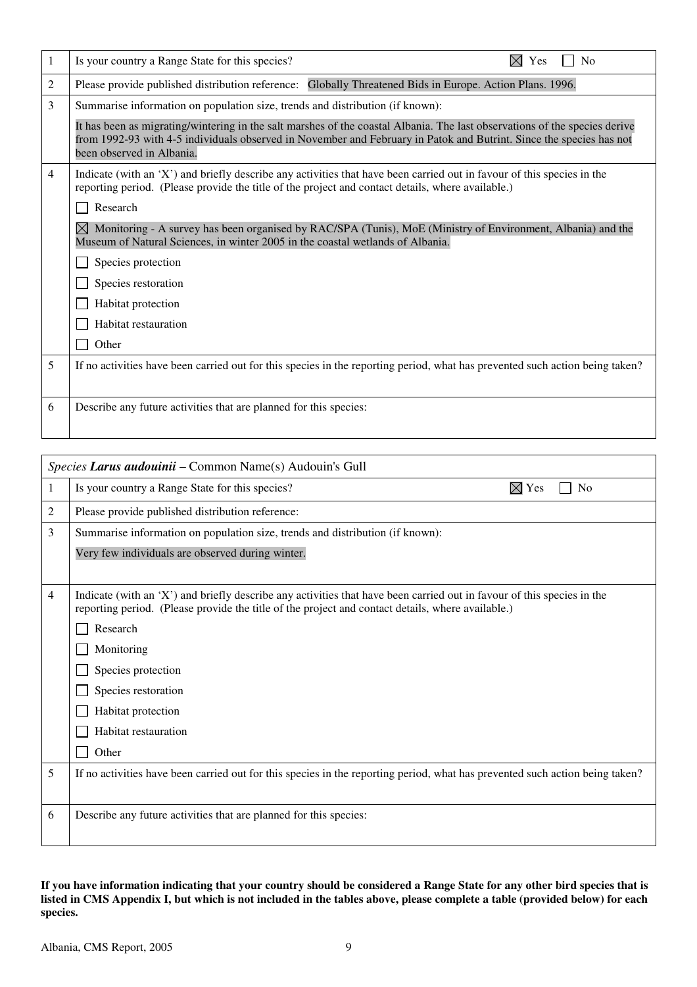| 1 | Is your country a Range State for this species?<br>Yes<br>N <sub>o</sub>                                                                                                                                                                                                       |
|---|--------------------------------------------------------------------------------------------------------------------------------------------------------------------------------------------------------------------------------------------------------------------------------|
| 2 | Please provide published distribution reference: Globally Threatened Bids in Europe. Action Plans. 1996.                                                                                                                                                                       |
| 3 | Summarise information on population size, trends and distribution (if known):                                                                                                                                                                                                  |
|   | It has been as migrating/wintering in the salt marshes of the coastal Albania. The last observations of the species derive<br>from 1992-93 with 4-5 individuals observed in November and February in Patok and Butrint. Since the species has not<br>been observed in Albania. |
| 4 | Indicate (with an 'X') and briefly describe any activities that have been carried out in favour of this species in the<br>reporting period. (Please provide the title of the project and contact details, where available.)                                                    |
|   | Research                                                                                                                                                                                                                                                                       |
|   | Monitoring - A survey has been organised by RAC/SPA (Tunis), MoE (Ministry of Environment, Albania) and the<br>Museum of Natural Sciences, in winter 2005 in the coastal wetlands of Albania.                                                                                  |
|   | Species protection                                                                                                                                                                                                                                                             |
|   | Species restoration                                                                                                                                                                                                                                                            |
|   | Habitat protection                                                                                                                                                                                                                                                             |
|   | Habitat restauration                                                                                                                                                                                                                                                           |
|   | Other                                                                                                                                                                                                                                                                          |
| 5 | If no activities have been carried out for this species in the reporting period, what has prevented such action being taken?                                                                                                                                                   |
| 6 | Describe any future activities that are planned for this species:                                                                                                                                                                                                              |

|   | Species Larus audouinii – Common Name(s) Audouin's Gull                                                                                                                                                                     |
|---|-----------------------------------------------------------------------------------------------------------------------------------------------------------------------------------------------------------------------------|
| 1 | $\boxtimes$ Yes<br>Is your country a Range State for this species?<br>N <sub>o</sub>                                                                                                                                        |
| 2 | Please provide published distribution reference:                                                                                                                                                                            |
| 3 | Summarise information on population size, trends and distribution (if known):                                                                                                                                               |
|   | Very few individuals are observed during winter.                                                                                                                                                                            |
|   |                                                                                                                                                                                                                             |
| 4 | Indicate (with an 'X') and briefly describe any activities that have been carried out in favour of this species in the<br>reporting period. (Please provide the title of the project and contact details, where available.) |
|   | Research                                                                                                                                                                                                                    |
|   | Monitoring                                                                                                                                                                                                                  |
|   | Species protection                                                                                                                                                                                                          |
|   | Species restoration                                                                                                                                                                                                         |
|   | Habitat protection                                                                                                                                                                                                          |
|   | Habitat restauration                                                                                                                                                                                                        |
|   | Other                                                                                                                                                                                                                       |
| 5 | If no activities have been carried out for this species in the reporting period, what has prevented such action being taken?                                                                                                |
|   |                                                                                                                                                                                                                             |
| 6 | Describe any future activities that are planned for this species:                                                                                                                                                           |
|   |                                                                                                                                                                                                                             |

**If you have information indicating that your country should be considered a Range State for any other bird species that is listed in CMS Appendix I, but which is not included in the tables above, please complete a table (provided below) for each species.**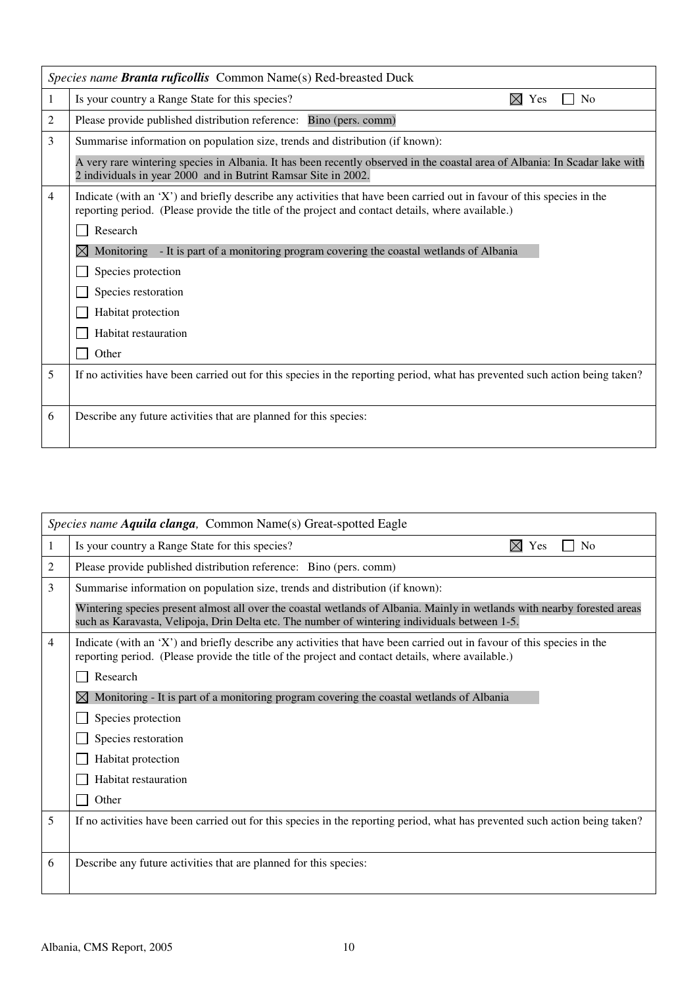|   | Species name Branta ruficollis Common Name(s) Red-breasted Duck                                                                                                                                                             |  |  |
|---|-----------------------------------------------------------------------------------------------------------------------------------------------------------------------------------------------------------------------------|--|--|
| 1 | Is your country a Range State for this species?<br>$\boxtimes$ Yes<br>N <sub>0</sub>                                                                                                                                        |  |  |
| 2 | Please provide published distribution reference: Bino (pers. comm)                                                                                                                                                          |  |  |
| 3 | Summarise information on population size, trends and distribution (if known):                                                                                                                                               |  |  |
|   | A very rare wintering species in Albania. It has been recently observed in the coastal area of Albania: In Scadar lake with<br>2 individuals in year 2000 and in Butrint Ramsar Site in 2002.                               |  |  |
| 4 | Indicate (with an 'X') and briefly describe any activities that have been carried out in favour of this species in the<br>reporting period. (Please provide the title of the project and contact details, where available.) |  |  |
|   | Research                                                                                                                                                                                                                    |  |  |
|   | Monitoring - It is part of a monitoring program covering the coastal wetlands of Albania                                                                                                                                    |  |  |
|   | Species protection                                                                                                                                                                                                          |  |  |
|   | Species restoration                                                                                                                                                                                                         |  |  |
|   | Habitat protection                                                                                                                                                                                                          |  |  |
|   | Habitat restauration                                                                                                                                                                                                        |  |  |
|   | Other                                                                                                                                                                                                                       |  |  |
| 5 | If no activities have been carried out for this species in the reporting period, what has prevented such action being taken?                                                                                                |  |  |
|   |                                                                                                                                                                                                                             |  |  |
| 6 | Describe any future activities that are planned for this species:                                                                                                                                                           |  |  |

| Species name Aquila clanga, Common Name(s) Great-spotted Eagle |                                                                                                                                                                                                                             |  |
|----------------------------------------------------------------|-----------------------------------------------------------------------------------------------------------------------------------------------------------------------------------------------------------------------------|--|
| 1                                                              | ⊠<br>Is your country a Range State for this species?<br>Yes<br>N <sub>0</sub>                                                                                                                                               |  |
| 2                                                              | Please provide published distribution reference: Bino (pers. comm)                                                                                                                                                          |  |
| 3                                                              | Summarise information on population size, trends and distribution (if known):                                                                                                                                               |  |
|                                                                | Wintering species present almost all over the coastal wetlands of Albania. Mainly in wetlands with nearby forested areas<br>such as Karavasta, Velipoja, Drin Delta etc. The number of wintering individuals between 1-5.   |  |
| 4                                                              | Indicate (with an 'X') and briefly describe any activities that have been carried out in favour of this species in the<br>reporting period. (Please provide the title of the project and contact details, where available.) |  |
|                                                                | Research                                                                                                                                                                                                                    |  |
|                                                                | Monitoring - It is part of a monitoring program covering the coastal wetlands of Albania                                                                                                                                    |  |
|                                                                | Species protection                                                                                                                                                                                                          |  |
|                                                                | Species restoration                                                                                                                                                                                                         |  |
|                                                                | Habitat protection                                                                                                                                                                                                          |  |
|                                                                | Habitat restauration                                                                                                                                                                                                        |  |
|                                                                | Other                                                                                                                                                                                                                       |  |
| 5                                                              | If no activities have been carried out for this species in the reporting period, what has prevented such action being taken?                                                                                                |  |
|                                                                |                                                                                                                                                                                                                             |  |
| 6                                                              | Describe any future activities that are planned for this species:                                                                                                                                                           |  |
|                                                                |                                                                                                                                                                                                                             |  |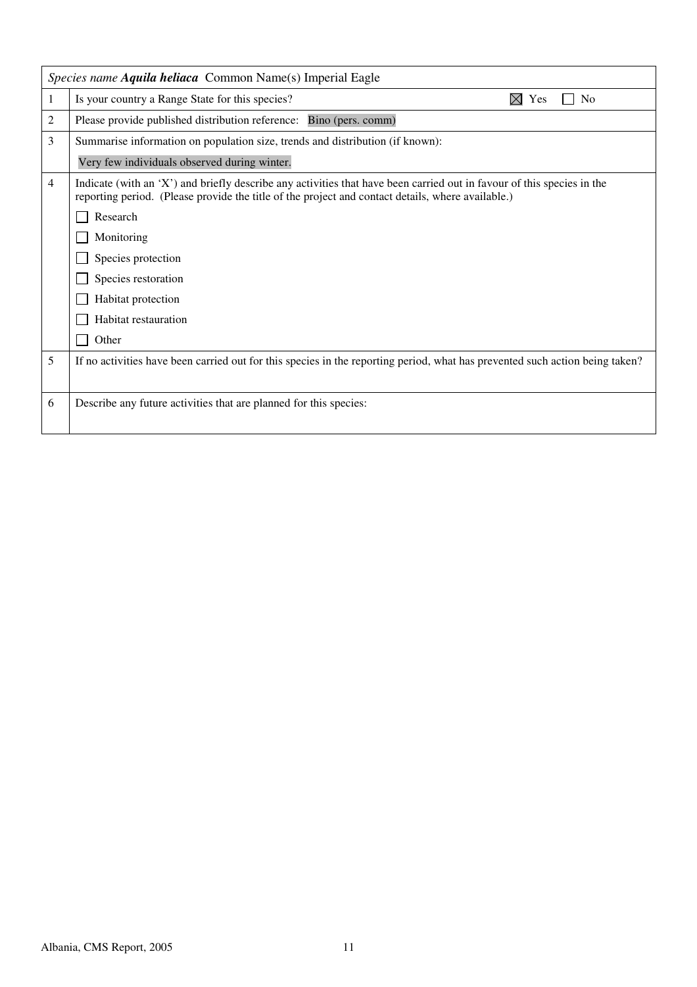|   | Species name Aquila heliaca Common Name(s) Imperial Eagle                                                                                                                                                                   |  |
|---|-----------------------------------------------------------------------------------------------------------------------------------------------------------------------------------------------------------------------------|--|
| 1 | Is your country a Range State for this species?<br>M<br>N <sub>0</sub><br>Yes                                                                                                                                               |  |
| 2 | Please provide published distribution reference: Bino (pers. comm)                                                                                                                                                          |  |
| 3 | Summarise information on population size, trends and distribution (if known):                                                                                                                                               |  |
|   | Very few individuals observed during winter.                                                                                                                                                                                |  |
| 4 | Indicate (with an 'X') and briefly describe any activities that have been carried out in favour of this species in the<br>reporting period. (Please provide the title of the project and contact details, where available.) |  |
|   | Research                                                                                                                                                                                                                    |  |
|   | Monitoring                                                                                                                                                                                                                  |  |
|   | Species protection                                                                                                                                                                                                          |  |
|   | Species restoration                                                                                                                                                                                                         |  |
|   | Habitat protection                                                                                                                                                                                                          |  |
|   | Habitat restauration                                                                                                                                                                                                        |  |
|   | Other                                                                                                                                                                                                                       |  |
| 5 | If no activities have been carried out for this species in the reporting period, what has prevented such action being taken?                                                                                                |  |
|   |                                                                                                                                                                                                                             |  |
| 6 | Describe any future activities that are planned for this species:                                                                                                                                                           |  |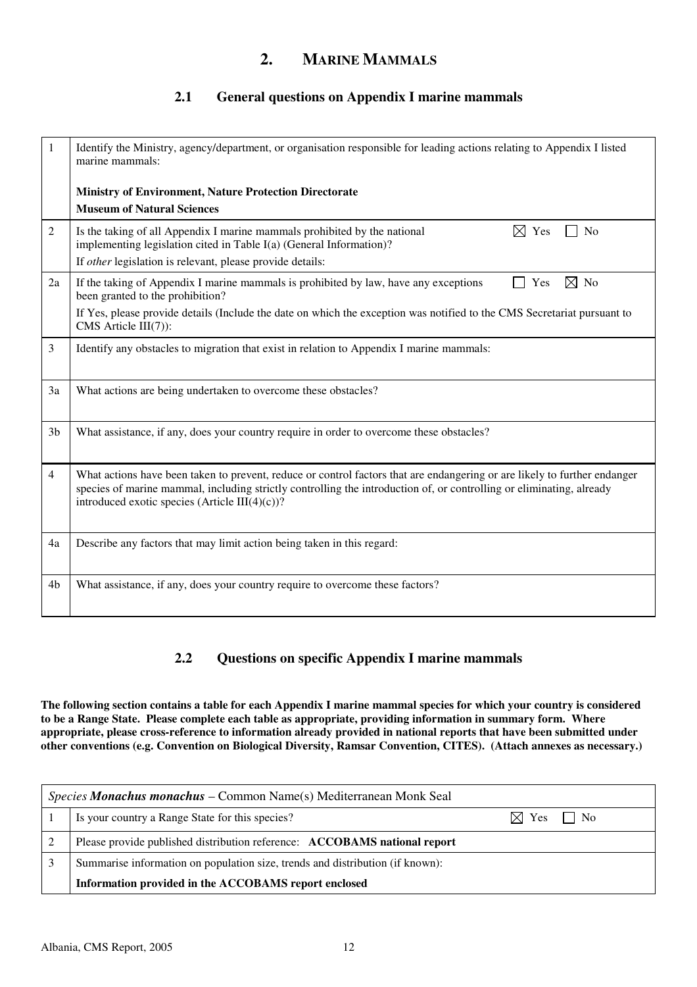## **2. MARINE MAMMALS**

## **2.1 General questions on Appendix I marine mammals**

| 1              | Identify the Ministry, agency/department, or organisation responsible for leading actions relating to Appendix I listed<br>marine mammals:                                                                                                                                                          |
|----------------|-----------------------------------------------------------------------------------------------------------------------------------------------------------------------------------------------------------------------------------------------------------------------------------------------------|
|                | <b>Ministry of Environment, Nature Protection Directorate</b>                                                                                                                                                                                                                                       |
|                | <b>Museum of Natural Sciences</b>                                                                                                                                                                                                                                                                   |
| 2              | Is the taking of all Appendix I marine mammals prohibited by the national<br>$\boxtimes$ Yes<br>No<br>implementing legislation cited in Table I(a) (General Information)?                                                                                                                           |
|                | If other legislation is relevant, please provide details:                                                                                                                                                                                                                                           |
| 2a             | $\boxtimes$ No<br>If the taking of Appendix I marine mammals is prohibited by law, have any exceptions<br>Yes<br>been granted to the prohibition?                                                                                                                                                   |
|                | If Yes, please provide details (Include the date on which the exception was notified to the CMS Secretariat pursuant to<br>CMS Article III(7)):                                                                                                                                                     |
| 3              | Identify any obstacles to migration that exist in relation to Appendix I marine mammals:                                                                                                                                                                                                            |
| 3a             | What actions are being undertaken to overcome these obstacles?                                                                                                                                                                                                                                      |
| 3 <sub>b</sub> | What assistance, if any, does your country require in order to overcome these obstacles?                                                                                                                                                                                                            |
| 4              | What actions have been taken to prevent, reduce or control factors that are endangering or are likely to further endanger<br>species of marine mammal, including strictly controlling the introduction of, or controlling or eliminating, already<br>introduced exotic species (Article III(4)(c))? |
| 4a             | Describe any factors that may limit action being taken in this regard:                                                                                                                                                                                                                              |
| 4 <sub>b</sub> | What assistance, if any, does your country require to overcome these factors?                                                                                                                                                                                                                       |

## **2.2 Questions on specific Appendix I marine mammals**

**The following section contains a table for each Appendix I marine mammal species for which your country is considered to be a Range State. Please complete each table as appropriate, providing information in summary form. Where appropriate, please cross-reference to information already provided in national reports that have been submitted under other conventions (e.g. Convention on Biological Diversity, Ramsar Convention, CITES). (Attach annexes as necessary.)** 

| <i>Species Monachus monachus – Common Name(s) Mediterranean Monk Seal</i> |                                                                               |                           |  |
|---------------------------------------------------------------------------|-------------------------------------------------------------------------------|---------------------------|--|
|                                                                           | Is your country a Range State for this species?                               | $\boxtimes$ Yes $\Box$ No |  |
|                                                                           | Please provide published distribution reference: ACCOBAMS national report     |                           |  |
|                                                                           | Summarise information on population size, trends and distribution (if known): |                           |  |
|                                                                           | Information provided in the ACCOBAMS report enclosed                          |                           |  |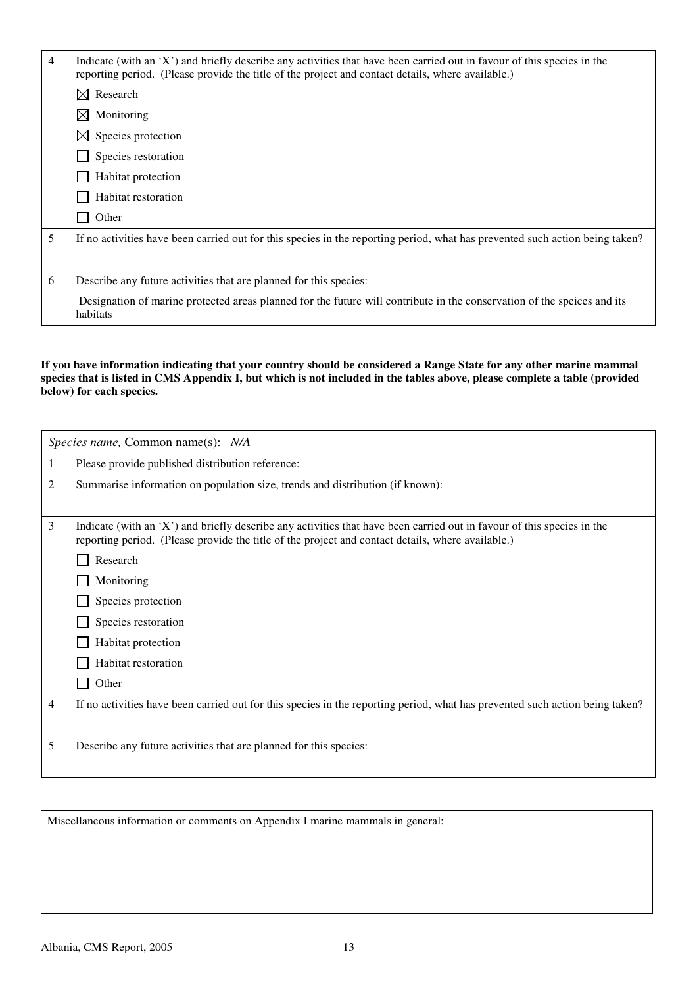| $\overline{4}$ | Indicate (with an 'X') and briefly describe any activities that have been carried out in favour of this species in the<br>reporting period. (Please provide the title of the project and contact details, where available.) |  |  |
|----------------|-----------------------------------------------------------------------------------------------------------------------------------------------------------------------------------------------------------------------------|--|--|
|                | $\boxtimes$ Research                                                                                                                                                                                                        |  |  |
|                | $\boxtimes$ Monitoring                                                                                                                                                                                                      |  |  |
|                | $\boxtimes$ Species protection                                                                                                                                                                                              |  |  |
|                | Species restoration                                                                                                                                                                                                         |  |  |
|                | Habitat protection                                                                                                                                                                                                          |  |  |
|                | Habitat restoration                                                                                                                                                                                                         |  |  |
|                | Other                                                                                                                                                                                                                       |  |  |
| 5              | If no activities have been carried out for this species in the reporting period, what has prevented such action being taken?                                                                                                |  |  |
|                |                                                                                                                                                                                                                             |  |  |
| 6              | Describe any future activities that are planned for this species:                                                                                                                                                           |  |  |
|                | Designation of marine protected areas planned for the future will contribute in the conservation of the speices and its<br>habitats                                                                                         |  |  |

#### **If you have information indicating that your country should be considered a Range State for any other marine mammal**  species that is listed in CMS Appendix I, but which is <u>not</u> included in the tables above, please complete a table (provided **below) for each species.**

|   | Species name, Common name(s): N/A                                                                                                                                                                                           |  |  |
|---|-----------------------------------------------------------------------------------------------------------------------------------------------------------------------------------------------------------------------------|--|--|
| 1 | Please provide published distribution reference:                                                                                                                                                                            |  |  |
| 2 | Summarise information on population size, trends and distribution (if known):                                                                                                                                               |  |  |
|   |                                                                                                                                                                                                                             |  |  |
| 3 | Indicate (with an 'X') and briefly describe any activities that have been carried out in favour of this species in the<br>reporting period. (Please provide the title of the project and contact details, where available.) |  |  |
|   | Research                                                                                                                                                                                                                    |  |  |
|   | Monitoring                                                                                                                                                                                                                  |  |  |
|   | Species protection                                                                                                                                                                                                          |  |  |
|   | Species restoration                                                                                                                                                                                                         |  |  |
|   | Habitat protection                                                                                                                                                                                                          |  |  |
|   | Habitat restoration                                                                                                                                                                                                         |  |  |
|   | Other                                                                                                                                                                                                                       |  |  |
| 4 | If no activities have been carried out for this species in the reporting period, what has prevented such action being taken?                                                                                                |  |  |
|   |                                                                                                                                                                                                                             |  |  |
| 5 | Describe any future activities that are planned for this species:                                                                                                                                                           |  |  |
|   |                                                                                                                                                                                                                             |  |  |

Miscellaneous information or comments on Appendix I marine mammals in general: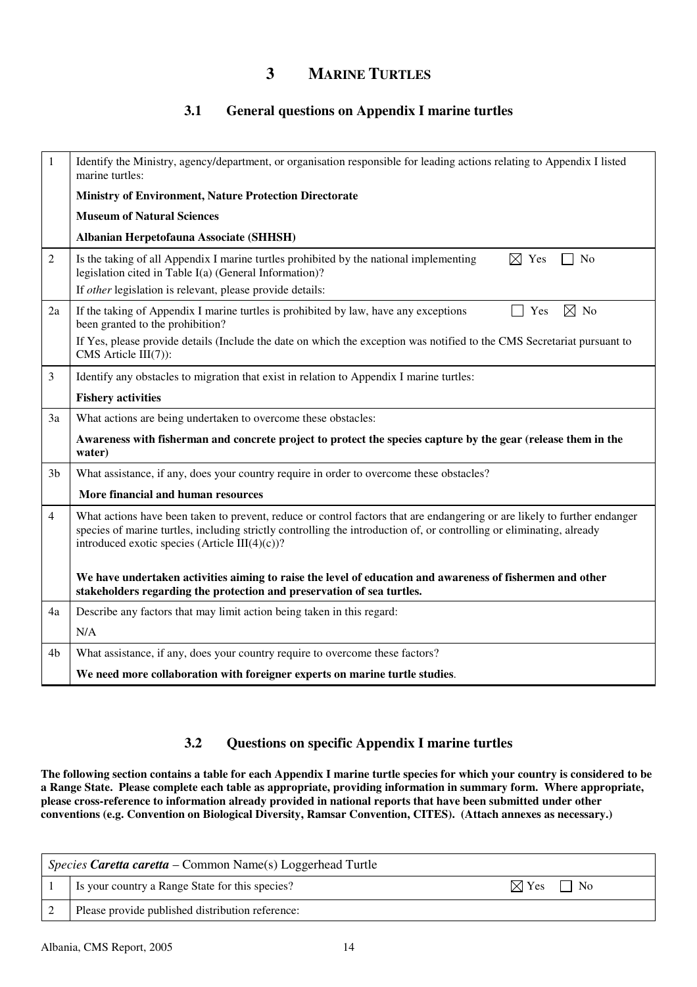## **3 MARINE TURTLES**

### **3.1 General questions on Appendix I marine turtles**

| 1              | Identify the Ministry, agency/department, or organisation responsible for leading actions relating to Appendix I listed<br>marine turtles:                                                                                                                                                           |
|----------------|------------------------------------------------------------------------------------------------------------------------------------------------------------------------------------------------------------------------------------------------------------------------------------------------------|
|                | <b>Ministry of Environment, Nature Protection Directorate</b>                                                                                                                                                                                                                                        |
|                | <b>Museum of Natural Sciences</b>                                                                                                                                                                                                                                                                    |
|                | Albanian Herpetofauna Associate (SHHSH)                                                                                                                                                                                                                                                              |
| 2              | N <sub>o</sub><br>Is the taking of all Appendix I marine turtles prohibited by the national implementing<br>$\boxtimes$ Yes<br>legislation cited in Table I(a) (General Information)?                                                                                                                |
|                | If other legislation is relevant, please provide details:                                                                                                                                                                                                                                            |
| 2a             | ⊠<br>If the taking of Appendix I marine turtles is prohibited by law, have any exceptions<br>Yes<br>No<br>been granted to the prohibition?                                                                                                                                                           |
|                | If Yes, please provide details (Include the date on which the exception was notified to the CMS Secretariat pursuant to<br>CMS Article III(7)):                                                                                                                                                      |
| 3              | Identify any obstacles to migration that exist in relation to Appendix I marine turtles:                                                                                                                                                                                                             |
|                | <b>Fishery activities</b>                                                                                                                                                                                                                                                                            |
| 3a             | What actions are being undertaken to overcome these obstacles:                                                                                                                                                                                                                                       |
|                | Awareness with fisherman and concrete project to protect the species capture by the gear (release them in the<br>water)                                                                                                                                                                              |
| 3 <sub>b</sub> | What assistance, if any, does your country require in order to overcome these obstacles?                                                                                                                                                                                                             |
|                | More financial and human resources                                                                                                                                                                                                                                                                   |
| $\overline{4}$ | What actions have been taken to prevent, reduce or control factors that are endangering or are likely to further endanger<br>species of marine turtles, including strictly controlling the introduction of, or controlling or eliminating, already<br>introduced exotic species (Article III(4)(c))? |
|                | We have undertaken activities aiming to raise the level of education and awareness of fishermen and other<br>stakeholders regarding the protection and preservation of sea turtles.                                                                                                                  |
| 4a             | Describe any factors that may limit action being taken in this regard:                                                                                                                                                                                                                               |
|                | N/A                                                                                                                                                                                                                                                                                                  |
| 4b             | What assistance, if any, does your country require to overcome these factors?                                                                                                                                                                                                                        |
|                | We need more collaboration with foreigner experts on marine turtle studies.                                                                                                                                                                                                                          |

### **3.2 Questions on specific Appendix I marine turtles**

**The following section contains a table for each Appendix I marine turtle species for which your country is considered to be a Range State. Please complete each table as appropriate, providing information in summary form. Where appropriate, please cross-reference to information already provided in national reports that have been submitted under other conventions (e.g. Convention on Biological Diversity, Ramsar Convention, CITES). (Attach annexes as necessary.)** 

| <i>Species Caretta caretta – Common Name(s)</i> Loggerhead Turtle |                                                  |                                                |
|-------------------------------------------------------------------|--------------------------------------------------|------------------------------------------------|
|                                                                   | Is your country a Range State for this species?  | $\bowtie$ Yes  <br>$\overline{\phantom{1}}$ No |
|                                                                   | Please provide published distribution reference: |                                                |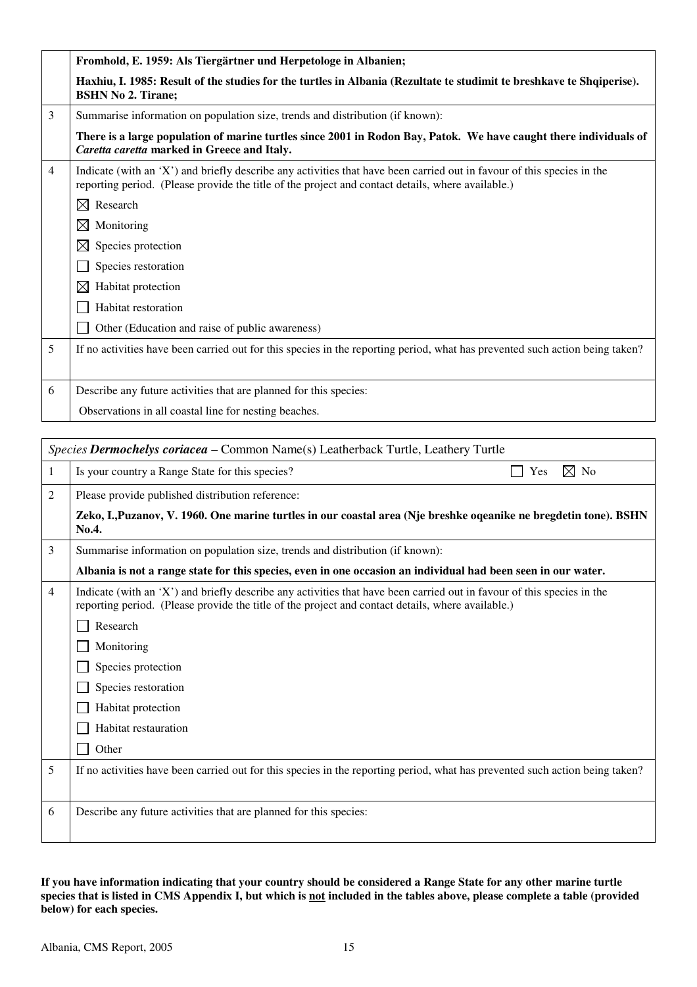|                | Fromhold, E. 1959: Als Tiergärtner und Herpetologe in Albanien;                                                                                                                                                             |
|----------------|-----------------------------------------------------------------------------------------------------------------------------------------------------------------------------------------------------------------------------|
|                | Haxhiu, I. 1985: Result of the studies for the turtles in Albania (Rezultate te studimit te breshkave te Shqiperise).<br><b>BSHN No 2. Tirane;</b>                                                                          |
| 3              | Summarise information on population size, trends and distribution (if known):                                                                                                                                               |
|                | There is a large population of marine turtles since 2001 in Rodon Bay, Patok. We have caught there individuals of<br>Caretta caretta marked in Greece and Italy.                                                            |
| $\overline{4}$ | Indicate (with an 'X') and briefly describe any activities that have been carried out in favour of this species in the<br>reporting period. (Please provide the title of the project and contact details, where available.) |
|                | Research<br>M                                                                                                                                                                                                               |
|                | ⊠<br>Monitoring                                                                                                                                                                                                             |
|                | $\bowtie$<br>Species protection                                                                                                                                                                                             |
|                | Species restoration                                                                                                                                                                                                         |
|                | $\bowtie$<br>Habitat protection                                                                                                                                                                                             |
|                | Habitat restoration                                                                                                                                                                                                         |
|                | Other (Education and raise of public awareness)                                                                                                                                                                             |
| 5              | If no activities have been carried out for this species in the reporting period, what has prevented such action being taken?                                                                                                |
|                |                                                                                                                                                                                                                             |
| 6              | Describe any future activities that are planned for this species:                                                                                                                                                           |
|                | Observations in all coastal line for nesting beaches.                                                                                                                                                                       |

|                | Species Dermochelys coriacea – Common Name(s) Leatherback Turtle, Leathery Turtle                                                                                                                                           |  |
|----------------|-----------------------------------------------------------------------------------------------------------------------------------------------------------------------------------------------------------------------------|--|
| 1              | $\boxtimes$ No<br>Is your country a Range State for this species?<br>Yes                                                                                                                                                    |  |
| 2              | Please provide published distribution reference:                                                                                                                                                                            |  |
|                | Zeko, I., Puzanov, V. 1960. One marine turtles in our coastal area (Nje breshke oqeanike ne bregdetin tone). BSHN<br>No.4.                                                                                                  |  |
| 3              | Summarise information on population size, trends and distribution (if known):                                                                                                                                               |  |
|                | Albania is not a range state for this species, even in one occasion an individual had been seen in our water.                                                                                                               |  |
| $\overline{4}$ | Indicate (with an 'X') and briefly describe any activities that have been carried out in favour of this species in the<br>reporting period. (Please provide the title of the project and contact details, where available.) |  |
|                | Research                                                                                                                                                                                                                    |  |
|                | Monitoring                                                                                                                                                                                                                  |  |
|                | Species protection                                                                                                                                                                                                          |  |
|                | Species restoration                                                                                                                                                                                                         |  |
|                | Habitat protection                                                                                                                                                                                                          |  |
|                | Habitat restauration                                                                                                                                                                                                        |  |
|                | Other                                                                                                                                                                                                                       |  |
| 5              | If no activities have been carried out for this species in the reporting period, what has prevented such action being taken?                                                                                                |  |
| 6              | Describe any future activities that are planned for this species:                                                                                                                                                           |  |

**If you have information indicating that your country should be considered a Range State for any other marine turtle**  species that is listed in CMS Appendix I, but which is <u>not</u> included in the tables above, please complete a table (provided **below) for each species.**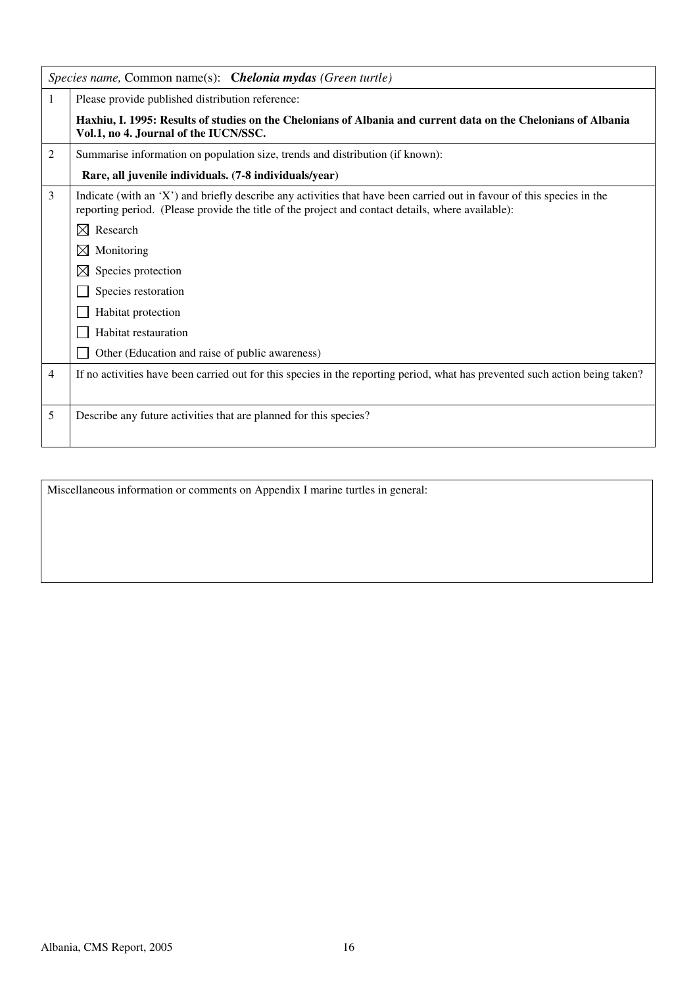|   | Species name, Common name(s): Chelonia mydas (Green turtle)                                                                                                                                                                 |
|---|-----------------------------------------------------------------------------------------------------------------------------------------------------------------------------------------------------------------------------|
|   | Please provide published distribution reference:                                                                                                                                                                            |
|   | Haxhiu, I. 1995: Results of studies on the Chelonians of Albania and current data on the Chelonians of Albania<br>Vol.1, no 4. Journal of the IUCN/SSC.                                                                     |
| 2 | Summarise information on population size, trends and distribution (if known):                                                                                                                                               |
|   | Rare, all juvenile individuals. (7-8 individuals/year)                                                                                                                                                                      |
| 3 | Indicate (with an 'X') and briefly describe any activities that have been carried out in favour of this species in the<br>reporting period. (Please provide the title of the project and contact details, where available): |
|   | Research<br>$\boxtimes$                                                                                                                                                                                                     |
|   | $\boxtimes$<br>Monitoring                                                                                                                                                                                                   |
|   | $\boxtimes$<br>Species protection                                                                                                                                                                                           |
|   | Species restoration                                                                                                                                                                                                         |
|   | Habitat protection                                                                                                                                                                                                          |
|   | Habitat restauration                                                                                                                                                                                                        |
|   | Other (Education and raise of public awareness)                                                                                                                                                                             |
| 4 | If no activities have been carried out for this species in the reporting period, what has prevented such action being taken?                                                                                                |
|   |                                                                                                                                                                                                                             |
| 5 | Describe any future activities that are planned for this species?                                                                                                                                                           |
|   |                                                                                                                                                                                                                             |

Miscellaneous information or comments on Appendix I marine turtles in general: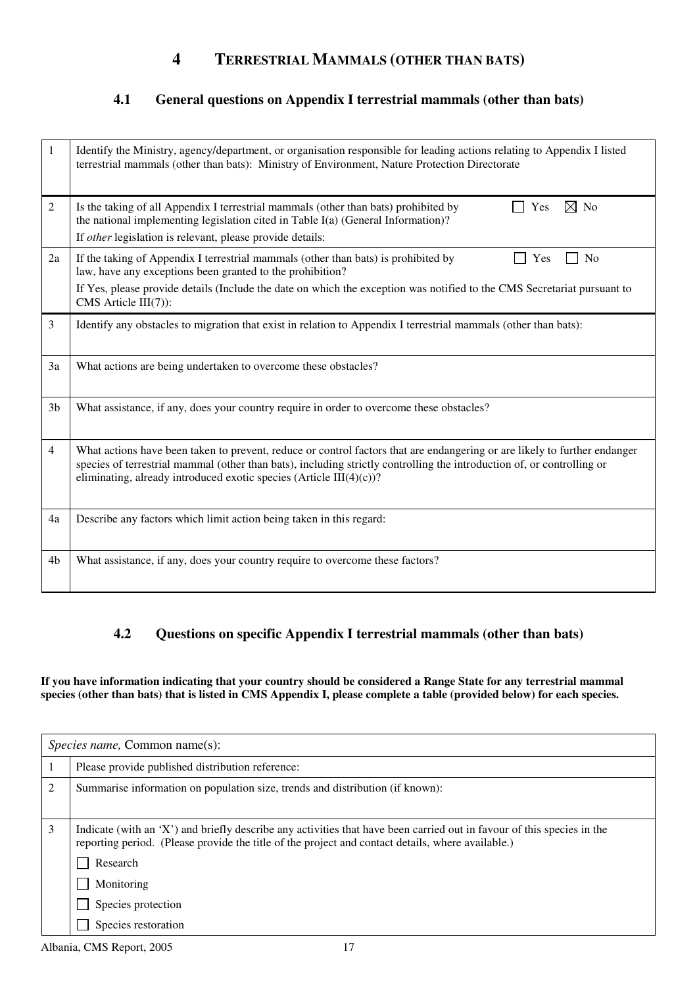## **4 TERRESTRIAL MAMMALS (OTHER THAN BATS)**

## **4.1 General questions on Appendix I terrestrial mammals (other than bats)**

| 1              | Identify the Ministry, agency/department, or organisation responsible for leading actions relating to Appendix I listed<br>terrestrial mammals (other than bats): Ministry of Environment, Nature Protection Directorate                                                                                                       |
|----------------|--------------------------------------------------------------------------------------------------------------------------------------------------------------------------------------------------------------------------------------------------------------------------------------------------------------------------------|
| 2              | $\boxtimes$ No<br>Is the taking of all Appendix I terrestrial mammals (other than bats) prohibited by<br>Yes<br>the national implementing legislation cited in Table I(a) (General Information)?                                                                                                                               |
|                | If other legislation is relevant, please provide details:                                                                                                                                                                                                                                                                      |
| 2a             | If the taking of Appendix I terrestrial mammals (other than bats) is prohibited by<br>N <sub>o</sub><br>Yes<br>law, have any exceptions been granted to the prohibition?                                                                                                                                                       |
|                | If Yes, please provide details (Include the date on which the exception was notified to the CMS Secretariat pursuant to<br>CMS Article III(7)):                                                                                                                                                                                |
| 3              | Identify any obstacles to migration that exist in relation to Appendix I terrestrial mammals (other than bats):                                                                                                                                                                                                                |
| 3a             | What actions are being undertaken to overcome these obstacles?                                                                                                                                                                                                                                                                 |
| 3 <sub>b</sub> | What assistance, if any, does your country require in order to overcome these obstacles?                                                                                                                                                                                                                                       |
| $\overline{4}$ | What actions have been taken to prevent, reduce or control factors that are endangering or are likely to further endanger<br>species of terrestrial mammal (other than bats), including strictly controlling the introduction of, or controlling or<br>eliminating, already introduced exotic species (Article III $(4)(c)$ )? |
| 4a             | Describe any factors which limit action being taken in this regard:                                                                                                                                                                                                                                                            |
| 4b             | What assistance, if any, does your country require to overcome these factors?                                                                                                                                                                                                                                                  |

### **4.2 Questions on specific Appendix I terrestrial mammals (other than bats)**

**If you have information indicating that your country should be considered a Range State for any terrestrial mammal species (other than bats) that is listed in CMS Appendix I, please complete a table (provided below) for each species.** 

|   | <i>Species name, Common name(s):</i>                                                                                                                                                                                                                                                               |  |
|---|----------------------------------------------------------------------------------------------------------------------------------------------------------------------------------------------------------------------------------------------------------------------------------------------------|--|
|   | Please provide published distribution reference:                                                                                                                                                                                                                                                   |  |
| 2 | Summarise information on population size, trends and distribution (if known):                                                                                                                                                                                                                      |  |
| 3 | Indicate (with an 'X') and briefly describe any activities that have been carried out in favour of this species in the<br>reporting period. (Please provide the title of the project and contact details, where available.)<br>Research<br>Monitoring<br>Species protection<br>Species restoration |  |

Albania, CMS Report, 2005 17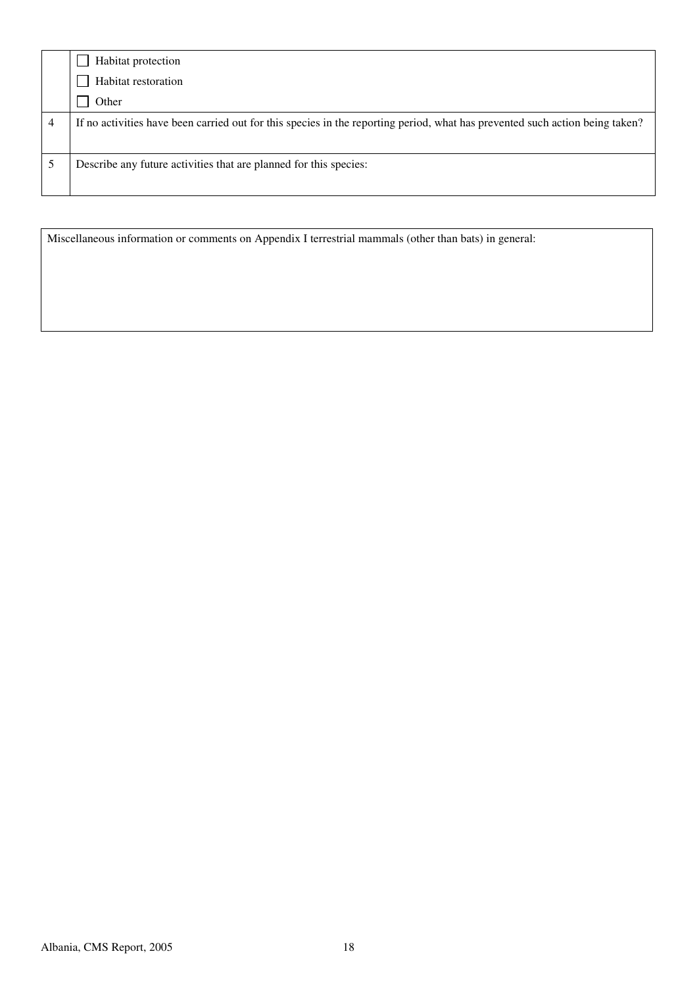|   | Habitat protection                                                                                                           |
|---|------------------------------------------------------------------------------------------------------------------------------|
|   | Habitat restoration                                                                                                          |
|   | Other                                                                                                                        |
| 4 | If no activities have been carried out for this species in the reporting period, what has prevented such action being taken? |
|   | Describe any future activities that are planned for this species:                                                            |

Miscellaneous information or comments on Appendix I terrestrial mammals (other than bats) in general: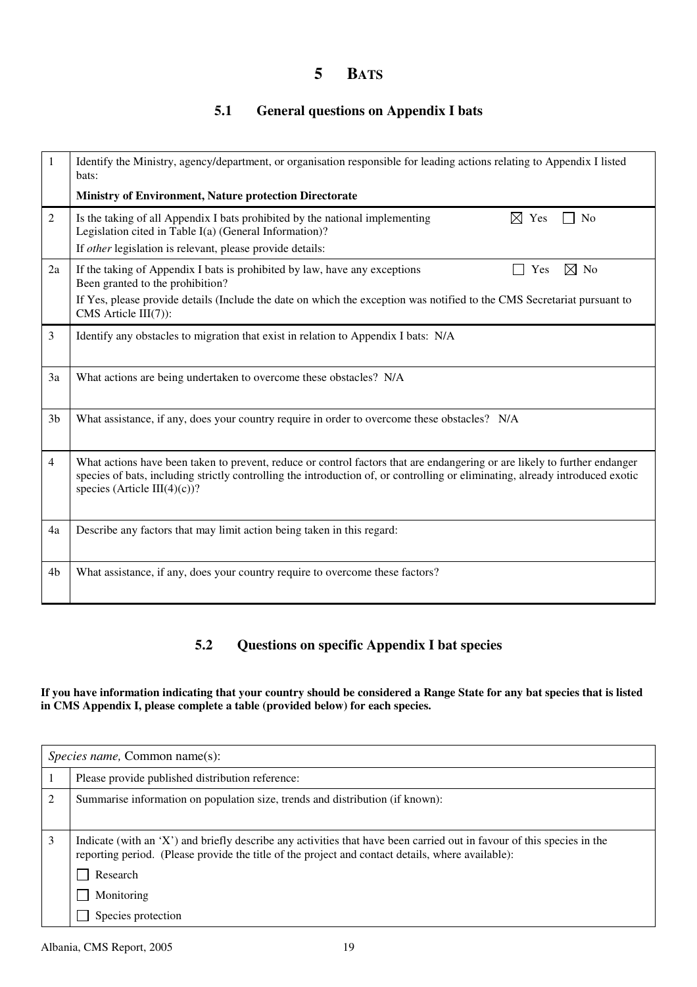## **5 BATS**

## **5.1 General questions on Appendix I bats**

| 1              | Identify the Ministry, agency/department, or organisation responsible for leading actions relating to Appendix I listed<br>bats:                                                                                                                                                           |  |
|----------------|--------------------------------------------------------------------------------------------------------------------------------------------------------------------------------------------------------------------------------------------------------------------------------------------|--|
|                | <b>Ministry of Environment, Nature protection Directorate</b>                                                                                                                                                                                                                              |  |
| $\overline{2}$ | Is the taking of all Appendix I bats prohibited by the national implementing<br>$\boxtimes$ Yes<br>No<br>Legislation cited in Table I(a) (General Information)?                                                                                                                            |  |
|                | If other legislation is relevant, please provide details:                                                                                                                                                                                                                                  |  |
| 2a             | If the taking of Appendix I bats is prohibited by law, have any exceptions<br>$\boxtimes$ No<br>Yes<br>Been granted to the prohibition?                                                                                                                                                    |  |
|                | If Yes, please provide details (Include the date on which the exception was notified to the CMS Secretariat pursuant to<br>CMS Article $III(7)$ :                                                                                                                                          |  |
| 3              | Identify any obstacles to migration that exist in relation to Appendix I bats: N/A                                                                                                                                                                                                         |  |
| 3a             | What actions are being undertaken to overcome these obstacles? N/A                                                                                                                                                                                                                         |  |
| 3 <sub>b</sub> | What assistance, if any, does your country require in order to overcome these obstacles? N/A                                                                                                                                                                                               |  |
| $\overline{4}$ | What actions have been taken to prevent, reduce or control factors that are endangering or are likely to further endanger<br>species of bats, including strictly controlling the introduction of, or controlling or eliminating, already introduced exotic<br>species (Article III(4)(c))? |  |
| 4a             | Describe any factors that may limit action being taken in this regard:                                                                                                                                                                                                                     |  |
| 4b             | What assistance, if any, does your country require to overcome these factors?                                                                                                                                                                                                              |  |

### **5.2 Questions on specific Appendix I bat species**

#### **If you have information indicating that your country should be considered a Range State for any bat species that is listed in CMS Appendix I, please complete a table (provided below) for each species.**

|   | <i>Species name, Common name(s):</i>                                                                                                                                                                                        |  |
|---|-----------------------------------------------------------------------------------------------------------------------------------------------------------------------------------------------------------------------------|--|
|   | Please provide published distribution reference:                                                                                                                                                                            |  |
| 2 | Summarise information on population size, trends and distribution (if known):                                                                                                                                               |  |
| 3 | Indicate (with an 'X') and briefly describe any activities that have been carried out in favour of this species in the<br>reporting period. (Please provide the title of the project and contact details, where available): |  |
|   | Research                                                                                                                                                                                                                    |  |
|   | Monitoring                                                                                                                                                                                                                  |  |
|   | Species protection                                                                                                                                                                                                          |  |

Albania, CMS Report, 2005 19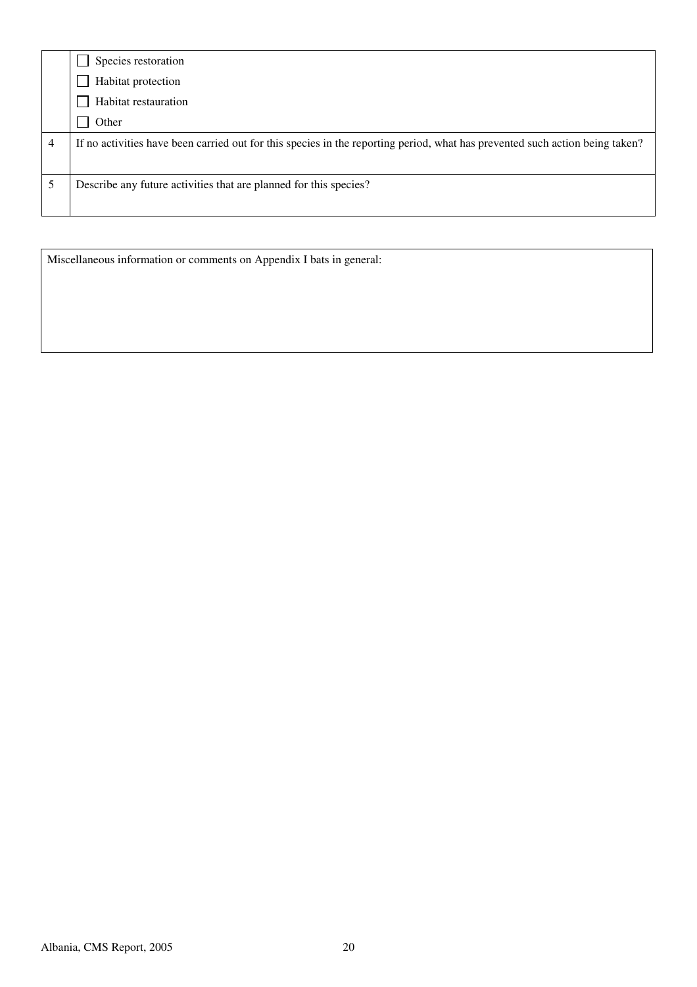| If no activities have been carried out for this species in the reporting period, what has prevented such action being taken? |
|------------------------------------------------------------------------------------------------------------------------------|
|                                                                                                                              |
|                                                                                                                              |

Miscellaneous information or comments on Appendix I bats in general: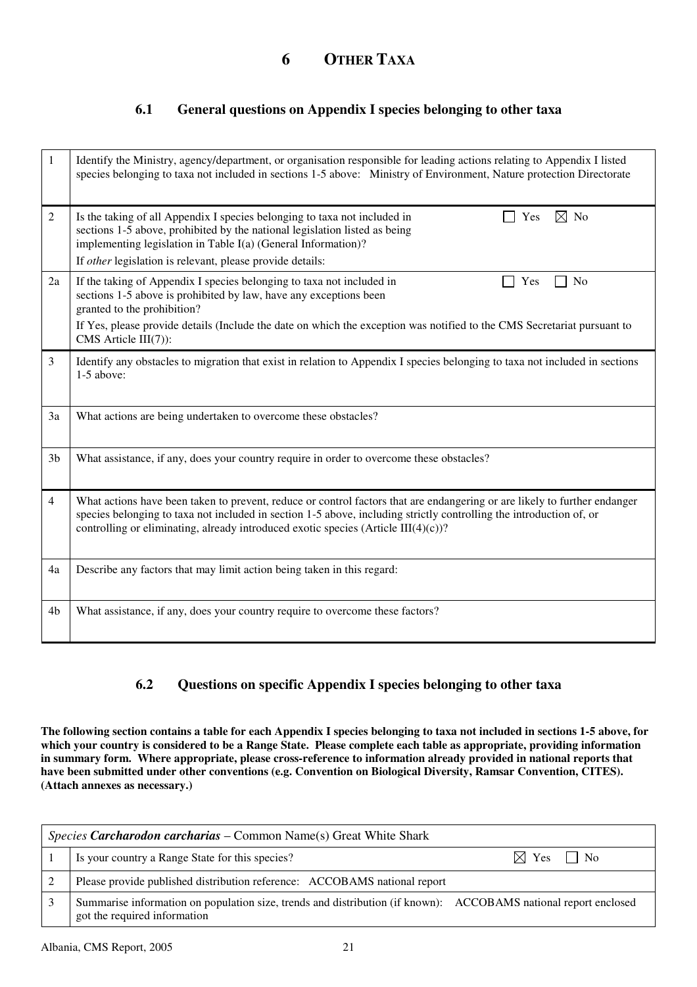## **6 OTHER TAXA**

### **6.1 General questions on Appendix I species belonging to other taxa**

| 1              | Identify the Ministry, agency/department, or organisation responsible for leading actions relating to Appendix I listed<br>species belonging to taxa not included in sections 1-5 above: Ministry of Environment, Nature protection Directorate                                                                                        |
|----------------|----------------------------------------------------------------------------------------------------------------------------------------------------------------------------------------------------------------------------------------------------------------------------------------------------------------------------------------|
| 2              | Is the taking of all Appendix I species belonging to taxa not included in<br>$\boxtimes$ No<br>Yes<br>sections 1-5 above, prohibited by the national legislation listed as being<br>implementing legislation in Table I(a) (General Information)?                                                                                      |
|                | If other legislation is relevant, please provide details:                                                                                                                                                                                                                                                                              |
| 2a             | If the taking of Appendix I species belonging to taxa not included in<br>N <sub>0</sub><br>Yes<br>sections 1-5 above is prohibited by law, have any exceptions been<br>granted to the prohibition?                                                                                                                                     |
|                | If Yes, please provide details (Include the date on which the exception was notified to the CMS Secretariat pursuant to<br>CMS Article III(7)):                                                                                                                                                                                        |
| 3              | Identify any obstacles to migration that exist in relation to Appendix I species belonging to taxa not included in sections<br>1-5 above:                                                                                                                                                                                              |
| 3a             | What actions are being undertaken to overcome these obstacles?                                                                                                                                                                                                                                                                         |
| 3 <sub>b</sub> | What assistance, if any, does your country require in order to overcome these obstacles?                                                                                                                                                                                                                                               |
| 4              | What actions have been taken to prevent, reduce or control factors that are endangering or are likely to further endanger<br>species belonging to taxa not included in section 1-5 above, including strictly controlling the introduction of, or<br>controlling or eliminating, already introduced exotic species (Article III(4)(c))? |
| 4a             | Describe any factors that may limit action being taken in this regard:                                                                                                                                                                                                                                                                 |
| 4 <sub>b</sub> | What assistance, if any, does your country require to overcome these factors?                                                                                                                                                                                                                                                          |

### **6.2 Questions on specific Appendix I species belonging to other taxa**

**The following section contains a table for each Appendix I species belonging to taxa not included in sections 1-5 above, for which your country is considered to be a Range State. Please complete each table as appropriate, providing information in summary form. Where appropriate, please cross-reference to information already provided in national reports that have been submitted under other conventions (e.g. Convention on Biological Diversity, Ramsar Convention, CITES). (Attach annexes as necessary.)** 

| Species Carcharodon carcharias – Common Name(s) Great White Shark                                                                               |                           |
|-------------------------------------------------------------------------------------------------------------------------------------------------|---------------------------|
| Is your country a Range State for this species?                                                                                                 | $\boxtimes$ Yes $\Box$ No |
| Please provide published distribution reference: ACCOBAMS national report                                                                       |                           |
| Summarise information on population size, trends and distribution (if known): ACCOBAMS national report enclosed<br>got the required information |                           |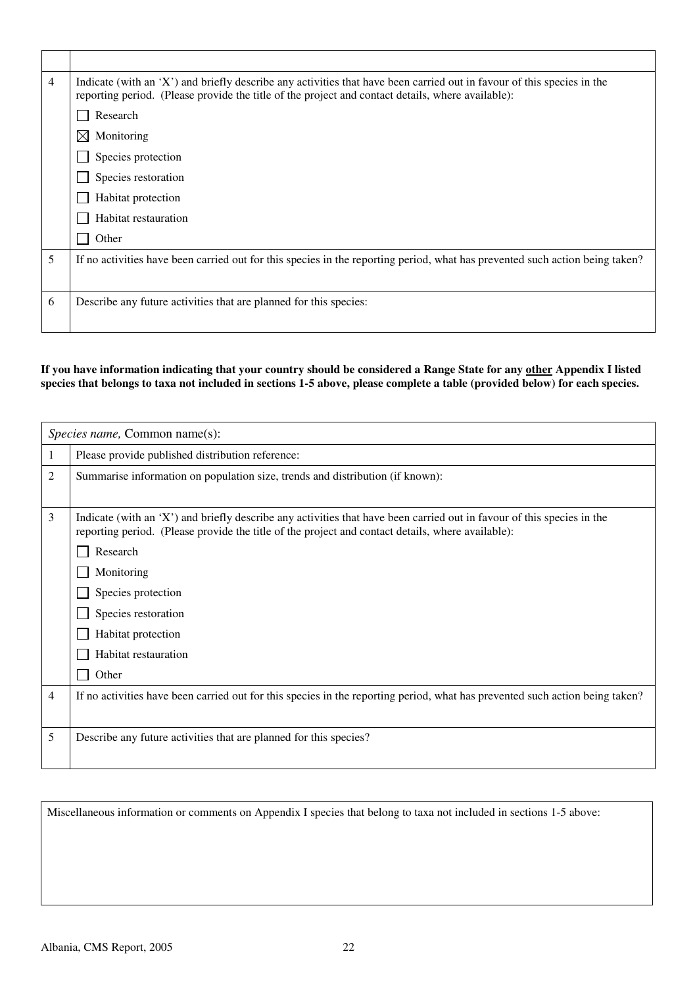| 4 | Indicate (with an 'X') and briefly describe any activities that have been carried out in favour of this species in the<br>reporting period. (Please provide the title of the project and contact details, where available): |
|---|-----------------------------------------------------------------------------------------------------------------------------------------------------------------------------------------------------------------------------|
|   | Research                                                                                                                                                                                                                    |
|   | $\boxtimes$ Monitoring                                                                                                                                                                                                      |
|   | Species protection                                                                                                                                                                                                          |
|   | Species restoration                                                                                                                                                                                                         |
|   | Habitat protection                                                                                                                                                                                                          |
|   | Habitat restauration                                                                                                                                                                                                        |
|   | Other                                                                                                                                                                                                                       |
| 5 | If no activities have been carried out for this species in the reporting period, what has prevented such action being taken?                                                                                                |
|   |                                                                                                                                                                                                                             |
| 6 | Describe any future activities that are planned for this species:                                                                                                                                                           |
|   |                                                                                                                                                                                                                             |

#### **If you have information indicating that your country should be considered a Range State for any other Appendix I listed**  species that belongs to taxa not included in sections 1-5 above, please complete a table (provided below) for each species.

|   | <i>Species name, Common name(s):</i>                                                                                                                                                                                                                                                                                                             |
|---|--------------------------------------------------------------------------------------------------------------------------------------------------------------------------------------------------------------------------------------------------------------------------------------------------------------------------------------------------|
|   | Please provide published distribution reference:                                                                                                                                                                                                                                                                                                 |
| 2 | Summarise information on population size, trends and distribution (if known):                                                                                                                                                                                                                                                                    |
| 3 | Indicate (with an 'X') and briefly describe any activities that have been carried out in favour of this species in the<br>reporting period. (Please provide the title of the project and contact details, where available):<br>Research<br>Monitoring<br>Species protection<br>Species restoration<br>Habitat protection<br>Habitat restauration |
|   | Other                                                                                                                                                                                                                                                                                                                                            |
| 4 | If no activities have been carried out for this species in the reporting period, what has prevented such action being taken?                                                                                                                                                                                                                     |
| 5 | Describe any future activities that are planned for this species?                                                                                                                                                                                                                                                                                |

Miscellaneous information or comments on Appendix I species that belong to taxa not included in sections 1-5 above: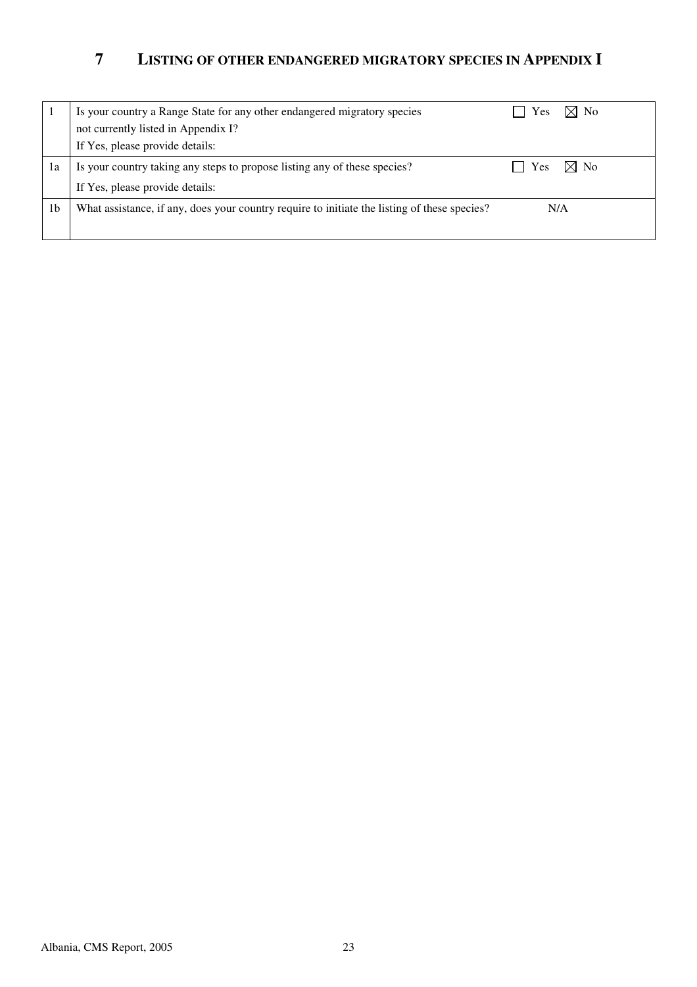## **7 LISTING OF OTHER ENDANGERED MIGRATORY SPECIES IN APPENDIX I**

|    | Is your country a Range State for any other endangered migratory species                     | Yes | $\boxtimes$ No |
|----|----------------------------------------------------------------------------------------------|-----|----------------|
|    | not currently listed in Appendix I?                                                          |     |                |
|    | If Yes, please provide details:                                                              |     |                |
| 1a | Is your country taking any steps to propose listing any of these species?                    | Yes | $\boxtimes$ No |
|    | If Yes, please provide details:                                                              |     |                |
| 1b | What assistance, if any, does your country require to initiate the listing of these species? | N/A |                |
|    |                                                                                              |     |                |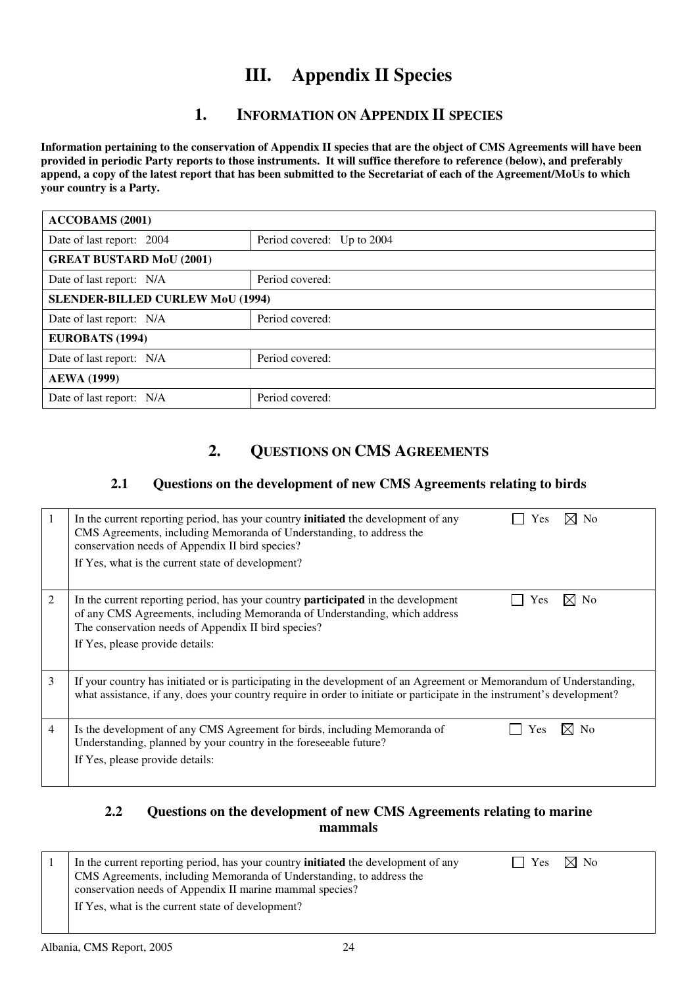## **III. Appendix II Species**

## **1. INFORMATION ON APPENDIX II SPECIES**

**Information pertaining to the conservation of Appendix II species that are the object of CMS Agreements will have been provided in periodic Party reports to those instruments. It will suffice therefore to reference (below), and preferably append, a copy of the latest report that has been submitted to the Secretariat of each of the Agreement/MoUs to which your country is a Party.** 

| <b>ACCOBAMS</b> (2001)                  |                            |  |
|-----------------------------------------|----------------------------|--|
| Date of last report: 2004               | Period covered: Up to 2004 |  |
| <b>GREAT BUSTARD MoU (2001)</b>         |                            |  |
| Date of last report: N/A                | Period covered:            |  |
| <b>SLENDER-BILLED CURLEW MoU (1994)</b> |                            |  |
| Date of last report: N/A                | Period covered:            |  |
| <b>EUROBATS (1994)</b>                  |                            |  |
| Date of last report: N/A                | Period covered:            |  |
| <b>AEWA</b> (1999)                      |                            |  |
| Date of last report: N/A                | Period covered:            |  |

## **2. QUESTIONS ON CMS AGREEMENTS**

### **2.1 Questions on the development of new CMS Agreements relating to birds**

|   | In the current reporting period, has your country <b>initiated</b> the development of any<br><b>No</b><br><b>Yes</b><br>CMS Agreements, including Memoranda of Understanding, to address the<br>conservation needs of Appendix II bird species?<br>If Yes, what is the current state of development? |
|---|------------------------------------------------------------------------------------------------------------------------------------------------------------------------------------------------------------------------------------------------------------------------------------------------------|
| 2 | $\times$ l No<br>In the current reporting period, has your country <b>participated</b> in the development<br>Yes<br>of any CMS Agreements, including Memoranda of Understanding, which address<br>The conservation needs of Appendix II bird species?<br>If Yes, please provide details:             |
| 3 | If your country has initiated or is participating in the development of an Agreement or Memorandum of Understanding,<br>what assistance, if any, does your country require in order to initiate or participate in the instrument's development?                                                      |
| 4 | ⊠ No<br>Is the development of any CMS Agreement for birds, including Memoranda of<br>Yes<br>Understanding, planned by your country in the foreseeable future?<br>If Yes, please provide details:                                                                                                     |

#### **2.2 Questions on the development of new CMS Agreements relating to marine mammals**

| In the current reporting period, has your country <b>initiated</b> the development of any<br>CMS Agreements, including Memoranda of Understanding, to address the<br>conservation needs of Appendix II marine mammal species? | $\vert$   Yes $\vert$ No |  |
|-------------------------------------------------------------------------------------------------------------------------------------------------------------------------------------------------------------------------------|--------------------------|--|
| If Yes, what is the current state of development?                                                                                                                                                                             |                          |  |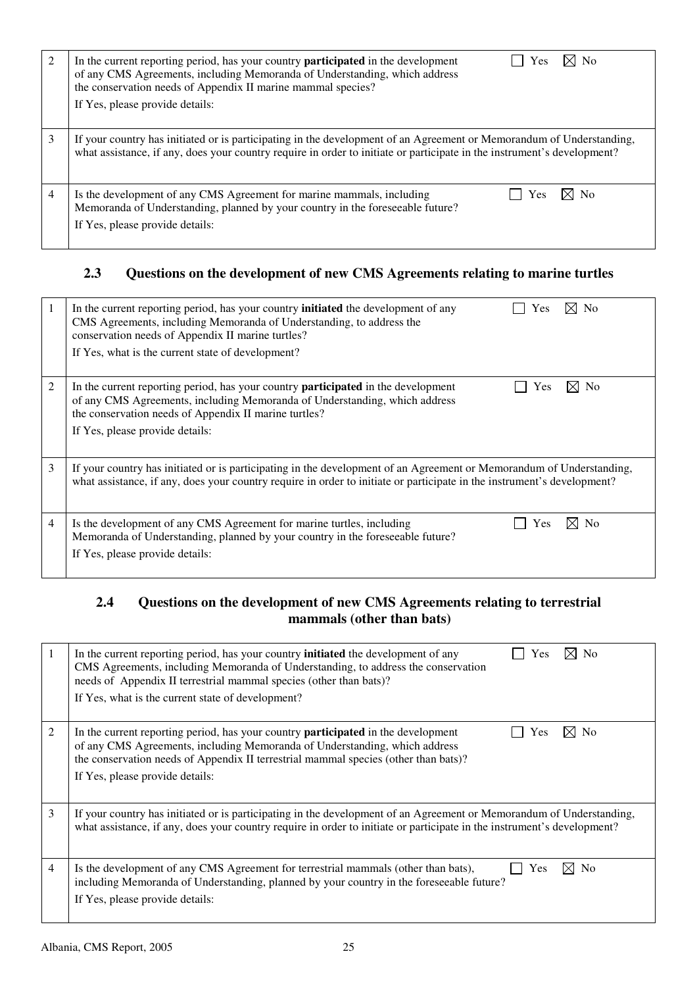| 2 | $\boxtimes$ No<br>In the current reporting period, has your country <b>participated</b> in the development<br>Yes<br>of any CMS Agreements, including Memoranda of Understanding, which address<br>the conservation needs of Appendix II marine mammal species?<br>If Yes, please provide details: |
|---|----------------------------------------------------------------------------------------------------------------------------------------------------------------------------------------------------------------------------------------------------------------------------------------------------|
| 3 | If your country has initiated or is participating in the development of an Agreement or Memorandum of Understanding,<br>what assistance, if any, does your country require in order to initiate or participate in the instrument's development?                                                    |
| 4 | Is the development of any CMS Agreement for marine mammals, including<br>- No<br>Yes<br>Memoranda of Understanding, planned by your country in the foreseeable future?<br>If Yes, please provide details:                                                                                          |

## **2.3 Questions on the development of new CMS Agreements relating to marine turtles**

|   | In the current reporting period, has your country <b>initiated</b> the development of any<br>⊠ No<br>Yes<br>CMS Agreements, including Memoranda of Understanding, to address the<br>conservation needs of Appendix II marine turtles?<br>If Yes, what is the current state of development?  |
|---|---------------------------------------------------------------------------------------------------------------------------------------------------------------------------------------------------------------------------------------------------------------------------------------------|
| 2 | $\boxtimes$ No<br>In the current reporting period, has your country <b>participated</b> in the development<br>Yes<br>of any CMS Agreements, including Memoranda of Understanding, which address<br>the conservation needs of Appendix II marine turtles?<br>If Yes, please provide details: |
| 3 | If your country has initiated or is participating in the development of an Agreement or Memorandum of Understanding,<br>what assistance, if any, does your country require in order to initiate or participate in the instrument's development?                                             |
| 4 | M<br>Is the development of any CMS Agreement for marine turtles, including<br>N <sub>0</sub><br><b>Yes</b><br>Memoranda of Understanding, planned by your country in the foreseeable future?<br>If Yes, please provide details:                                                             |

## **2.4 Questions on the development of new CMS Agreements relating to terrestrial mammals (other than bats)**

| 1              | No<br>In the current reporting period, has your country <b>initiated</b> the development of any<br>Yes<br>CMS Agreements, including Memoranda of Understanding, to address the conservation<br>needs of Appendix II terrestrial mammal species (other than bats)?<br>If Yes, what is the current state of development?   |
|----------------|--------------------------------------------------------------------------------------------------------------------------------------------------------------------------------------------------------------------------------------------------------------------------------------------------------------------------|
| $\overline{2}$ | $\times$ l No<br>In the current reporting period, has your country <b>participated</b> in the development<br>Yes<br>of any CMS Agreements, including Memoranda of Understanding, which address<br>the conservation needs of Appendix II terrestrial mammal species (other than bats)?<br>If Yes, please provide details: |
| 3              | If your country has initiated or is participating in the development of an Agreement or Memorandum of Understanding,<br>what assistance, if any, does your country require in order to initiate or participate in the instrument's development?                                                                          |
| 4              | Is the development of any CMS Agreement for terrestrial mammals (other than bats),<br>N <sub>o</sub><br><b>Yes</b><br>IХI<br>including Memoranda of Understanding, planned by your country in the foreseeable future?<br>If Yes, please provide details:                                                                 |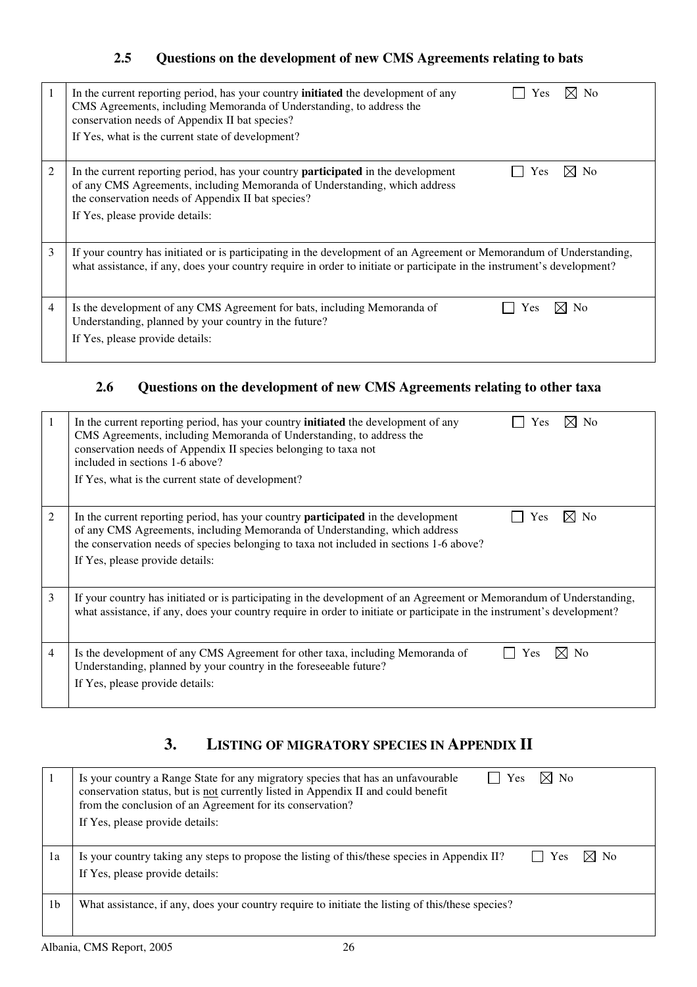## **2.5 Questions on the development of new CMS Agreements relating to bats**

|   | ⊠ No<br>In the current reporting period, has your country <b>initiated</b> the development of any<br><b>Yes</b><br>CMS Agreements, including Memoranda of Understanding, to address the<br>conservation needs of Appendix II bat species?<br>If Yes, what is the current state of development? |
|---|------------------------------------------------------------------------------------------------------------------------------------------------------------------------------------------------------------------------------------------------------------------------------------------------|
| 2 | $\times$ No<br>In the current reporting period, has your country <b>participated</b> in the development<br>Yes<br>of any CMS Agreements, including Memoranda of Understanding, which address<br>the conservation needs of Appendix II bat species?<br>If Yes, please provide details:          |
| 3 | If your country has initiated or is participating in the development of an Agreement or Memorandum of Understanding,<br>what assistance, if any, does your country require in order to initiate or participate in the instrument's development?                                                |
| 4 | Is the development of any CMS Agreement for bats, including Memoranda of<br>N <sub>0</sub><br>Yes<br>Understanding, planned by your country in the future?<br>If Yes, please provide details:                                                                                                  |

## **2.6 Questions on the development of new CMS Agreements relating to other taxa**

| 1 | In the current reporting period, has your country <b>initiated</b> the development of any<br>⊠ No<br>Yes<br>CMS Agreements, including Memoranda of Understanding, to address the<br>conservation needs of Appendix II species belonging to taxa not<br>included in sections 1-6 above?<br>If Yes, what is the current state of development? |
|---|---------------------------------------------------------------------------------------------------------------------------------------------------------------------------------------------------------------------------------------------------------------------------------------------------------------------------------------------|
| 2 | In the current reporting period, has your country <b>participated</b> in the development<br>Yes<br>No<br>of any CMS Agreements, including Memoranda of Understanding, which address<br>the conservation needs of species belonging to taxa not included in sections 1-6 above?<br>If Yes, please provide details:                           |
| 3 | If your country has initiated or is participating in the development of an Agreement or Memorandum of Understanding,<br>what assistance, if any, does your country require in order to initiate or participate in the instrument's development?                                                                                             |
| 4 | Is the development of any CMS Agreement for other taxa, including Memoranda of<br>X<br>N <sub>0</sub><br>Yes<br>Understanding, planned by your country in the foreseeable future?<br>If Yes, please provide details:                                                                                                                        |

## **3. LISTING OF MIGRATORY SPECIES IN APPENDIX II**

|                | Is your country a Range State for any migratory species that has an unfavourable<br>N <sub>0</sub><br>IXI.<br>Yes<br>conservation status, but is not currently listed in Appendix II and could benefit<br>from the conclusion of an Agreement for its conservation?<br>If Yes, please provide details: |
|----------------|--------------------------------------------------------------------------------------------------------------------------------------------------------------------------------------------------------------------------------------------------------------------------------------------------------|
| 1a             | Is your country taking any steps to propose the listing of this/these species in Appendix II?<br>Yes<br>-No<br>If Yes, please provide details:                                                                                                                                                         |
| 1 <sub>b</sub> | What assistance, if any, does your country require to initiate the listing of this/these species?                                                                                                                                                                                                      |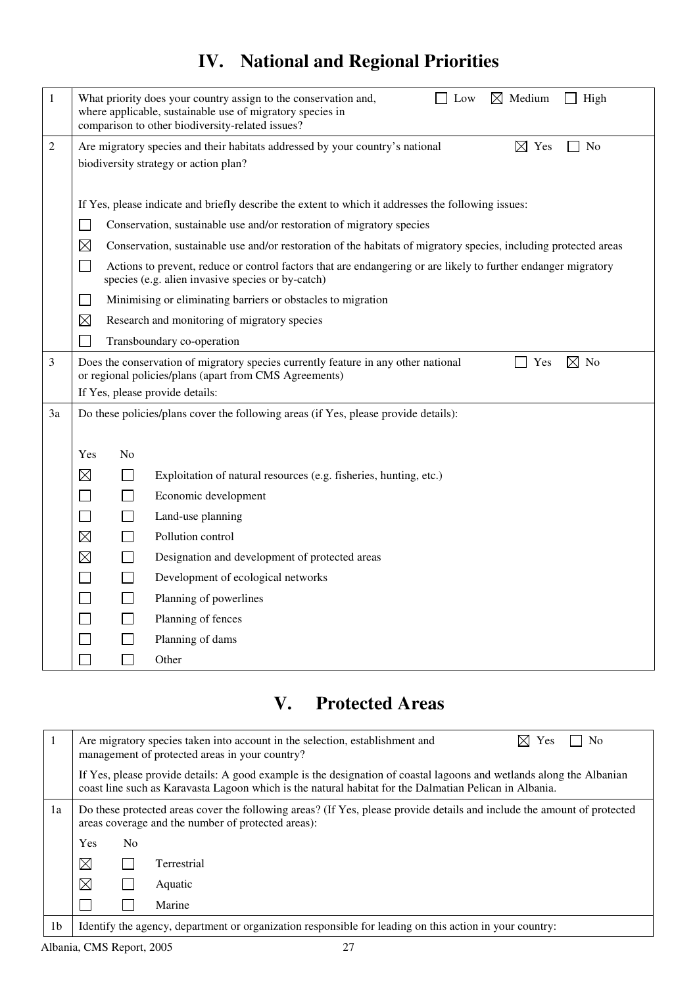# **IV. National and Regional Priorities**

| 1              | $\boxtimes$ Medium<br>What priority does your country assign to the conservation and,<br>Low<br>High<br>where applicable, sustainable use of migratory species in<br>comparison to other biodiversity-related issues? |                |                                                                                                                                                                     |
|----------------|-----------------------------------------------------------------------------------------------------------------------------------------------------------------------------------------------------------------------|----------------|---------------------------------------------------------------------------------------------------------------------------------------------------------------------|
| $\overline{2}$ | $\boxtimes$ Yes<br>Are migratory species and their habitats addressed by your country's national<br>N <sub>0</sub>                                                                                                    |                |                                                                                                                                                                     |
|                |                                                                                                                                                                                                                       |                | biodiversity strategy or action plan?                                                                                                                               |
|                |                                                                                                                                                                                                                       |                |                                                                                                                                                                     |
|                |                                                                                                                                                                                                                       |                | If Yes, please indicate and briefly describe the extent to which it addresses the following issues:                                                                 |
|                |                                                                                                                                                                                                                       |                | Conservation, sustainable use and/or restoration of migratory species                                                                                               |
|                | $\boxtimes$                                                                                                                                                                                                           |                | Conservation, sustainable use and/or restoration of the habitats of migratory species, including protected areas                                                    |
|                | $\blacksquare$                                                                                                                                                                                                        |                | Actions to prevent, reduce or control factors that are endangering or are likely to further endanger migratory<br>species (e.g. alien invasive species or by-catch) |
|                | $\sim$                                                                                                                                                                                                                |                | Minimising or eliminating barriers or obstacles to migration                                                                                                        |
|                | $\boxtimes$                                                                                                                                                                                                           |                | Research and monitoring of migratory species                                                                                                                        |
|                |                                                                                                                                                                                                                       |                | Transboundary co-operation                                                                                                                                          |
| 3              |                                                                                                                                                                                                                       |                | Does the conservation of migratory species currently feature in any other national<br>$\boxtimes$ No<br>Yes                                                         |
|                |                                                                                                                                                                                                                       |                | or regional policies/plans (apart from CMS Agreements)<br>If Yes, please provide details:                                                                           |
| 3a             |                                                                                                                                                                                                                       |                | Do these policies/plans cover the following areas (if Yes, please provide details):                                                                                 |
|                |                                                                                                                                                                                                                       |                |                                                                                                                                                                     |
|                | Yes                                                                                                                                                                                                                   | N <sub>0</sub> |                                                                                                                                                                     |
|                | $\boxtimes$                                                                                                                                                                                                           |                | Exploitation of natural resources (e.g. fisheries, hunting, etc.)                                                                                                   |
|                | $\sim$                                                                                                                                                                                                                |                | Economic development                                                                                                                                                |
|                | $\mathcal{L}$                                                                                                                                                                                                         |                | Land-use planning                                                                                                                                                   |
|                | $\boxtimes$                                                                                                                                                                                                           |                | Pollution control                                                                                                                                                   |
|                | $\boxtimes$                                                                                                                                                                                                           |                | Designation and development of protected areas                                                                                                                      |
|                | $\Box$                                                                                                                                                                                                                |                | Development of ecological networks                                                                                                                                  |
|                | $\Box$                                                                                                                                                                                                                |                | Planning of powerlines                                                                                                                                              |
|                |                                                                                                                                                                                                                       |                | Planning of fences                                                                                                                                                  |
|                |                                                                                                                                                                                                                       |                | Planning of dams                                                                                                                                                    |
|                |                                                                                                                                                                                                                       |                | Other                                                                                                                                                               |

# **V. Protected Areas**

|                |             |                | $\bowtie$<br>Yes<br>Are migratory species taken into account in the selection, establishment and<br>No<br>management of protected areas in your country?                                                                       |
|----------------|-------------|----------------|--------------------------------------------------------------------------------------------------------------------------------------------------------------------------------------------------------------------------------|
|                |             |                | If Yes, please provide details: A good example is the designation of coastal lagoons and wetlands along the Albanian<br>coast line such as Karavasta Lagoon which is the natural habitat for the Dalmatian Pelican in Albania. |
| 1a             |             |                | Do these protected areas cover the following areas? (If Yes, please provide details and include the amount of protected<br>areas coverage and the number of protected areas):                                                  |
|                | <b>Yes</b>  | N <sub>0</sub> |                                                                                                                                                                                                                                |
|                | $\boxtimes$ |                | Terrestrial                                                                                                                                                                                                                    |
|                | $\boxtimes$ |                | Aquatic                                                                                                                                                                                                                        |
|                |             |                | Marine                                                                                                                                                                                                                         |
| 1 <sub>b</sub> |             |                | Identify the agency, department or organization responsible for leading on this action in your country:                                                                                                                        |

Albania, CMS Report, 2005 27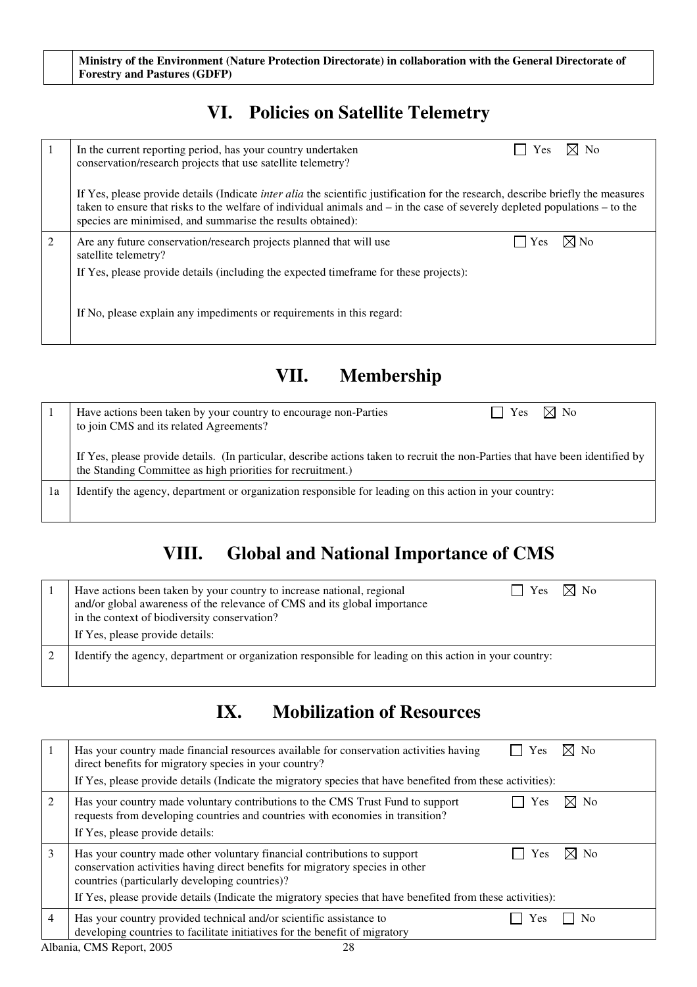## **VI. Policies on Satellite Telemetry**

|                                                                                                                                                                                                                                                                                                                                           | $\boxtimes$ No<br>In the current reporting period, has your country undertaken<br>Yes<br>conservation/research projects that use satellite telemetry?           |  |  |  |  |  |  |  |  |
|-------------------------------------------------------------------------------------------------------------------------------------------------------------------------------------------------------------------------------------------------------------------------------------------------------------------------------------------|-----------------------------------------------------------------------------------------------------------------------------------------------------------------|--|--|--|--|--|--|--|--|
| If Yes, please provide details (Indicate <i>inter alia</i> the scientific justification for the research, describe briefly the measures<br>taken to ensure that risks to the welfare of individual animals and $-$ in the case of severely depleted populations $-$ to the<br>species are minimised, and summarise the results obtained): |                                                                                                                                                                 |  |  |  |  |  |  |  |  |
| $\mathcal{L}$                                                                                                                                                                                                                                                                                                                             | $\boxtimes$ No<br>Yes<br>Are any future conservation/research projects planned that will use<br>satellite telemetry?                                            |  |  |  |  |  |  |  |  |
|                                                                                                                                                                                                                                                                                                                                           | If Yes, please provide details (including the expected time frame for these projects):<br>If No, please explain any impediments or requirements in this regard: |  |  |  |  |  |  |  |  |
|                                                                                                                                                                                                                                                                                                                                           |                                                                                                                                                                 |  |  |  |  |  |  |  |  |

## **VII. Membership**

|    | $\boxtimes$ No<br>Yes<br>Have actions been taken by your country to encourage non-Parties<br>$\blacksquare$<br>to join CMS and its related Agreements?                                        |
|----|-----------------------------------------------------------------------------------------------------------------------------------------------------------------------------------------------|
|    | If Yes, please provide details. (In particular, describe actions taken to recruit the non-Parties that have been identified by<br>the Standing Committee as high priorities for recruitment.) |
| 1a | Identify the agency, department or organization responsible for leading on this action in your country:                                                                                       |
|    |                                                                                                                                                                                               |

# **VIII. Global and National Importance of CMS**

| $\boxtimes$ No<br>Have actions been taken by your country to increase national, regional<br>Yes<br>and/or global awareness of the relevance of CMS and its global importance<br>in the context of biodiversity conservation?<br>If Yes, please provide details: |
|-----------------------------------------------------------------------------------------------------------------------------------------------------------------------------------------------------------------------------------------------------------------|
| Identify the agency, department or organization responsible for leading on this action in your country:                                                                                                                                                         |

## **IX. Mobilization of Resources**

|   | Has your country made financial resources available for conservation activities having<br>direct benefits for migratory species in your country?<br>If Yes, please provide details (Indicate the migratory species that have benefited from these activities):                                                            | Yes | $\times$ l No  |
|---|---------------------------------------------------------------------------------------------------------------------------------------------------------------------------------------------------------------------------------------------------------------------------------------------------------------------------|-----|----------------|
| 2 | Has your country made voluntary contributions to the CMS Trust Fund to support<br>requests from developing countries and countries with economies in transition?<br>If Yes, please provide details:                                                                                                                       | Yes | $\boxtimes$ No |
| 3 | Has your country made other voluntary financial contributions to support<br>conservation activities having direct benefits for migratory species in other<br>countries (particularly developing countries)?<br>If Yes, please provide details (Indicate the migratory species that have benefited from these activities): | Yes | $\boxtimes$ No |
| 4 | Has your country provided technical and/or scientific assistance to<br>developing countries to facilitate initiatives for the benefit of migratory                                                                                                                                                                        | Yes | N <sub>0</sub> |

Albania, CMS Report, 2005 28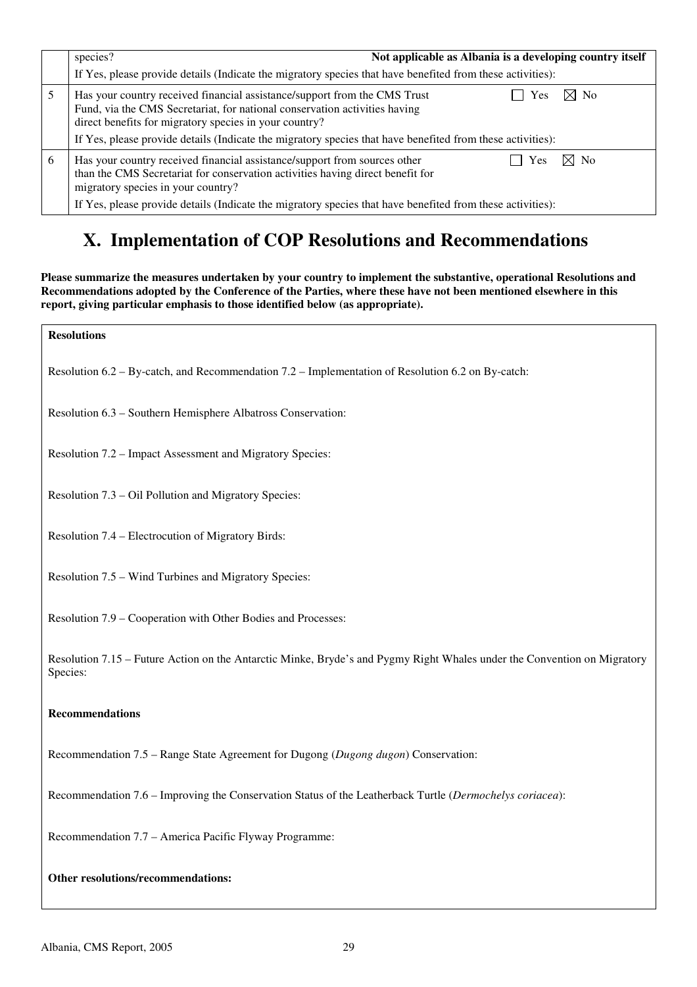|   | species?<br>Not applicable as Albania is a developing country itself<br>If Yes, please provide details (Indicate the migratory species that have benefited from these activities):                                                                                                                                                                     |  |  |  |  |  |  |  |
|---|--------------------------------------------------------------------------------------------------------------------------------------------------------------------------------------------------------------------------------------------------------------------------------------------------------------------------------------------------------|--|--|--|--|--|--|--|
|   | $\bowtie$ No<br>Has your country received financial assistance/support from the CMS Trust<br>Yes<br>Fund, via the CMS Secretariat, for national conservation activities having<br>direct benefits for migratory species in your country?<br>If Yes, please provide details (Indicate the migratory species that have benefited from these activities): |  |  |  |  |  |  |  |
| 6 | $\times$ l No<br>Has your country received financial assistance/support from sources other<br>Yes<br>than the CMS Secretariat for conservation activities having direct benefit for<br>migratory species in your country?<br>If Yes, please provide details (Indicate the migratory species that have benefited from these activities):                |  |  |  |  |  |  |  |

# **X. Implementation of COP Resolutions and Recommendations**

**Please summarize the measures undertaken by your country to implement the substantive, operational Resolutions and Recommendations adopted by the Conference of the Parties, where these have not been mentioned elsewhere in this report, giving particular emphasis to those identified below (as appropriate).**

| <b>Resolutions</b>                                                                                                                   |
|--------------------------------------------------------------------------------------------------------------------------------------|
| Resolution 6.2 – By-catch, and Recommendation 7.2 – Implementation of Resolution 6.2 on By-catch:                                    |
| Resolution 6.3 - Southern Hemisphere Albatross Conservation:                                                                         |
| Resolution 7.2 – Impact Assessment and Migratory Species:                                                                            |
| Resolution 7.3 - Oil Pollution and Migratory Species:                                                                                |
| Resolution 7.4 – Electrocution of Migratory Birds:                                                                                   |
| Resolution 7.5 – Wind Turbines and Migratory Species:                                                                                |
| Resolution 7.9 – Cooperation with Other Bodies and Processes:                                                                        |
| Resolution 7.15 – Future Action on the Antarctic Minke, Bryde's and Pygmy Right Whales under the Convention on Migratory<br>Species: |
| <b>Recommendations</b>                                                                                                               |
| Recommendation 7.5 – Range State Agreement for Dugong (Dugong dugon) Conservation:                                                   |
| Recommendation 7.6 – Improving the Conservation Status of the Leatherback Turtle (Dermochelys coriacea):                             |
| Recommendation 7.7 - America Pacific Flyway Programme:                                                                               |
| Other resolutions/recommendations:                                                                                                   |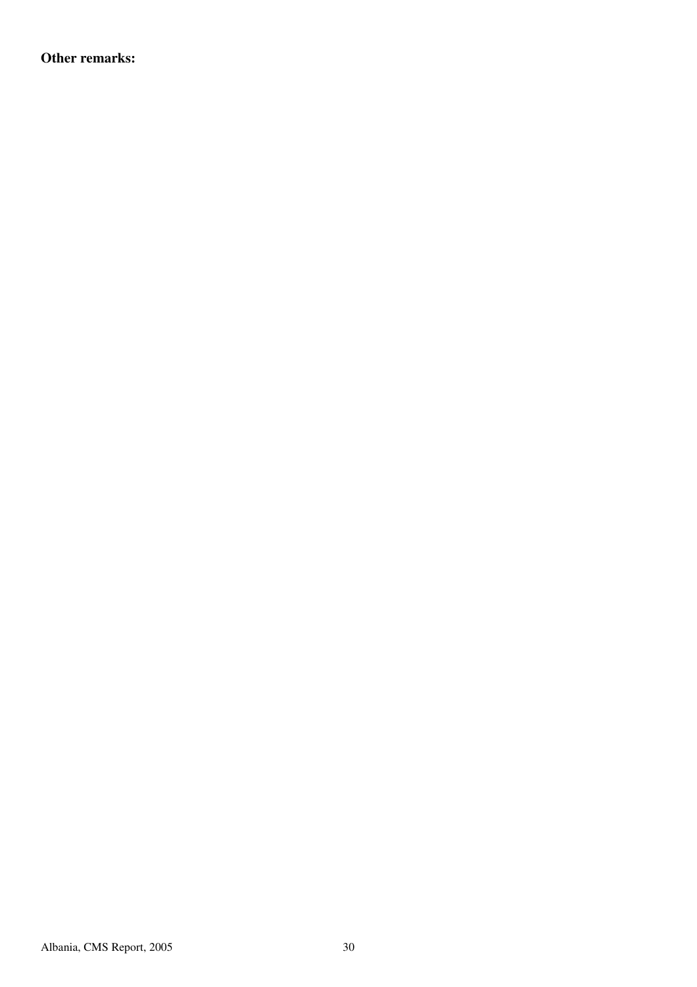**Other remarks:**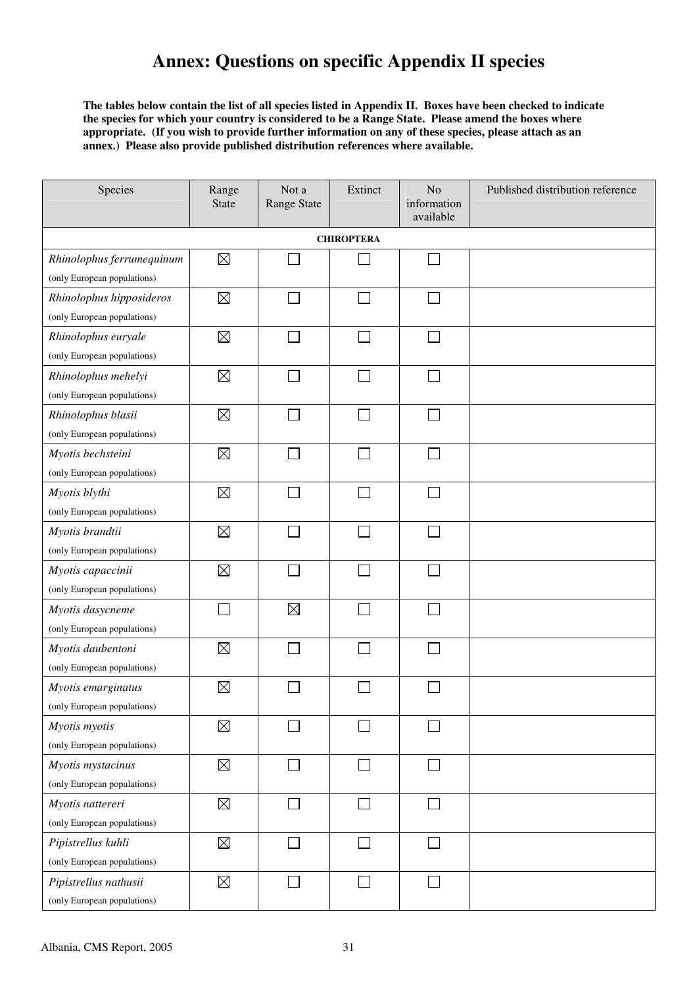## **Annex: Questions on specific Appendix II species**

**The tables below contain the list of all species listed in Appendix II. Boxes have been checked to indicate the species for which your country is considered to be a Range State. Please amend the boxes where appropriate. (If you wish to provide further information on any of these species, please attach as an annex.) Please also provide published distribution references where available.** 

| Species                     | Range<br><b>State</b> | Not a<br><b>Range State</b> | Extinct                     | N <sub>o</sub><br>information<br>available | Published distribution reference |  |  |  |
|-----------------------------|-----------------------|-----------------------------|-----------------------------|--------------------------------------------|----------------------------------|--|--|--|
| <b>CHIROPTERA</b>           |                       |                             |                             |                                            |                                  |  |  |  |
| Rhinolophus ferrumequinum   | $\boxtimes$           |                             |                             | $\mathcal{L}_{\mathcal{A}}$                |                                  |  |  |  |
| (only European populations) |                       |                             |                             |                                            |                                  |  |  |  |
| Rhinolophus hipposideros    | $\boxtimes$           |                             | ٦                           | П                                          |                                  |  |  |  |
| (only European populations) |                       |                             |                             |                                            |                                  |  |  |  |
| Rhinolophus euryale         | $\boxtimes$           |                             | $\mathcal{L}_{\mathcal{A}}$ | $\Box$                                     |                                  |  |  |  |
| (only European populations) |                       |                             |                             |                                            |                                  |  |  |  |
| Rhinolophus mehelyi         | $\boxtimes$           |                             |                             | $\sim$                                     |                                  |  |  |  |
| (only European populations) |                       |                             |                             |                                            |                                  |  |  |  |
| Rhinolophus blasii          | $\boxtimes$           |                             |                             | П                                          |                                  |  |  |  |
| (only European populations) |                       |                             |                             |                                            |                                  |  |  |  |
| Myotis bechsteini           | $\boxtimes$           |                             | $\mathcal{L}$               | П                                          |                                  |  |  |  |
| (only European populations) |                       |                             |                             |                                            |                                  |  |  |  |
| Myotis blythi               | $\boxtimes$           |                             |                             | $\mathbf{L}$                               |                                  |  |  |  |
| (only European populations) |                       |                             |                             |                                            |                                  |  |  |  |
| Myotis brandtii             | $\boxtimes$           |                             |                             |                                            |                                  |  |  |  |
| (only European populations) |                       |                             |                             |                                            |                                  |  |  |  |
| Myotis capaccinii           | $\boxtimes$           |                             | ×.                          | $\sim$                                     |                                  |  |  |  |
| (only European populations) |                       |                             |                             |                                            |                                  |  |  |  |
| Myotis dasycneme            |                       | $\boxtimes$                 | ×.                          | s.                                         |                                  |  |  |  |
| (only European populations) |                       |                             |                             |                                            |                                  |  |  |  |
| Myotis daubentoni           | $\boxtimes$           |                             |                             |                                            |                                  |  |  |  |
| (only European populations) |                       |                             |                             |                                            |                                  |  |  |  |
| Myotis emarginatus          | $\boxtimes$           |                             |                             |                                            |                                  |  |  |  |
| (only European populations) |                       |                             |                             |                                            |                                  |  |  |  |
| Myotis myotis               | $\boxtimes$           |                             |                             |                                            |                                  |  |  |  |
| (only European populations) |                       |                             |                             |                                            |                                  |  |  |  |
| Myotis mystacinus           | $\boxtimes$           |                             |                             | П                                          |                                  |  |  |  |
| (only European populations) |                       |                             |                             |                                            |                                  |  |  |  |
| Myotis nattereri            | $\boxtimes$           |                             |                             |                                            |                                  |  |  |  |
| (only European populations) |                       |                             |                             |                                            |                                  |  |  |  |
| Pipistrellus kuhli          | $\boxtimes$           |                             | $\overline{\phantom{a}}$    | $\sim$                                     |                                  |  |  |  |
| (only European populations) |                       |                             |                             |                                            |                                  |  |  |  |
| Pipistrellus nathusii       | $\boxtimes$           |                             | $\Box$                      | $\Box$                                     |                                  |  |  |  |
| (only European populations) |                       |                             |                             |                                            |                                  |  |  |  |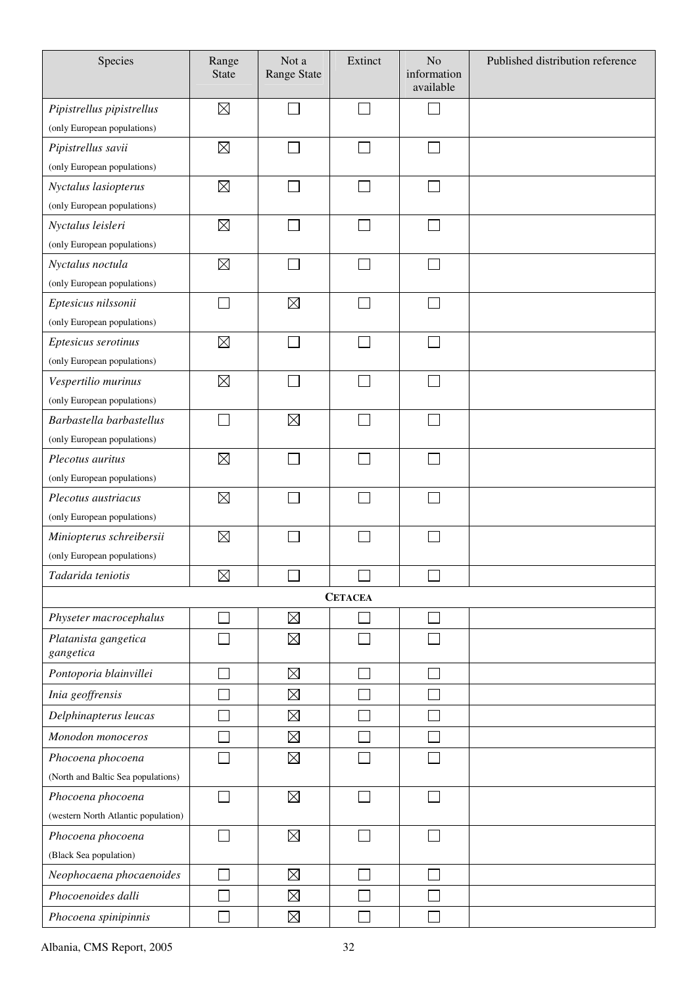| Species                             | Range<br><b>State</b> | Not a<br><b>Range State</b> | Extinct        | No<br>information<br>available | Published distribution reference |
|-------------------------------------|-----------------------|-----------------------------|----------------|--------------------------------|----------------------------------|
| Pipistrellus pipistrellus           | $\boxtimes$           |                             |                | $\overline{\phantom{0}}$       |                                  |
| (only European populations)         |                       |                             |                |                                |                                  |
| Pipistrellus savii                  | $\boxtimes$           |                             |                | $\Box$                         |                                  |
| (only European populations)         |                       |                             |                |                                |                                  |
| Nyctalus lasiopterus                | $\boxtimes$           |                             | $\mathcal{L}$  | $\Box$                         |                                  |
| (only European populations)         |                       |                             |                |                                |                                  |
| Nyctalus leisleri                   | $\boxtimes$           |                             |                | $\Box$                         |                                  |
| (only European populations)         |                       |                             |                |                                |                                  |
| Nyctalus noctula                    | $\boxtimes$           |                             |                | $\Box$                         |                                  |
| (only European populations)         |                       |                             |                |                                |                                  |
| Eptesicus nilssonii                 |                       | $\boxtimes$                 |                | П                              |                                  |
| (only European populations)         |                       |                             |                |                                |                                  |
| Eptesicus serotinus                 | $\boxtimes$           |                             |                | $\overline{\phantom{0}}$       |                                  |
| (only European populations)         |                       |                             |                |                                |                                  |
| Vespertilio murinus                 | $\boxtimes$           |                             |                | $\Box$                         |                                  |
| (only European populations)         |                       |                             |                |                                |                                  |
| Barbastella barbastellus            |                       | $\boxtimes$                 |                | П                              |                                  |
| (only European populations)         |                       |                             |                |                                |                                  |
| Plecotus auritus                    | $\boxtimes$           |                             |                |                                |                                  |
| (only European populations)         |                       |                             |                |                                |                                  |
| Plecotus austriacus                 | $\boxtimes$           |                             |                | $\Box$                         |                                  |
| (only European populations)         |                       |                             |                |                                |                                  |
| Miniopterus schreibersii            | $\boxtimes$           |                             |                |                                |                                  |
| (only European populations)         |                       |                             |                |                                |                                  |
| Tadarida teniotis                   | $\boxtimes$           | $\Box$                      | $\Box$         | $\Box$                         |                                  |
|                                     |                       |                             | <b>CETACEA</b> |                                |                                  |
| Physeter macrocephalus              |                       | $\boxtimes$                 |                |                                |                                  |
| Platanista gangetica<br>gangetica   |                       | $\boxtimes$                 |                |                                |                                  |
| Pontoporia blainvillei              |                       | $\boxtimes$                 |                | $\Box$                         |                                  |
| Inia geoffrensis                    |                       | $\boxtimes$                 |                | Ξ                              |                                  |
| Delphinapterus leucas               |                       | $\boxtimes$                 |                | $\Box$                         |                                  |
| Monodon monoceros                   |                       | $\boxtimes$                 |                | $\Box$                         |                                  |
| Phocoena phocoena                   |                       | $\boxtimes$                 |                |                                |                                  |
| (North and Baltic Sea populations)  |                       |                             |                |                                |                                  |
| Phocoena phocoena                   |                       | $\boxtimes$                 |                |                                |                                  |
| (western North Atlantic population) |                       |                             |                |                                |                                  |
| Phocoena phocoena                   |                       | $\boxtimes$                 |                | s.                             |                                  |
| (Black Sea population)              |                       |                             |                |                                |                                  |
| Neophocaena phocaenoides            |                       | $\boxtimes$                 |                |                                |                                  |
| Phocoenoides dalli                  |                       | $\boxtimes$                 |                |                                |                                  |
| Phocoena spinipinnis                |                       | $\boxtimes$                 |                |                                |                                  |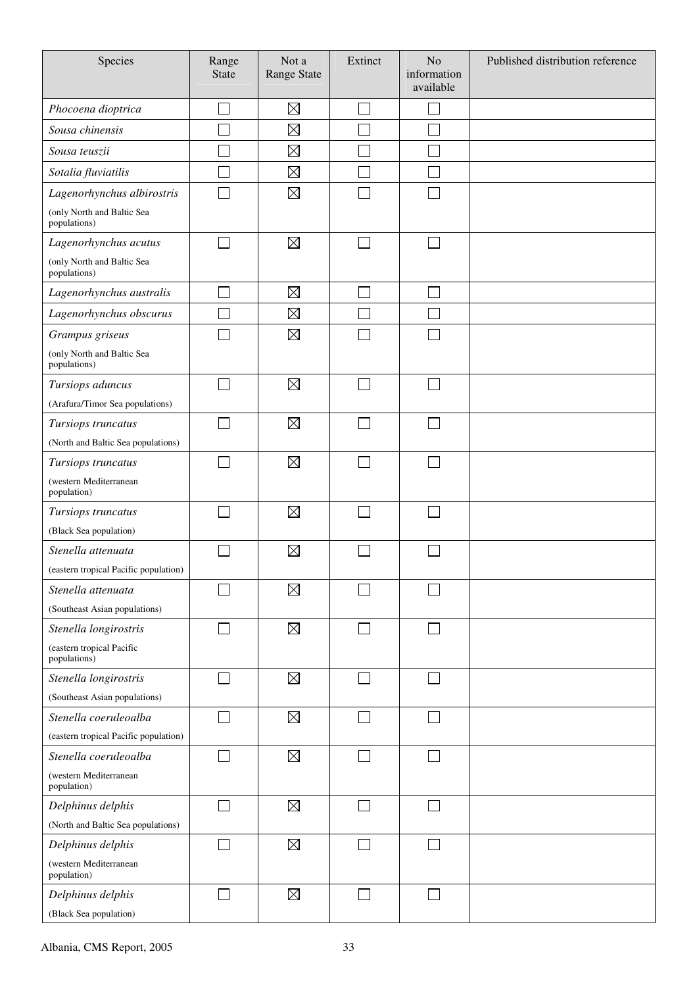| Species                                    | Range<br><b>State</b> | Not a<br>Range State | Extinct | N <sub>o</sub><br>information<br>available | Published distribution reference |
|--------------------------------------------|-----------------------|----------------------|---------|--------------------------------------------|----------------------------------|
| Phocoena dioptrica                         |                       | $\boxtimes$          |         |                                            |                                  |
| Sousa chinensis                            |                       | $\boxtimes$          |         |                                            |                                  |
| Sousa teuszii                              |                       | $\boxtimes$          |         |                                            |                                  |
| Sotalia fluviatilis                        |                       | $\boxtimes$          |         |                                            |                                  |
| Lagenorhynchus albirostris                 |                       | $\boxtimes$          |         |                                            |                                  |
| (only North and Baltic Sea<br>populations) |                       |                      |         |                                            |                                  |
| Lagenorhynchus acutus                      |                       | $\boxtimes$          |         |                                            |                                  |
| (only North and Baltic Sea<br>populations) |                       |                      |         |                                            |                                  |
| Lagenorhynchus australis                   | $\Box$                | $\boxtimes$          | Π       | $\Box$                                     |                                  |
| Lagenorhynchus obscurus                    |                       | $\boxtimes$          |         |                                            |                                  |
| Grampus griseus                            | $\sim$                | $\boxtimes$          |         | $\sim$                                     |                                  |
| (only North and Baltic Sea<br>populations) |                       |                      |         |                                            |                                  |
| Tursiops aduncus                           |                       | $\boxtimes$          |         |                                            |                                  |
| (Arafura/Timor Sea populations)            |                       |                      |         |                                            |                                  |
| Tursiops truncatus                         |                       | $\boxtimes$          |         |                                            |                                  |
| (North and Baltic Sea populations)         |                       |                      |         |                                            |                                  |
| Tursiops truncatus                         |                       | $\boxtimes$          |         |                                            |                                  |
| (western Mediterranean<br>population)      |                       |                      |         |                                            |                                  |
| Tursiops truncatus                         |                       | $\boxtimes$          |         |                                            |                                  |
| (Black Sea population)                     |                       |                      |         |                                            |                                  |
| Stenella attenuata                         |                       | $\boxtimes$          |         |                                            |                                  |
| (eastern tropical Pacific population)      |                       |                      |         |                                            |                                  |
| Stenella attenuata                         |                       | $\boxtimes$          |         |                                            |                                  |
| (Southeast Asian populations)              |                       |                      |         |                                            |                                  |
| Stenella longirostris                      |                       | $\boxtimes$          |         |                                            |                                  |
| (eastern tropical Pacific<br>populations)  |                       |                      |         |                                            |                                  |
| Stenella longirostris                      | $\sim$                | $\boxtimes$          |         |                                            |                                  |
| (Southeast Asian populations)              |                       |                      |         |                                            |                                  |
| Stenella coeruleoalba                      |                       | $\boxtimes$          |         |                                            |                                  |
| (eastern tropical Pacific population)      |                       |                      |         |                                            |                                  |
| Stenella coeruleoalba                      |                       | $\boxtimes$          |         |                                            |                                  |
| (western Mediterranean<br>population)      |                       |                      |         |                                            |                                  |
| Delphinus delphis                          | $\Box$                | $\boxtimes$          | $\sim$  | $\mathcal{L}$                              |                                  |
| (North and Baltic Sea populations)         |                       |                      |         |                                            |                                  |
| Delphinus delphis                          |                       | $\boxtimes$          |         |                                            |                                  |
| (western Mediterranean<br>population)      |                       |                      |         |                                            |                                  |
| Delphinus delphis                          |                       | $\boxtimes$          |         |                                            |                                  |
| (Black Sea population)                     |                       |                      |         |                                            |                                  |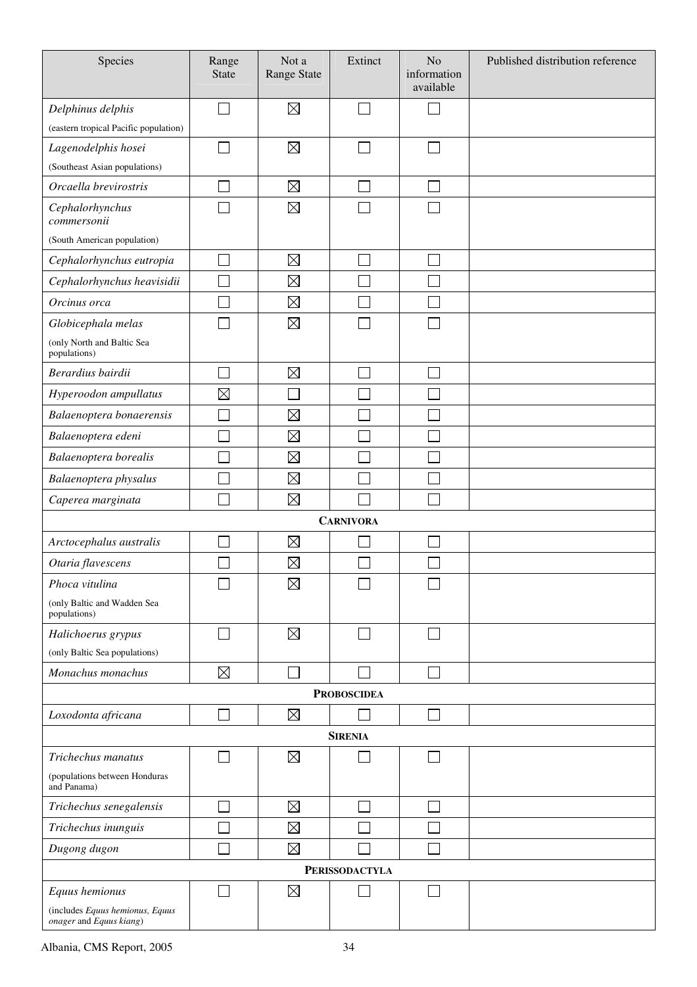| Species                                                    | Range<br><b>State</b> | Not a<br><b>Range State</b> | Extinct            | N <sub>o</sub><br>information<br>available | Published distribution reference |  |
|------------------------------------------------------------|-----------------------|-----------------------------|--------------------|--------------------------------------------|----------------------------------|--|
| Delphinus delphis                                          |                       | $\boxtimes$                 |                    |                                            |                                  |  |
| (eastern tropical Pacific population)                      |                       |                             |                    |                                            |                                  |  |
| Lagenodelphis hosei                                        |                       | $\boxtimes$                 |                    |                                            |                                  |  |
| (Southeast Asian populations)                              |                       |                             |                    |                                            |                                  |  |
| Orcaella brevirostris                                      |                       | $\boxtimes$                 |                    |                                            |                                  |  |
| Cephalorhynchus<br>commersonii                             |                       | $\boxtimes$                 |                    |                                            |                                  |  |
| (South American population)                                |                       |                             |                    |                                            |                                  |  |
| Cephalorhynchus eutropia                                   |                       | $\boxtimes$                 |                    |                                            |                                  |  |
| Cephalorhynchus heavisidii                                 |                       | $\boxtimes$                 |                    |                                            |                                  |  |
| Orcinus orca                                               |                       | $\boxtimes$                 |                    |                                            |                                  |  |
| Globicephala melas                                         |                       | $\boxtimes$                 |                    |                                            |                                  |  |
| (only North and Baltic Sea<br>populations)                 |                       |                             |                    |                                            |                                  |  |
| Berardius bairdii                                          |                       | $\boxtimes$                 |                    |                                            |                                  |  |
| Hyperoodon ampullatus                                      | $\boxtimes$           |                             |                    |                                            |                                  |  |
| Balaenoptera bonaerensis                                   |                       | $\boxtimes$                 |                    |                                            |                                  |  |
| Balaenoptera edeni                                         |                       | $\boxtimes$                 |                    |                                            |                                  |  |
| Balaenoptera borealis                                      |                       | $\boxtimes$                 |                    |                                            |                                  |  |
| Balaenoptera physalus                                      |                       | $\boxtimes$                 |                    |                                            |                                  |  |
| Caperea marginata                                          |                       | $\boxtimes$                 |                    | $\mathbb{R}^2$                             |                                  |  |
|                                                            |                       |                             | <b>CARNIVORA</b>   |                                            |                                  |  |
| Arctocephalus australis                                    |                       | $\boxtimes$                 |                    |                                            |                                  |  |
| Otaria flavescens                                          |                       | $\boxtimes$                 |                    |                                            |                                  |  |
| Phoca vitulina                                             |                       | $\boxtimes$                 |                    |                                            |                                  |  |
| (only Baltic and Wadden Sea<br>populations)                |                       |                             |                    |                                            |                                  |  |
| Halichoerus grypus                                         |                       | $\boxtimes$                 |                    |                                            |                                  |  |
| (only Baltic Sea populations)                              |                       |                             |                    |                                            |                                  |  |
| Monachus monachus                                          | $\boxtimes$           |                             |                    |                                            |                                  |  |
|                                                            |                       |                             | <b>PROBOSCIDEA</b> |                                            |                                  |  |
| Loxodonta africana                                         |                       | $\boxtimes$                 |                    |                                            |                                  |  |
|                                                            |                       |                             | <b>SIRENIA</b>     |                                            |                                  |  |
| Trichechus manatus                                         |                       | $\boxtimes$                 |                    |                                            |                                  |  |
| (populations between Honduras<br>and Panama)               |                       |                             |                    |                                            |                                  |  |
| Trichechus senegalensis                                    |                       | $\boxtimes$                 |                    |                                            |                                  |  |
| Trichechus inunguis                                        |                       | $\boxtimes$                 |                    |                                            |                                  |  |
| Dugong dugon                                               |                       | $\boxtimes$                 |                    |                                            |                                  |  |
| <b>PERISSODACTYLA</b>                                      |                       |                             |                    |                                            |                                  |  |
| Equus hemionus                                             |                       | $\boxtimes$                 |                    |                                            |                                  |  |
| (includes Equus hemionus, Equus<br>onager and Equus kiang) |                       |                             |                    |                                            |                                  |  |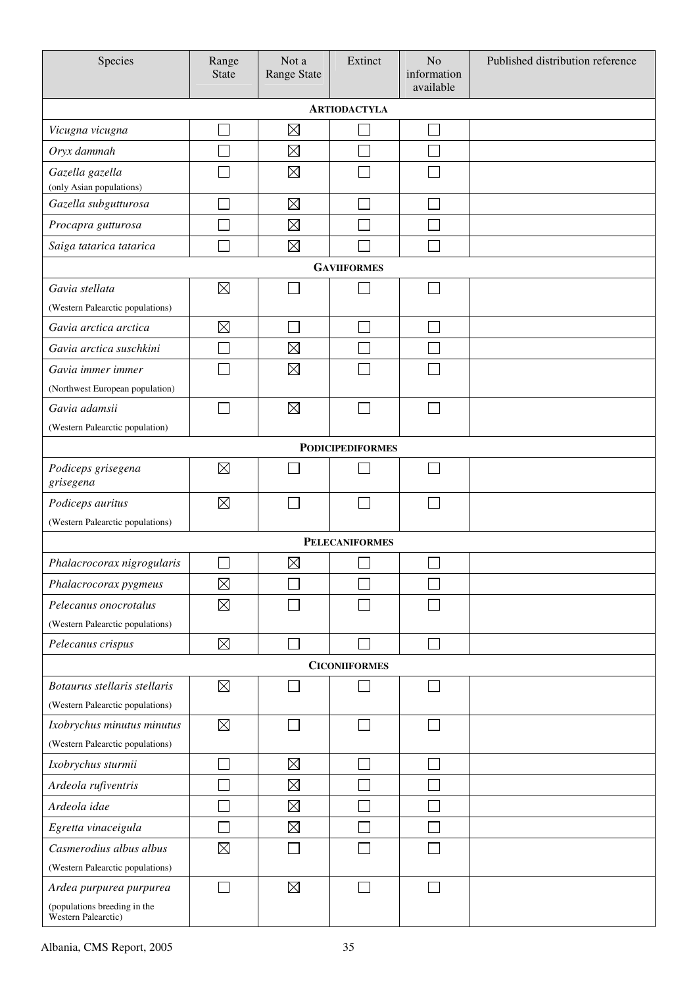| Species                                             | Range<br><b>State</b> | Not a<br><b>Range State</b> | Extinct                 | N <sub>o</sub><br>information<br>available | Published distribution reference |  |  |
|-----------------------------------------------------|-----------------------|-----------------------------|-------------------------|--------------------------------------------|----------------------------------|--|--|
| <b>ARTIODACTYLA</b>                                 |                       |                             |                         |                                            |                                  |  |  |
| Vicugna vicugna                                     |                       | $\boxtimes$                 |                         | ×                                          |                                  |  |  |
| Oryx dammah                                         |                       | $\boxtimes$                 |                         |                                            |                                  |  |  |
| Gazella gazella                                     |                       | $\boxtimes$                 |                         |                                            |                                  |  |  |
| (only Asian populations)                            |                       |                             |                         |                                            |                                  |  |  |
| Gazella subgutturosa                                |                       | $\boxtimes$                 |                         |                                            |                                  |  |  |
| Procapra gutturosa                                  |                       | $\boxtimes$                 |                         |                                            |                                  |  |  |
| Saiga tatarica tatarica                             |                       | $\boxtimes$                 |                         |                                            |                                  |  |  |
|                                                     |                       |                             | <b>GAVIIFORMES</b>      |                                            |                                  |  |  |
| Gavia stellata                                      | $\boxtimes$           |                             |                         |                                            |                                  |  |  |
| (Western Palearctic populations)                    |                       |                             |                         |                                            |                                  |  |  |
| Gavia arctica arctica                               | $\boxtimes$           | Г                           |                         | ×                                          |                                  |  |  |
| Gavia arctica suschkini                             | Ξ                     | $\boxtimes$                 |                         |                                            |                                  |  |  |
| Gavia immer immer                                   |                       | $\boxtimes$                 |                         |                                            |                                  |  |  |
| (Northwest European population)                     |                       |                             |                         |                                            |                                  |  |  |
| Gavia adamsii                                       | Ξ                     | $\boxtimes$                 |                         |                                            |                                  |  |  |
| (Western Palearctic population)                     |                       |                             |                         |                                            |                                  |  |  |
|                                                     |                       |                             | <b>PODICIPEDIFORMES</b> |                                            |                                  |  |  |
| Podiceps grisegena<br>grisegena                     | $\boxtimes$           |                             |                         |                                            |                                  |  |  |
| Podiceps auritus                                    | $\boxtimes$           |                             |                         | ×                                          |                                  |  |  |
| (Western Palearctic populations)                    |                       |                             |                         |                                            |                                  |  |  |
|                                                     |                       |                             | <b>PELECANIFORMES</b>   |                                            |                                  |  |  |
| Phalacrocorax nigrogularis                          |                       | $\boxtimes$                 |                         |                                            |                                  |  |  |
| Phalacrocorax pygmeus                               | $\boxtimes$           |                             |                         |                                            |                                  |  |  |
| Pelecanus onocrotalus                               | $\boxtimes$           |                             |                         |                                            |                                  |  |  |
| (Western Palearctic populations)                    |                       |                             |                         |                                            |                                  |  |  |
| Pelecanus crispus                                   | $\boxtimes$           |                             |                         | ×                                          |                                  |  |  |
|                                                     |                       |                             | <b>CICONIIFORMES</b>    |                                            |                                  |  |  |
| Botaurus stellaris stellaris                        | $\boxtimes$           |                             |                         | $\mathcal{L}$                              |                                  |  |  |
| (Western Palearctic populations)                    |                       |                             |                         |                                            |                                  |  |  |
| Ixobrychus minutus minutus                          | $\boxtimes$           |                             |                         |                                            |                                  |  |  |
| (Western Palearctic populations)                    |                       |                             |                         |                                            |                                  |  |  |
| Ixobrychus sturmii                                  |                       | $\boxtimes$                 | ×.                      | $\mathcal{L}$                              |                                  |  |  |
| Ardeola rufiventris                                 |                       | $\boxtimes$                 |                         |                                            |                                  |  |  |
| Ardeola idae                                        |                       | $\boxtimes$                 |                         |                                            |                                  |  |  |
| Egretta vinaceigula                                 |                       | $\boxtimes$                 |                         |                                            |                                  |  |  |
| Casmerodius albus albus                             | $\boxtimes$           |                             |                         |                                            |                                  |  |  |
| (Western Palearctic populations)                    |                       |                             |                         |                                            |                                  |  |  |
| Ardea purpurea purpurea                             |                       | $\boxtimes$                 |                         |                                            |                                  |  |  |
| (populations breeding in the<br>Western Palearctic) |                       |                             |                         |                                            |                                  |  |  |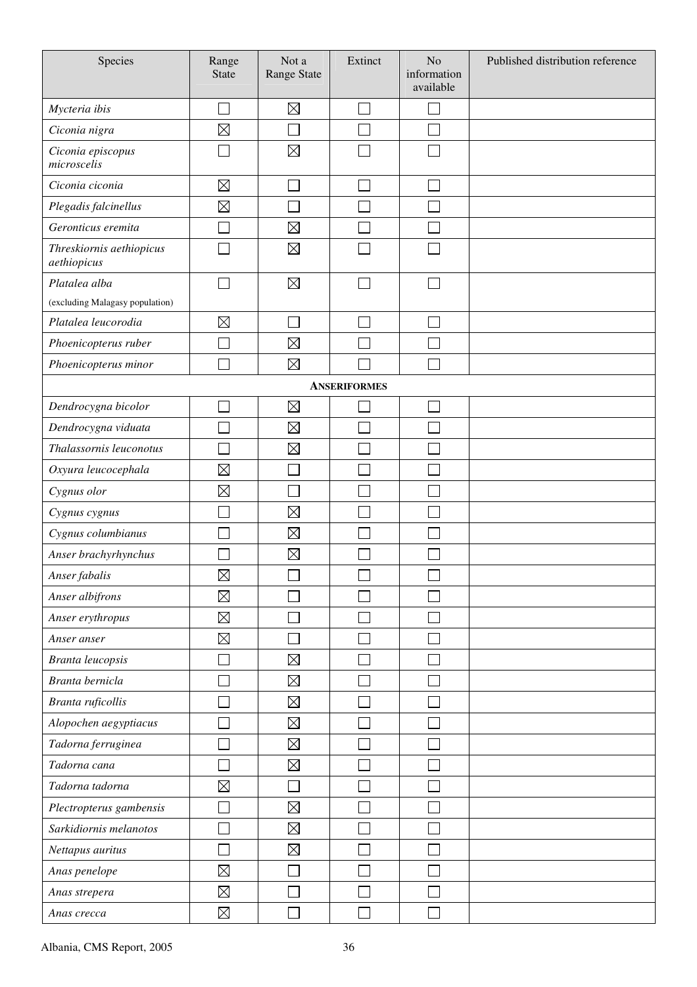| Species                                 | Range<br><b>State</b> | Not a<br>Range State | Extinct                  | No<br>information<br>available | Published distribution reference |
|-----------------------------------------|-----------------------|----------------------|--------------------------|--------------------------------|----------------------------------|
| Mycteria ibis                           |                       | $\boxtimes$          | L.                       |                                |                                  |
| Ciconia nigra                           | $\boxtimes$           |                      |                          |                                |                                  |
| Ciconia episcopus<br>microscelis        |                       | $\boxtimes$          |                          |                                |                                  |
| Ciconia ciconia                         | $\boxtimes$           |                      |                          |                                |                                  |
| Plegadis falcinellus                    | $\boxtimes$           |                      |                          |                                |                                  |
| Geronticus eremita                      |                       | $\boxtimes$          |                          |                                |                                  |
| Threskiornis aethiopicus<br>aethiopicus |                       | $\boxtimes$          |                          |                                |                                  |
| Platalea alba                           |                       | $\boxtimes$          | $\overline{\phantom{a}}$ |                                |                                  |
| (excluding Malagasy population)         |                       |                      |                          |                                |                                  |
| Platalea leucorodia                     | $\boxtimes$           |                      |                          |                                |                                  |
| Phoenicopterus ruber                    |                       | $\boxtimes$          |                          |                                |                                  |
| Phoenicopterus minor                    |                       | $\boxtimes$          |                          |                                |                                  |
|                                         |                       |                      | <b>ANSERIFORMES</b>      |                                |                                  |
| Dendrocygna bicolor                     |                       | $\boxtimes$          |                          |                                |                                  |
| Dendrocygna viduata                     |                       | $\boxtimes$          |                          |                                |                                  |
| Thalassornis leuconotus                 |                       | $\boxtimes$          |                          |                                |                                  |
| Oxyura leucocephala                     | $\boxtimes$           |                      |                          |                                |                                  |
| Cygnus olor                             | $\boxtimes$           |                      |                          |                                |                                  |
| Cygnus cygnus                           |                       | $\boxtimes$          |                          |                                |                                  |
| Cygnus columbianus                      |                       | $\boxtimes$          |                          |                                |                                  |
| Anser brachyrhynchus                    |                       | $\boxtimes$          |                          |                                |                                  |
| Anser fabalis                           | $\boxtimes$           | $\Box$               | $\Box$                   | $\Box$                         |                                  |
| Anser albifrons                         | $\boxtimes$           |                      |                          |                                |                                  |
| Anser erythropus                        | $\boxtimes$           |                      |                          |                                |                                  |
| Anser anser                             | $\boxtimes$           |                      |                          |                                |                                  |
| Branta leucopsis                        |                       | $\boxtimes$          |                          |                                |                                  |
| Branta bernicla                         |                       | $\boxtimes$          |                          |                                |                                  |
| Branta ruficollis                       |                       | $\boxtimes$          |                          |                                |                                  |
| Alopochen aegyptiacus                   |                       | $\boxtimes$          |                          |                                |                                  |
| Tadorna ferruginea                      |                       | $\boxtimes$          |                          |                                |                                  |
| Tadorna cana                            |                       | $\boxtimes$          |                          |                                |                                  |
| Tadorna tadorna                         | $\boxtimes$           |                      |                          |                                |                                  |
| Plectropterus gambensis                 |                       | $\boxtimes$          |                          |                                |                                  |
| Sarkidiornis melanotos                  |                       | $\boxtimes$          |                          |                                |                                  |
| Nettapus auritus                        |                       | $\boxtimes$          |                          |                                |                                  |
| Anas penelope                           | $\boxtimes$           |                      |                          |                                |                                  |
| Anas strepera                           | $\boxtimes$           |                      |                          |                                |                                  |
| Anas crecca                             | $\boxtimes$           |                      |                          |                                |                                  |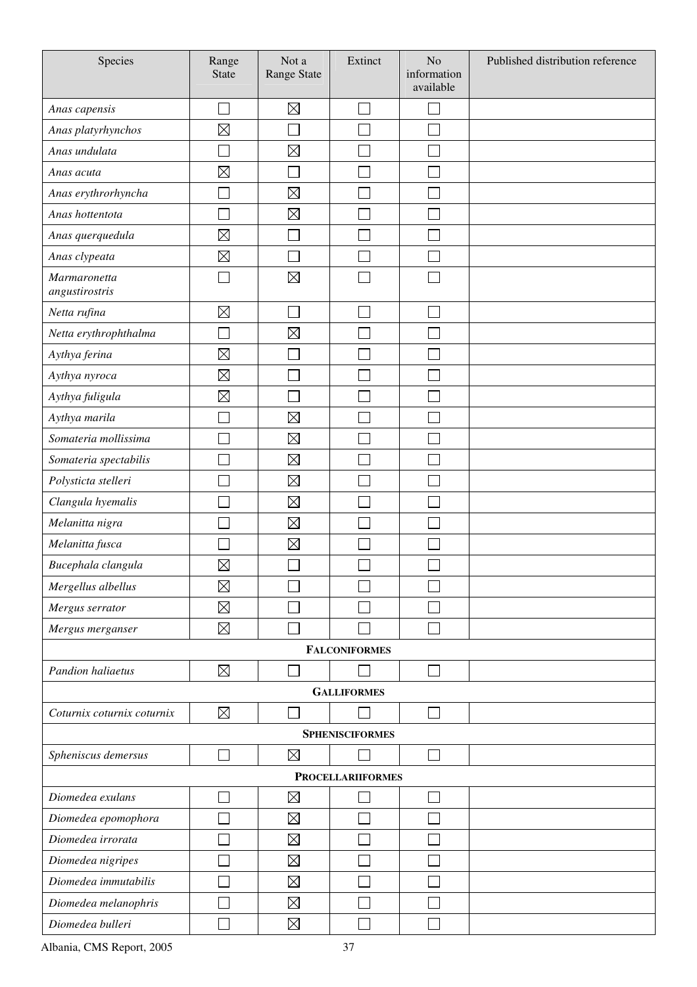| Species                        | Range<br><b>State</b> | Not a<br>Range State | Extinct                     | N <sub>o</sub><br>information<br>available | Published distribution reference |
|--------------------------------|-----------------------|----------------------|-----------------------------|--------------------------------------------|----------------------------------|
| Anas capensis                  |                       | $\boxtimes$          | $\mathcal{L}_{\mathcal{A}}$ | ×                                          |                                  |
| Anas platyrhynchos             | $\boxtimes$           |                      |                             |                                            |                                  |
| Anas undulata                  | Г                     | $\boxtimes$          |                             |                                            |                                  |
| Anas acuta                     | $\boxtimes$           |                      |                             |                                            |                                  |
| Anas erythrorhyncha            |                       | $\boxtimes$          |                             |                                            |                                  |
| Anas hottentota                | Ξ                     | $\boxtimes$          |                             |                                            |                                  |
| Anas querquedula               | $\boxtimes$           |                      |                             |                                            |                                  |
| Anas clypeata                  | $\boxtimes$           |                      |                             |                                            |                                  |
| Marmaronetta<br>angustirostris |                       | $\boxtimes$          |                             |                                            |                                  |
| Netta rufina                   | $\boxtimes$           |                      |                             |                                            |                                  |
| Netta erythrophthalma          |                       | $\boxtimes$          |                             |                                            |                                  |
| Aythya ferina                  | $\boxtimes$           |                      |                             |                                            |                                  |
| Aythya nyroca                  | $\boxtimes$           |                      |                             |                                            |                                  |
| Aythya fuligula                | $\boxtimes$           |                      |                             |                                            |                                  |
| Aythya marila                  |                       | $\boxtimes$          |                             |                                            |                                  |
| Somateria mollissima           |                       | $\boxtimes$          |                             |                                            |                                  |
| Somateria spectabilis          |                       | $\boxtimes$          |                             |                                            |                                  |
| Polysticta stelleri            |                       | $\boxtimes$          |                             |                                            |                                  |
| Clangula hyemalis              |                       | $\boxtimes$          |                             |                                            |                                  |
| Melanitta nigra                |                       | $\boxtimes$          |                             |                                            |                                  |
| Melanitta fusca                |                       | $\boxtimes$          |                             |                                            |                                  |
| Bucephala clangula             | $\boxtimes$           |                      |                             |                                            |                                  |
| Mergellus albellus             | $\boxtimes$           |                      |                             |                                            |                                  |
| Mergus serrator                | $\boxtimes$           |                      |                             |                                            |                                  |
| Mergus merganser               | $\boxtimes$           |                      |                             |                                            |                                  |
|                                |                       |                      | <b>FALCONIFORMES</b>        |                                            |                                  |
| Pandion haliaetus              | $\boxtimes$           |                      |                             |                                            |                                  |
|                                |                       |                      | <b>GALLIFORMES</b>          |                                            |                                  |
| Coturnix coturnix coturnix     | $\boxtimes$           |                      |                             |                                            |                                  |
|                                |                       |                      | <b>SPHENISCIFORMES</b>      |                                            |                                  |
| Spheniscus demersus            |                       | $\boxtimes$          |                             |                                            |                                  |
| <b>PROCELLARIIFORMES</b>       |                       |                      |                             |                                            |                                  |
| Diomedea exulans               |                       | $\boxtimes$          |                             |                                            |                                  |
| Diomedea epomophora            |                       | $\boxtimes$          |                             |                                            |                                  |
| Diomedea irrorata              |                       | $\boxtimes$          |                             |                                            |                                  |
| Diomedea nigripes              |                       | $\boxtimes$          |                             |                                            |                                  |
| Diomedea immutabilis           |                       | $\boxtimes$          |                             |                                            |                                  |
| Diomedea melanophris           |                       | $\boxtimes$          |                             |                                            |                                  |
| Diomedea bulleri               |                       | $\boxtimes$          |                             |                                            |                                  |

Albania, CMS Report, 2005 37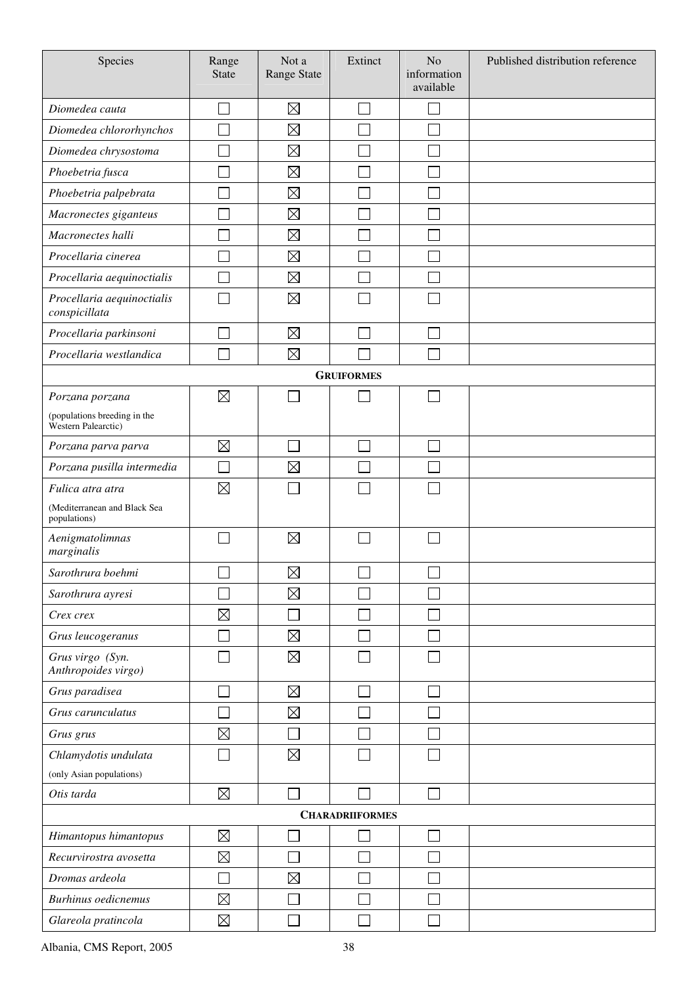| Species                                             | Range<br><b>State</b> | Not a<br>Range State | Extinct                | No<br>information<br>available | Published distribution reference |
|-----------------------------------------------------|-----------------------|----------------------|------------------------|--------------------------------|----------------------------------|
| Diomedea cauta                                      |                       | $\boxtimes$          |                        | Ξ                              |                                  |
| Diomedea chlororhynchos                             |                       | $\boxtimes$          |                        |                                |                                  |
| Diomedea chrysostoma                                |                       | $\boxtimes$          |                        |                                |                                  |
| Phoebetria fusca                                    |                       | $\boxtimes$          |                        |                                |                                  |
| Phoebetria palpebrata                               |                       | $\boxtimes$          |                        |                                |                                  |
| Macronectes giganteus                               |                       | $\boxtimes$          |                        |                                |                                  |
| Macronectes halli                                   |                       | $\boxtimes$          |                        |                                |                                  |
| Procellaria cinerea                                 |                       | $\boxtimes$          |                        |                                |                                  |
| Procellaria aequinoctialis                          |                       | $\boxtimes$          |                        |                                |                                  |
| Procellaria aequinoctialis<br>conspicillata         |                       | $\boxtimes$          |                        |                                |                                  |
| Procellaria parkinsoni                              |                       | $\boxtimes$          |                        | $\Box$                         |                                  |
| Procellaria westlandica                             |                       | $\boxtimes$          |                        |                                |                                  |
|                                                     |                       |                      | <b>GRUIFORMES</b>      |                                |                                  |
| Porzana porzana                                     | $\boxtimes$           |                      |                        |                                |                                  |
| (populations breeding in the<br>Western Palearctic) |                       |                      |                        |                                |                                  |
| Porzana parva parva                                 | $\boxtimes$           |                      | ÷,                     | $\Box$                         |                                  |
| Porzana pusilla intermedia                          |                       | $\boxtimes$          |                        |                                |                                  |
| Fulica atra atra                                    | $\boxtimes$           |                      |                        |                                |                                  |
| (Mediterranean and Black Sea<br>populations)        |                       |                      |                        |                                |                                  |
| Aenigmatolimnas<br>marginalis                       |                       | $\boxtimes$          |                        |                                |                                  |
| Sarothrura boehmi                                   | ᆸ                     | $\boxtimes$          | ᆸ                      | ᆸ                              |                                  |
| Sarothrura ayresi                                   |                       | $\boxtimes$          |                        |                                |                                  |
| Crex crex                                           | $\boxtimes$           |                      |                        |                                |                                  |
| Grus leucogeranus                                   |                       | $\boxtimes$          |                        |                                |                                  |
| Grus virgo (Syn.<br>Anthropoides virgo)             |                       | $\boxtimes$          |                        |                                |                                  |
| Grus paradisea                                      |                       | $\boxtimes$          |                        | $\mathbf{I}$                   |                                  |
| Grus carunculatus                                   |                       | $\boxtimes$          |                        |                                |                                  |
| Grus grus                                           | $\boxtimes$           |                      |                        |                                |                                  |
| Chlamydotis undulata                                |                       | $\boxtimes$          |                        |                                |                                  |
| (only Asian populations)                            |                       |                      |                        |                                |                                  |
| Otis tarda                                          | $\boxtimes$           |                      |                        | $\Box$                         |                                  |
|                                                     |                       |                      | <b>CHARADRIIFORMES</b> |                                |                                  |
| Himantopus himantopus                               | $\boxtimes$           |                      |                        | ┌                              |                                  |
| Recurvirostra avosetta                              | $\boxtimes$           |                      |                        |                                |                                  |
| Dromas ardeola                                      |                       | $\boxtimes$          |                        |                                |                                  |
| Burhinus oedicnemus                                 | $\boxtimes$           |                      |                        |                                |                                  |
| Glareola pratincola                                 | $\boxtimes$           |                      |                        |                                |                                  |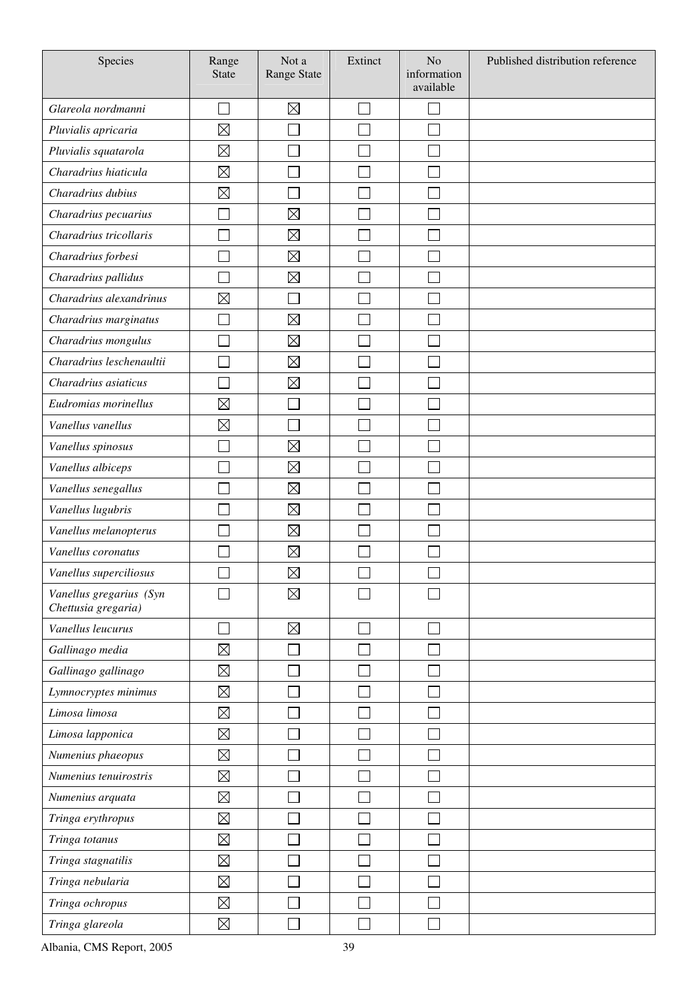| Species                                        | Range<br><b>State</b> | Not a<br>Range State | Extinct | N <sub>o</sub><br>information<br>available | Published distribution reference |
|------------------------------------------------|-----------------------|----------------------|---------|--------------------------------------------|----------------------------------|
| Glareola nordmanni                             |                       | $\boxtimes$          |         |                                            |                                  |
| Pluvialis apricaria                            | $\boxtimes$           |                      |         |                                            |                                  |
| Pluvialis squatarola                           | $\boxtimes$           |                      |         |                                            |                                  |
| Charadrius hiaticula                           | $\boxtimes$           |                      |         |                                            |                                  |
| Charadrius dubius                              | $\boxtimes$           |                      |         |                                            |                                  |
| Charadrius pecuarius                           |                       | $\boxtimes$          |         |                                            |                                  |
| Charadrius tricollaris                         |                       | $\boxtimes$          |         |                                            |                                  |
| Charadrius forbesi                             |                       | $\boxtimes$          |         |                                            |                                  |
| Charadrius pallidus                            |                       | $\boxtimes$          |         |                                            |                                  |
| Charadrius alexandrinus                        | $\boxtimes$           |                      |         |                                            |                                  |
| Charadrius marginatus                          |                       | $\boxtimes$          |         |                                            |                                  |
| Charadrius mongulus                            |                       | $\boxtimes$          |         |                                            |                                  |
| Charadrius leschenaultii                       |                       | $\boxtimes$          |         |                                            |                                  |
| Charadrius asiaticus                           |                       | $\boxtimes$          |         |                                            |                                  |
| Eudromias morinellus                           | $\boxtimes$           |                      |         |                                            |                                  |
| Vanellus vanellus                              | $\boxtimes$           |                      |         |                                            |                                  |
| Vanellus spinosus                              |                       | $\boxtimes$          |         |                                            |                                  |
| Vanellus albiceps                              |                       | $\boxtimes$          |         |                                            |                                  |
| Vanellus senegallus                            |                       | $\boxtimes$          |         |                                            |                                  |
| Vanellus lugubris                              |                       | $\boxtimes$          |         |                                            |                                  |
| Vanellus melanopterus                          |                       | $\boxtimes$          |         |                                            |                                  |
| Vanellus coronatus                             |                       | $\boxtimes$          |         |                                            |                                  |
| Vanellus superciliosus                         |                       | $\boxtimes$          | ٮ       | ى                                          |                                  |
| Vanellus gregarius (Syn<br>Chettusia gregaria) |                       | $\boxtimes$          |         |                                            |                                  |
| Vanellus leucurus                              |                       | $\boxtimes$          |         |                                            |                                  |
| Gallinago media                                | $\boxtimes$           |                      |         |                                            |                                  |
| Gallinago gallinago                            | $\boxtimes$           |                      |         |                                            |                                  |
| Lymnocryptes minimus                           | $\boxtimes$           |                      |         |                                            |                                  |
| Limosa limosa                                  | $\boxtimes$           |                      |         |                                            |                                  |
| Limosa lapponica                               | $\boxtimes$           |                      |         |                                            |                                  |
| Numenius phaeopus                              | $\boxtimes$           |                      |         |                                            |                                  |
| Numenius tenuirostris                          | $\boxtimes$           |                      |         |                                            |                                  |
| Numenius arquata                               | $\boxtimes$           |                      |         |                                            |                                  |
| Tringa erythropus                              | $\boxtimes$           |                      |         |                                            |                                  |
| Tringa totanus                                 | $\boxtimes$           |                      |         |                                            |                                  |
| Tringa stagnatilis                             | $\boxtimes$           |                      |         |                                            |                                  |
| Tringa nebularia                               | $\boxtimes$           |                      |         |                                            |                                  |
| Tringa ochropus                                | $\boxtimes$           |                      |         |                                            |                                  |
| Tringa glareola                                | $\boxtimes$           |                      |         |                                            |                                  |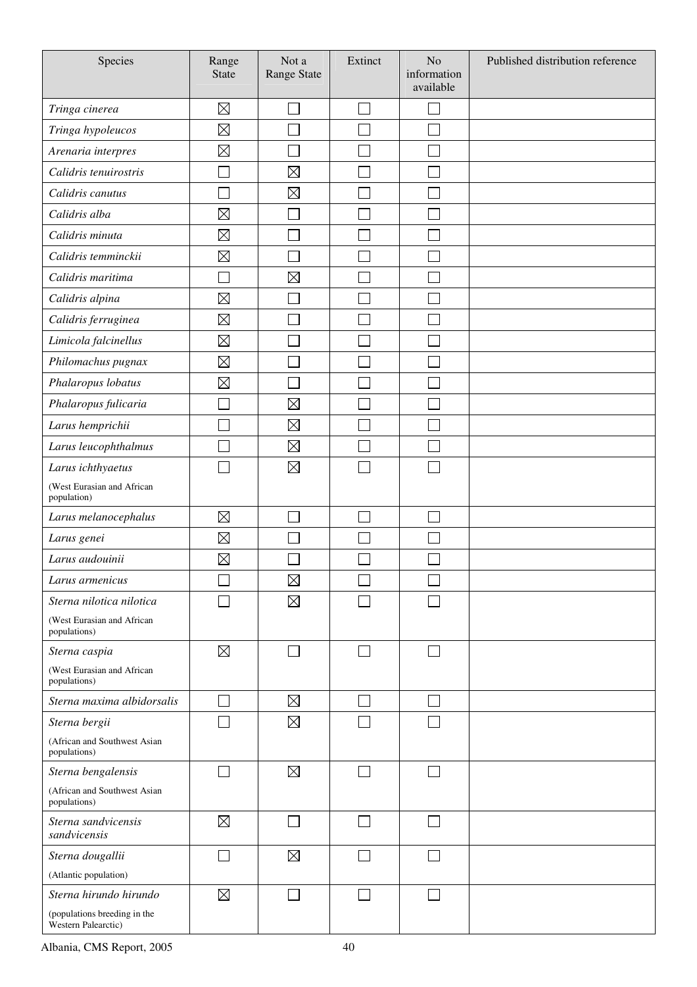| Species                                             | Range<br><b>State</b> | Not a<br>Range State | Extinct | N <sub>o</sub><br>information<br>available | Published distribution reference |
|-----------------------------------------------------|-----------------------|----------------------|---------|--------------------------------------------|----------------------------------|
| Tringa cinerea                                      | $\boxtimes$           |                      |         | $\overline{\phantom{0}}$                   |                                  |
| Tringa hypoleucos                                   | $\boxtimes$           |                      |         |                                            |                                  |
| Arenaria interpres                                  | $\boxtimes$           |                      |         |                                            |                                  |
| Calidris tenuirostris                               |                       | $\boxtimes$          |         |                                            |                                  |
| Calidris canutus                                    |                       | $\boxtimes$          |         |                                            |                                  |
| Calidris alba                                       | $\boxtimes$           |                      |         |                                            |                                  |
| Calidris minuta                                     | $\boxtimes$           |                      |         |                                            |                                  |
| Calidris temminckii                                 | $\boxtimes$           |                      |         |                                            |                                  |
| Calidris maritima                                   |                       | $\boxtimes$          |         |                                            |                                  |
| Calidris alpina                                     | $\boxtimes$           |                      |         |                                            |                                  |
| Calidris ferruginea                                 | $\boxtimes$           |                      |         |                                            |                                  |
| Limicola falcinellus                                | $\boxtimes$           |                      |         |                                            |                                  |
| Philomachus pugnax                                  | $\boxtimes$           |                      |         |                                            |                                  |
| Phalaropus lobatus                                  | $\boxtimes$           |                      |         |                                            |                                  |
| Phalaropus fulicaria                                |                       | $\boxtimes$          |         |                                            |                                  |
| Larus hemprichii                                    |                       | $\boxtimes$          |         |                                            |                                  |
| Larus leucophthalmus                                |                       | $\boxtimes$          |         |                                            |                                  |
| Larus ichthyaetus                                   |                       | $\boxtimes$          |         |                                            |                                  |
| (West Eurasian and African<br>population)           |                       |                      |         |                                            |                                  |
| Larus melanocephalus                                | $\boxtimes$           |                      |         | $\Box$                                     |                                  |
| Larus genei                                         | $\boxtimes$           |                      |         |                                            |                                  |
| Larus audouinii                                     | $\boxtimes$           |                      |         |                                            |                                  |
| Larus armenicus                                     |                       | $\boxtimes$          |         |                                            |                                  |
| Sterna nilotica nilotica                            |                       | $\boxtimes$          |         |                                            |                                  |
| (West Eurasian and African<br>populations)          |                       |                      |         |                                            |                                  |
| Sterna caspia                                       | $\boxtimes$           |                      | $\sim$  | $\overline{\phantom{0}}$                   |                                  |
| (West Eurasian and African<br>populations)          |                       |                      |         |                                            |                                  |
| Sterna maxima albidorsalis                          |                       | $\boxtimes$          | $\sim$  | $\Box$                                     |                                  |
| Sterna bergii                                       |                       | $\boxtimes$          |         | $\mathbb{R}^n$                             |                                  |
| (African and Southwest Asian<br>populations)        |                       |                      |         |                                            |                                  |
| Sterna bengalensis                                  |                       | $\boxtimes$          |         | $\sim$                                     |                                  |
| (African and Southwest Asian<br>populations)        |                       |                      |         |                                            |                                  |
| Sterna sandvicensis<br>sandvicensis                 | $\boxtimes$           |                      | $\sim$  | П                                          |                                  |
| Sterna dougallii                                    |                       | $\boxtimes$          |         | $\sim$                                     |                                  |
| (Atlantic population)                               |                       |                      |         |                                            |                                  |
| Sterna hirundo hirundo                              | $\boxtimes$           |                      |         | $\Box$                                     |                                  |
| (populations breeding in the<br>Western Palearctic) |                       |                      |         |                                            |                                  |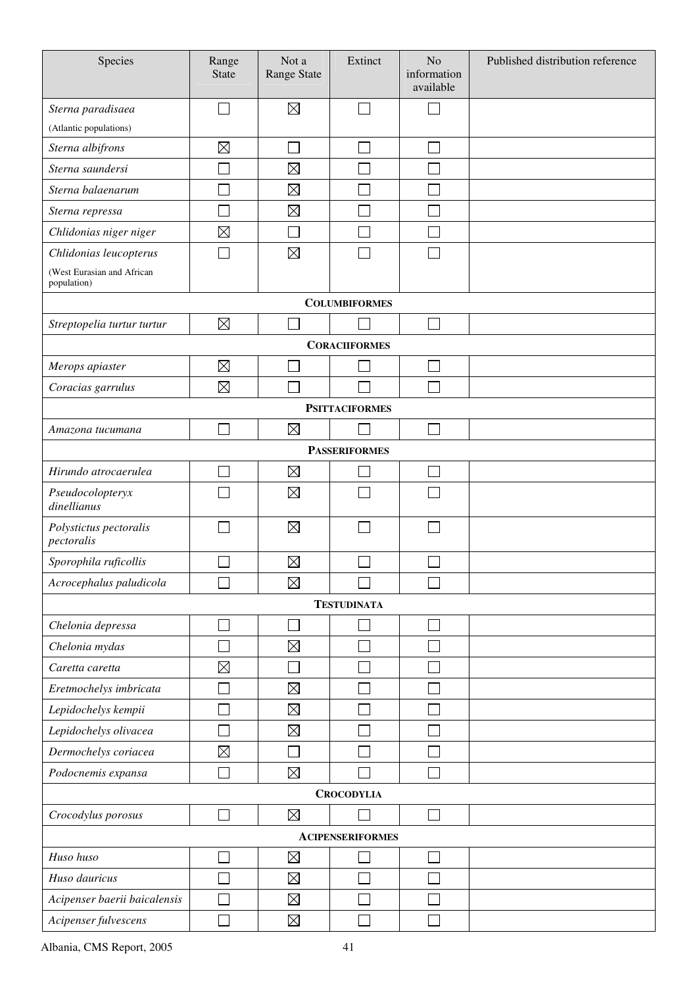| Species                                   | Range<br><b>State</b> | Not a<br>Range State | Extinct                 | N <sub>o</sub><br>information<br>available | Published distribution reference |  |
|-------------------------------------------|-----------------------|----------------------|-------------------------|--------------------------------------------|----------------------------------|--|
| Sterna paradisaea                         |                       | $\boxtimes$          | $\sim$                  |                                            |                                  |  |
| (Atlantic populations)                    |                       |                      |                         |                                            |                                  |  |
| Sterna albifrons                          | $\boxtimes$           | Г                    |                         | Ξ                                          |                                  |  |
| Sterna saundersi                          |                       | $\boxtimes$          |                         |                                            |                                  |  |
| Sterna balaenarum                         |                       | $\boxtimes$          |                         |                                            |                                  |  |
| Sterna repressa                           |                       | $\boxtimes$          |                         |                                            |                                  |  |
| Chlidonias niger niger                    | $\boxtimes$           |                      |                         |                                            |                                  |  |
| Chlidonias leucopterus                    |                       | $\boxtimes$          |                         | Ξ                                          |                                  |  |
| (West Eurasian and African<br>population) |                       |                      |                         |                                            |                                  |  |
|                                           |                       |                      | <b>COLUMBIFORMES</b>    |                                            |                                  |  |
| Streptopelia turtur turtur                | $\boxtimes$           |                      |                         | Г                                          |                                  |  |
|                                           |                       |                      | <b>CORACIIFORMES</b>    |                                            |                                  |  |
| Merops apiaster                           | $\boxtimes$           |                      |                         | $\overline{\phantom{a}}$                   |                                  |  |
| Coracias garrulus                         | $\boxtimes$           |                      |                         |                                            |                                  |  |
|                                           |                       |                      | <b>PSITTACIFORMES</b>   |                                            |                                  |  |
| Amazona tucumana                          |                       | $\boxtimes$          |                         | Г                                          |                                  |  |
|                                           |                       |                      | <b>PASSERIFORMES</b>    |                                            |                                  |  |
| Hirundo atrocaerulea                      |                       | $\boxtimes$          |                         | $\mathbf{I}$                               |                                  |  |
| Pseudocolopteryx<br>dinellianus           |                       | $\boxtimes$          |                         |                                            |                                  |  |
| Polystictus pectoralis<br>pectoralis      |                       | $\boxtimes$          |                         | $\mathbb{R}^n$                             |                                  |  |
| Sporophila ruficollis                     |                       | $\boxtimes$          |                         |                                            |                                  |  |
| Acrocephalus paludicola                   |                       | $\boxtimes$          |                         |                                            |                                  |  |
| <b>TESTUDINATA</b>                        |                       |                      |                         |                                            |                                  |  |
| Chelonia depressa                         |                       |                      |                         |                                            |                                  |  |
| Chelonia mydas                            |                       | $\boxtimes$          |                         |                                            |                                  |  |
| Caretta caretta                           | $\boxtimes$           |                      |                         |                                            |                                  |  |
| Eretmochelys imbricata                    |                       | $\boxtimes$          |                         |                                            |                                  |  |
| Lepidochelys kempii                       |                       | $\boxtimes$          |                         |                                            |                                  |  |
| Lepidochelys olivacea                     |                       | $\boxtimes$          |                         |                                            |                                  |  |
| Dermochelys coriacea                      | $\boxtimes$           |                      |                         |                                            |                                  |  |
| Podocnemis expansa                        |                       | $\boxtimes$          |                         |                                            |                                  |  |
|                                           |                       |                      | <b>CROCODYLIA</b>       |                                            |                                  |  |
| Crocodylus porosus                        |                       | $\boxtimes$          |                         | Ξ                                          |                                  |  |
|                                           |                       |                      | <b>ACIPENSERIFORMES</b> |                                            |                                  |  |
| Huso huso                                 |                       | $\boxtimes$          |                         |                                            |                                  |  |
| Huso dauricus                             |                       | $\boxtimes$          |                         |                                            |                                  |  |
| Acipenser baerii baicalensis              |                       | $\boxtimes$          |                         |                                            |                                  |  |
| Acipenser fulvescens                      |                       | $\boxtimes$          |                         |                                            |                                  |  |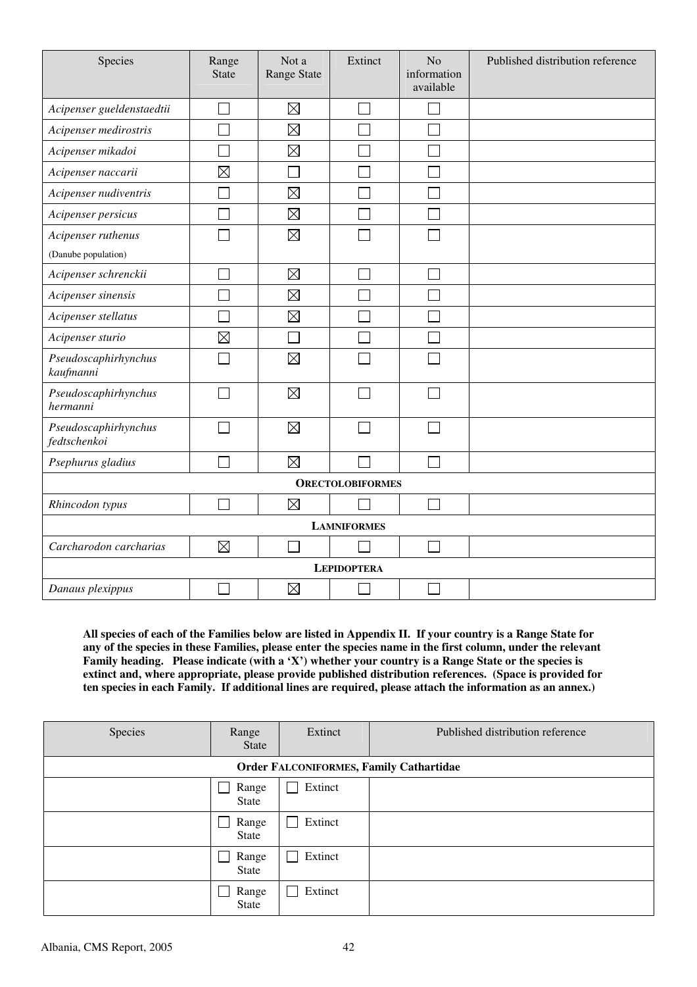| Species                                   | Range<br><b>State</b> | Not a<br>Range State | Extinct                 | No<br>information<br>available | Published distribution reference |
|-------------------------------------------|-----------------------|----------------------|-------------------------|--------------------------------|----------------------------------|
| Acipenser gueldenstaedtii                 | Ξ                     | $\boxtimes$          | Ξ                       |                                |                                  |
| Acipenser medirostris                     | Г                     | $\boxtimes$          | Ξ                       |                                |                                  |
| Acipenser mikadoi                         |                       | $\boxtimes$          |                         |                                |                                  |
| Acipenser naccarii                        | $\boxtimes$           |                      |                         |                                |                                  |
| Acipenser nudiventris                     |                       | $\boxtimes$          |                         |                                |                                  |
| Acipenser persicus                        |                       | $\boxtimes$          |                         |                                |                                  |
| Acipenser ruthenus<br>(Danube population) |                       | $\boxtimes$          |                         |                                |                                  |
| Acipenser schrenckii                      |                       | $\boxtimes$          |                         |                                |                                  |
| Acipenser sinensis                        |                       | $\boxtimes$          |                         |                                |                                  |
| Acipenser stellatus                       |                       | $\boxtimes$          |                         |                                |                                  |
| Acipenser sturio                          | $\boxtimes$           |                      |                         |                                |                                  |
| Pseudoscaphirhynchus<br>kaufmanni         |                       | $\boxtimes$          |                         |                                |                                  |
| Pseudoscaphirhynchus<br>hermanni          |                       | $\boxtimes$          |                         |                                |                                  |
| Pseudoscaphirhynchus<br>fedtschenkoi      |                       | $\boxtimes$          |                         |                                |                                  |
| Psephurus gladius                         | $\Box$                | $\boxtimes$          |                         | $\Box$                         |                                  |
|                                           |                       |                      | <b>ORECTOLOBIFORMES</b> |                                |                                  |
| Rhincodon typus                           |                       | $\boxtimes$          |                         |                                |                                  |
|                                           |                       |                      | <b>LAMNIFORMES</b>      |                                |                                  |
| Carcharodon carcharias                    | $\boxtimes$           |                      |                         |                                |                                  |
|                                           |                       |                      | <b>LEPIDOPTERA</b>      |                                |                                  |
| Danaus plexippus                          |                       | $\boxtimes$          |                         |                                |                                  |

**All species of each of the Families below are listed in Appendix II. If your country is a Range State for any of the species in these Families, please enter the species name in the first column, under the relevant Family heading. Please indicate (with a 'X') whether your country is a Range State or the species is extinct and, where appropriate, please provide published distribution references. (Space is provided for ten species in each Family. If additional lines are required, please attach the information as an annex.)** 

| Species | Range<br><b>State</b> | Extinct | Published distribution reference        |
|---------|-----------------------|---------|-----------------------------------------|
|         |                       |         | Order FALCONIFORMES, Family Cathartidae |
|         | Range<br>State        | Extinct |                                         |
|         | Range<br>State        | Extinct |                                         |
|         | Range<br>State        | Extinct |                                         |
|         | Range<br>State        | Extinct |                                         |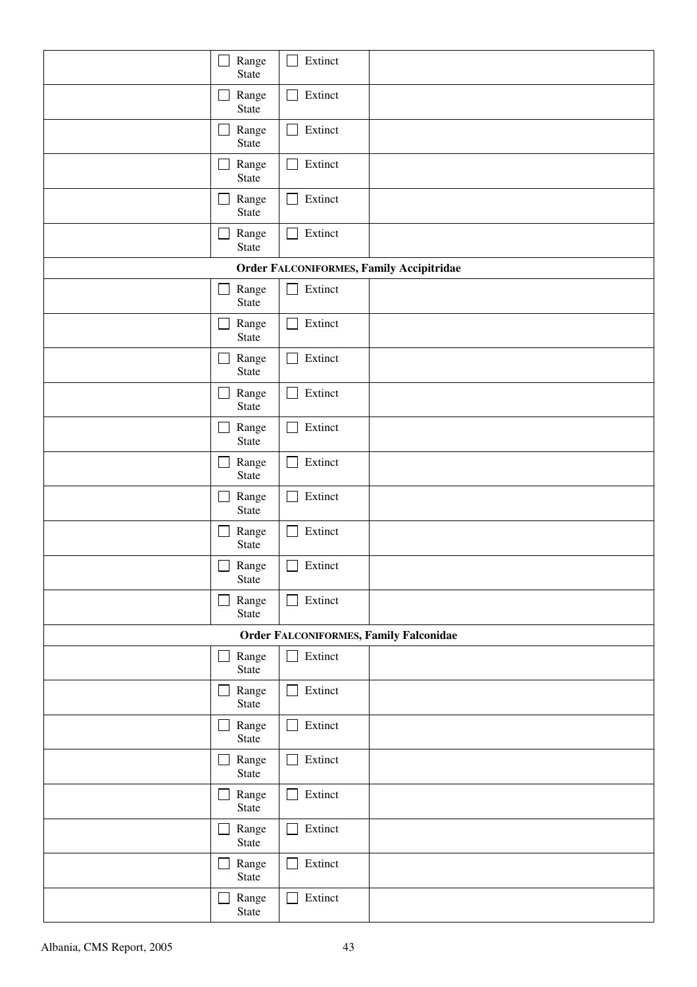| Range<br>State        | Extinct<br>l a                         |                                                 |
|-----------------------|----------------------------------------|-------------------------------------------------|
| Range<br>State        | Extinct<br>$\mathcal{L}_{\mathcal{A}}$ |                                                 |
| Range<br>State        | Extinct<br>$\mathcal{L}_{\mathcal{A}}$ |                                                 |
| Range<br>State        | Extinct                                |                                                 |
| Range<br>State        | Extinct                                |                                                 |
| Range<br>State        | Extinct                                |                                                 |
|                       |                                        | <b>Order FALCONIFORMES, Family Accipitridae</b> |
| Range<br>State        | Extinct                                |                                                 |
| Range<br>State        | Extinct                                |                                                 |
| Range<br>State        | Extinct<br>×.                          |                                                 |
| Range<br>State        | Extinct                                |                                                 |
| Range<br>State        | Extinct                                |                                                 |
| Range<br>State        | Extinct                                |                                                 |
| Range<br>State        | Extinct                                |                                                 |
| Range<br>State        | Extinct<br>l I                         |                                                 |
| Range<br><b>State</b> | Extinct                                |                                                 |
| Range<br>State        | Extinct<br>$\blacksquare$              |                                                 |
|                       |                                        | Order FALCONIFORMES, Family Falconidae          |
| Range<br>State        | Extinct<br>$\mathcal{L}$               |                                                 |
| Range<br>State        | Extinct                                |                                                 |
| Range<br>State        | Extinct                                |                                                 |
| Range<br>State        | Extinct                                |                                                 |
| Range<br>State        | Extinct<br>×.                          |                                                 |
| Range<br>State        | Extinct                                |                                                 |
| Range<br>State        | Extinct                                |                                                 |
| Range<br>State        | Extinct                                |                                                 |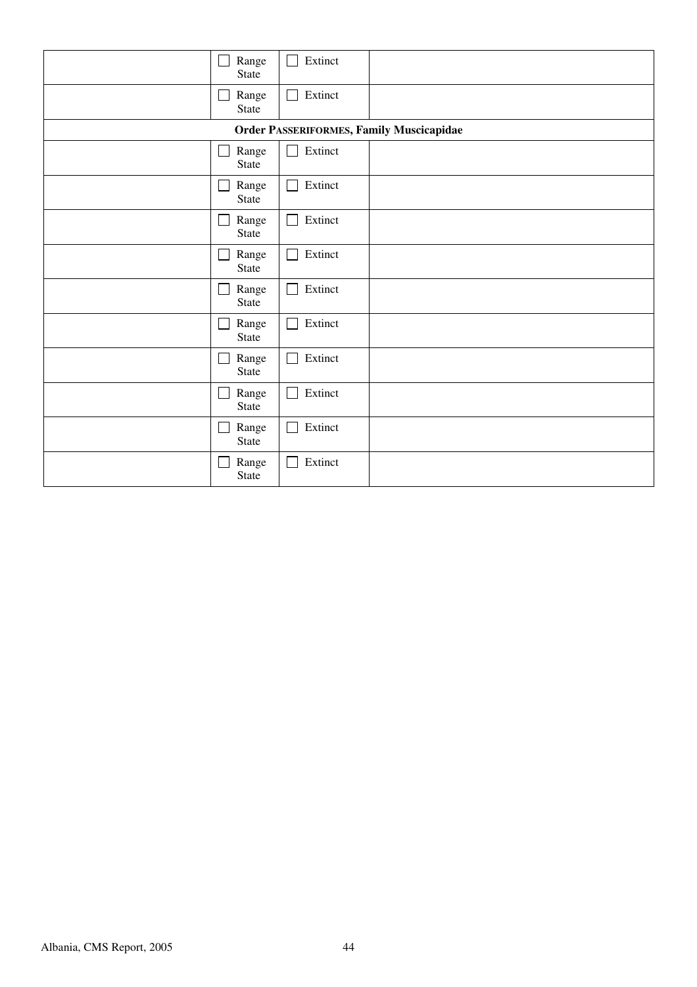| Range          | Extinct                                         |
|----------------|-------------------------------------------------|
| State          | П                                               |
| Range          | Extinct                                         |
| State          | $\mathbf{I}$                                    |
|                | <b>Order PASSERIFORMES, Family Muscicapidae</b> |
| Range          | Extinct                                         |
| State          | $\Box$                                          |
| Range          | Extinct                                         |
| State          | L.                                              |
| Range          | Extinct                                         |
| State          | $\mathsf{L}$                                    |
| Range          | Extinct                                         |
| State          | $\mathsf{L}$                                    |
| Range          | Extinct                                         |
| State          | L                                               |
| Range          | Extinct                                         |
| State          | $\Box$                                          |
| Range          | Extinct                                         |
| State          | $\mathsf{L}$                                    |
| Range<br>State | Extinct                                         |
| Range          | Extinct                                         |
| State          | $\mathbb{R}^n$                                  |
| Range          | Extinct                                         |
| State          | $\mathbf{I}$                                    |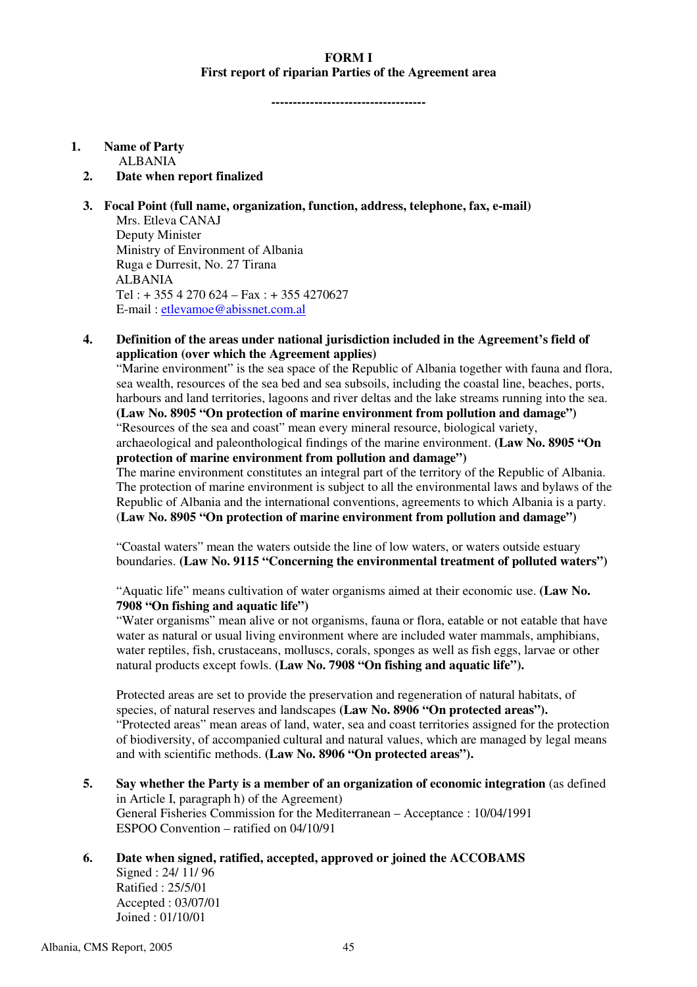#### **FORM I First report of riparian Parties of the Agreement area**

**------------------------------------** 

#### **1. Name of Party**

ALBANIA

#### **2. Date when report finalized**

#### **3. Focal Point (full name, organization, function, address, telephone, fax, e-mail)**

Mrs. Etleva CANAJ Deputy Minister Ministry of Environment of Albania Ruga e Durresit, No. 27 Tirana ALBANIA Tel : + 355 4 270 624 – Fax : + 355 4270627 E-mail : etlevamoe@abissnet.com.al

#### **4. Definition of the areas under national jurisdiction included in the Agreement's field of application (over which the Agreement applies)**

"Marine environment" is the sea space of the Republic of Albania together with fauna and flora, sea wealth, resources of the sea bed and sea subsoils, including the coastal line, beaches, ports, harbours and land territories, lagoons and river deltas and the lake streams running into the sea. **(Law No. 8905 "On protection of marine environment from pollution and damage")** "Resources of the sea and coast" mean every mineral resource, biological variety, archaeological and paleonthological findings of the marine environment. **(Law No. 8905 "On protection of marine environment from pollution and damage")** 

The marine environment constitutes an integral part of the territory of the Republic of Albania. The protection of marine environment is subject to all the environmental laws and bylaws of the Republic of Albania and the international conventions, agreements to which Albania is a party. (**Law No. 8905 "On protection of marine environment from pollution and damage")** 

"Coastal waters" mean the waters outside the line of low waters, or waters outside estuary boundaries. **(Law No. 9115 "Concerning the environmental treatment of polluted waters")**

"Aquatic life" means cultivation of water organisms aimed at their economic use. **(Law No. 7908 "On fishing and aquatic life")** 

"Water organisms" mean alive or not organisms, fauna or flora, eatable or not eatable that have water as natural or usual living environment where are included water mammals, amphibians, water reptiles, fish, crustaceans, molluscs, corals, sponges as well as fish eggs, larvae or other natural products except fowls. **(Law No. 7908 "On fishing and aquatic life").** 

Protected areas are set to provide the preservation and regeneration of natural habitats, of species, of natural reserves and landscapes **(Law No. 8906 "On protected areas").**  "Protected areas" mean areas of land, water, sea and coast territories assigned for the protection of biodiversity, of accompanied cultural and natural values, which are managed by legal means and with scientific methods. **(Law No. 8906 "On protected areas").** 

**5.** Say whether the Party is a member of an organization of economic integration (as defined in Article I, paragraph h) of the Agreement) General Fisheries Commission for the Mediterranean – Acceptance : 10/04/1991 ESPOO Convention – ratified on 04/10/91

#### **6. Date when signed, ratified, accepted, approved or joined the ACCOBAMS**

Signed : 24/ 11/ 96 Ratified : 25/5/01 Accepted : 03/07/01 Joined : 01/10/01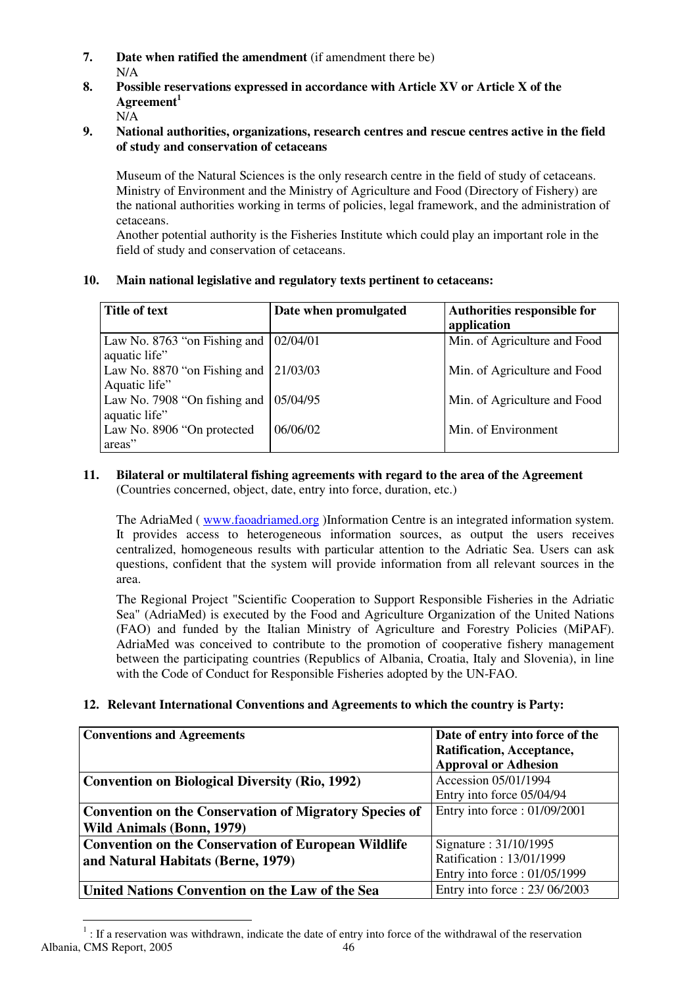- **7. Date when ratified the amendment** (if amendment there be) N/A
- **8. Possible reservations expressed in accordance with Article XV or Article X of the Agreement<sup>1</sup>**

N/A

#### **9. National authorities, organizations, research centres and rescue centres active in the field of study and conservation of cetaceans**

Museum of the Natural Sciences is the only research centre in the field of study of cetaceans. Ministry of Environment and the Ministry of Agriculture and Food (Directory of Fishery) are the national authorities working in terms of policies, legal framework, and the administration of cetaceans.

Another potential authority is the Fisheries Institute which could play an important role in the field of study and conservation of cetaceans.

| 10. | Main national legislative and regulatory texts pertinent to cetaceans: |  |
|-----|------------------------------------------------------------------------|--|
|     |                                                                        |  |

| Title of text                                                  | Date when promulgated | Authorities responsible for  |
|----------------------------------------------------------------|-----------------------|------------------------------|
|                                                                |                       | application                  |
| Law No. 8763 "on Fishing and $\vert$<br>aquatic life"          | 02/04/01              | Min. of Agriculture and Food |
| Law No. 8870 "on Fishing and $\vert$ 21/03/03<br>Aquatic life" |                       | Min. of Agriculture and Food |
| Law No. 7908 "On fishing and $\vert$<br>aquatic life"          | 05/04/95              | Min. of Agriculture and Food |
| Law No. 8906 "On protected<br>areas"                           | 06/06/02              | Min. of Environment          |

#### **11. Bilateral or multilateral fishing agreements with regard to the area of the Agreement**  (Countries concerned, object, date, entry into force, duration, etc.)

The AdriaMed ( www.faoadriamed.org )Information Centre is an integrated information system. It provides access to heterogeneous information sources, as output the users receives centralized, homogeneous results with particular attention to the Adriatic Sea. Users can ask questions, confident that the system will provide information from all relevant sources in the area.

The Regional Project "Scientific Cooperation to Support Responsible Fisheries in the Adriatic Sea" (AdriaMed) is executed by the Food and Agriculture Organization of the United Nations (FAO) and funded by the Italian Ministry of Agriculture and Forestry Policies (MiPAF). AdriaMed was conceived to contribute to the promotion of cooperative fishery management between the participating countries (Republics of Albania, Croatia, Italy and Slovenia), in line with the Code of Conduct for Responsible Fisheries adopted by the UN-FAO.

#### **12. Relevant International Conventions and Agreements to which the country is Party:**

| <b>Conventions and Agreements</b>                             | Date of entry into force of the<br>Ratification, Acceptance,<br><b>Approval or Adhesion</b> |
|---------------------------------------------------------------|---------------------------------------------------------------------------------------------|
| <b>Convention on Biological Diversity (Rio, 1992)</b>         | Accession 05/01/1994                                                                        |
|                                                               | Entry into force 05/04/94                                                                   |
| <b>Convention on the Conservation of Migratory Species of</b> | Entry into force: 01/09/2001                                                                |
| <b>Wild Animals (Bonn, 1979)</b>                              |                                                                                             |
| <b>Convention on the Conservation of European Wildlife</b>    | Signature: 31/10/1995                                                                       |
| and Natural Habitats (Berne, 1979)                            | Ratification: 13/01/1999                                                                    |
|                                                               | Entry into force: 01/05/1999                                                                |
| United Nations Convention on the Law of the Sea               | Entry into force: 23/06/2003                                                                |

Albania, CMS Report, 2005 46  $\overline{a}$  $1$ : If a reservation was withdrawn, indicate the date of entry into force of the withdrawal of the reservation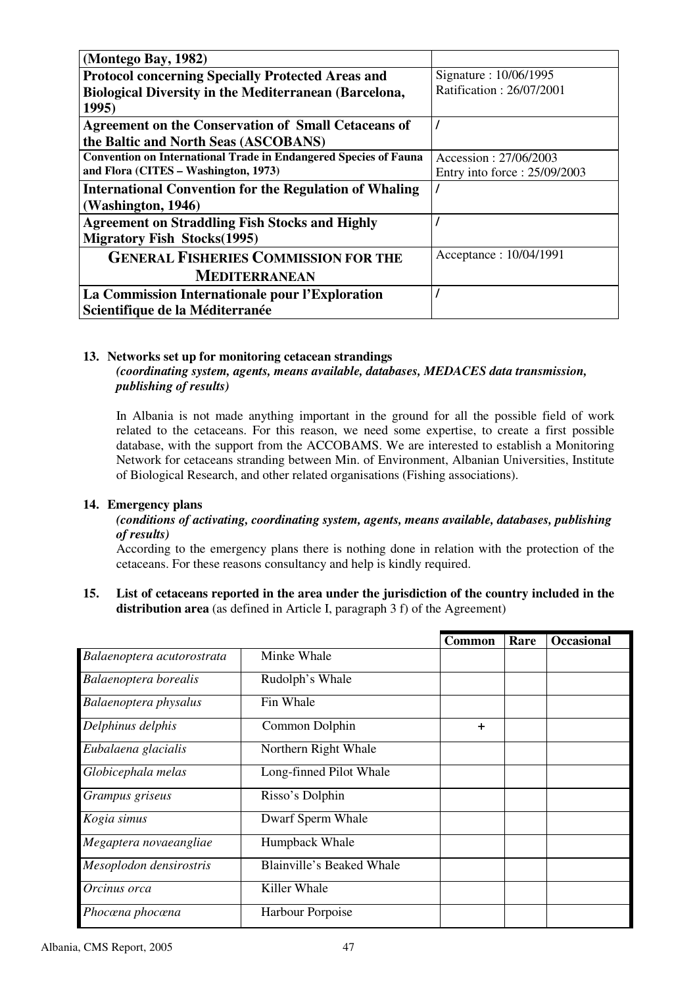| (Montego Bay, 1982)                                                     |                              |
|-------------------------------------------------------------------------|------------------------------|
| <b>Protocol concerning Specially Protected Areas and</b>                | Signature: 10/06/1995        |
| <b>Biological Diversity in the Mediterranean (Barcelona,</b>            | Ratification: 26/07/2001     |
| 1995)                                                                   |                              |
| <b>Agreement on the Conservation of Small Cetaceans of</b>              |                              |
| the Baltic and North Seas (ASCOBANS)                                    |                              |
| <b>Convention on International Trade in Endangered Species of Fauna</b> | Accession: 27/06/2003        |
| and Flora (CITES - Washington, 1973)                                    | Entry into force: 25/09/2003 |
| <b>International Convention for the Regulation of Whaling</b>           |                              |
| (Washington, 1946)                                                      |                              |
| <b>Agreement on Straddling Fish Stocks and Highly</b>                   |                              |
| <b>Migratory Fish Stocks</b> (1995)                                     |                              |
| <b>GENERAL FISHERIES COMMISSION FOR THE</b>                             | Acceptance: 10/04/1991       |
| <b>MEDITERRANEAN</b>                                                    |                              |
| La Commission Internationale pour l'Exploration                         |                              |
| Scientifique de la Méditerranée                                         |                              |

#### **13. Networks set up for monitoring cetacean strandings**  *(coordinating system, agents, means available, databases, MEDACES data transmission, publishing of results)*

In Albania is not made anything important in the ground for all the possible field of work related to the cetaceans. For this reason, we need some expertise, to create a first possible database, with the support from the ACCOBAMS. We are interested to establish a Monitoring Network for cetaceans stranding between Min. of Environment, Albanian Universities, Institute of Biological Research, and other related organisations (Fishing associations).

#### **14. Emergency plans**

#### *(conditions of activating, coordinating system, agents, means available, databases, publishing of results)*

According to the emergency plans there is nothing done in relation with the protection of the cetaceans. For these reasons consultancy and help is kindly required.

**15. List of cetaceans reported in the area under the jurisdiction of the country included in the distribution area** (as defined in Article I, paragraph 3 f) of the Agreement)

|                            |                           | <b>Common</b> | Rare | <b>Occasional</b> |
|----------------------------|---------------------------|---------------|------|-------------------|
| Balaenoptera acutorostrata | Minke Whale               |               |      |                   |
| Balaenoptera borealis      | Rudolph's Whale           |               |      |                   |
| Balaenoptera physalus      | Fin Whale                 |               |      |                   |
| Delphinus delphis          | Common Dolphin            | $\ddot{}$     |      |                   |
| Eubalaena glacialis        | Northern Right Whale      |               |      |                   |
| Globicephala melas         | Long-finned Pilot Whale   |               |      |                   |
| Grampus griseus            | Risso's Dolphin           |               |      |                   |
| Kogia simus                | Dwarf Sperm Whale         |               |      |                   |
| Megaptera novaeangliae     | Humpback Whale            |               |      |                   |
| Mesoplodon densirostris    | Blainville's Beaked Whale |               |      |                   |
| Orcinus orca               | Killer Whale              |               |      |                   |
| Phocœna phocœna            | Harbour Porpoise          |               |      |                   |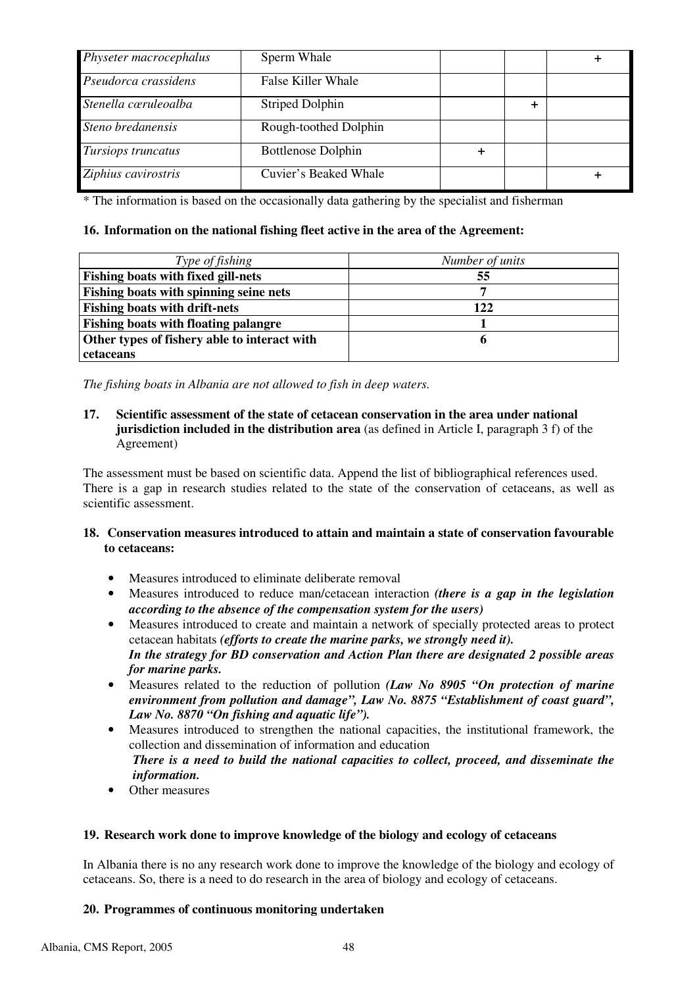| Physeter macrocephalus | Sperm Whale               |  |  |
|------------------------|---------------------------|--|--|
| Pseudorca crassidens   | False Killer Whale        |  |  |
| Stenella cœruleoalba   | Striped Dolphin           |  |  |
| Steno bredanensis      | Rough-toothed Dolphin     |  |  |
| Tursiops truncatus     | <b>Bottlenose Dolphin</b> |  |  |
| Ziphius cavirostris    | Cuvier's Beaked Whale     |  |  |

\* The information is based on the occasionally data gathering by the specialist and fisherman

#### **16. Information on the national fishing fleet active in the area of the Agreement:**

| Type of fishing                              | Number of units |
|----------------------------------------------|-----------------|
| <b>Fishing boats with fixed gill-nets</b>    | 55              |
| Fishing boats with spinning seine nets       |                 |
| <b>Fishing boats with drift-nets</b>         | 122             |
| <b>Fishing boats with floating palangre</b>  |                 |
| Other types of fishery able to interact with |                 |
| cetaceans                                    |                 |

*The fishing boats in Albania are not allowed to fish in deep waters.* 

#### **17. Scientific assessment of the state of cetacean conservation in the area under national jurisdiction included in the distribution area** (as defined in Article I, paragraph 3 f) of the Agreement)

The assessment must be based on scientific data. Append the list of bibliographical references used. There is a gap in research studies related to the state of the conservation of cetaceans, as well as scientific assessment.

#### **18. Conservation measures introduced to attain and maintain a state of conservation favourable to cetaceans:**

- Measures introduced to eliminate deliberate removal
- Measures introduced to reduce man/cetacean interaction *(there is a gap in the legislation according to the absence of the compensation system for the users)*
- Measures introduced to create and maintain a network of specially protected areas to protect cetacean habitats *(efforts to create the marine parks, we strongly need it). In the strategy for BD conservation and Action Plan there are designated 2 possible areas for marine parks.*
- Measures related to the reduction of pollution *(Law No 8905 "On protection of marine environment from pollution and damage", Law No. 8875 "Establishment of coast guard", Law No. 8870 "On fishing and aquatic life").*
- Measures introduced to strengthen the national capacities, the institutional framework, the collection and dissemination of information and education

#### *There is a need to build the national capacities to collect, proceed, and disseminate the information.*

Other measures

#### **19. Research work done to improve knowledge of the biology and ecology of cetaceans**

In Albania there is no any research work done to improve the knowledge of the biology and ecology of cetaceans. So, there is a need to do research in the area of biology and ecology of cetaceans.

#### **20. Programmes of continuous monitoring undertaken**